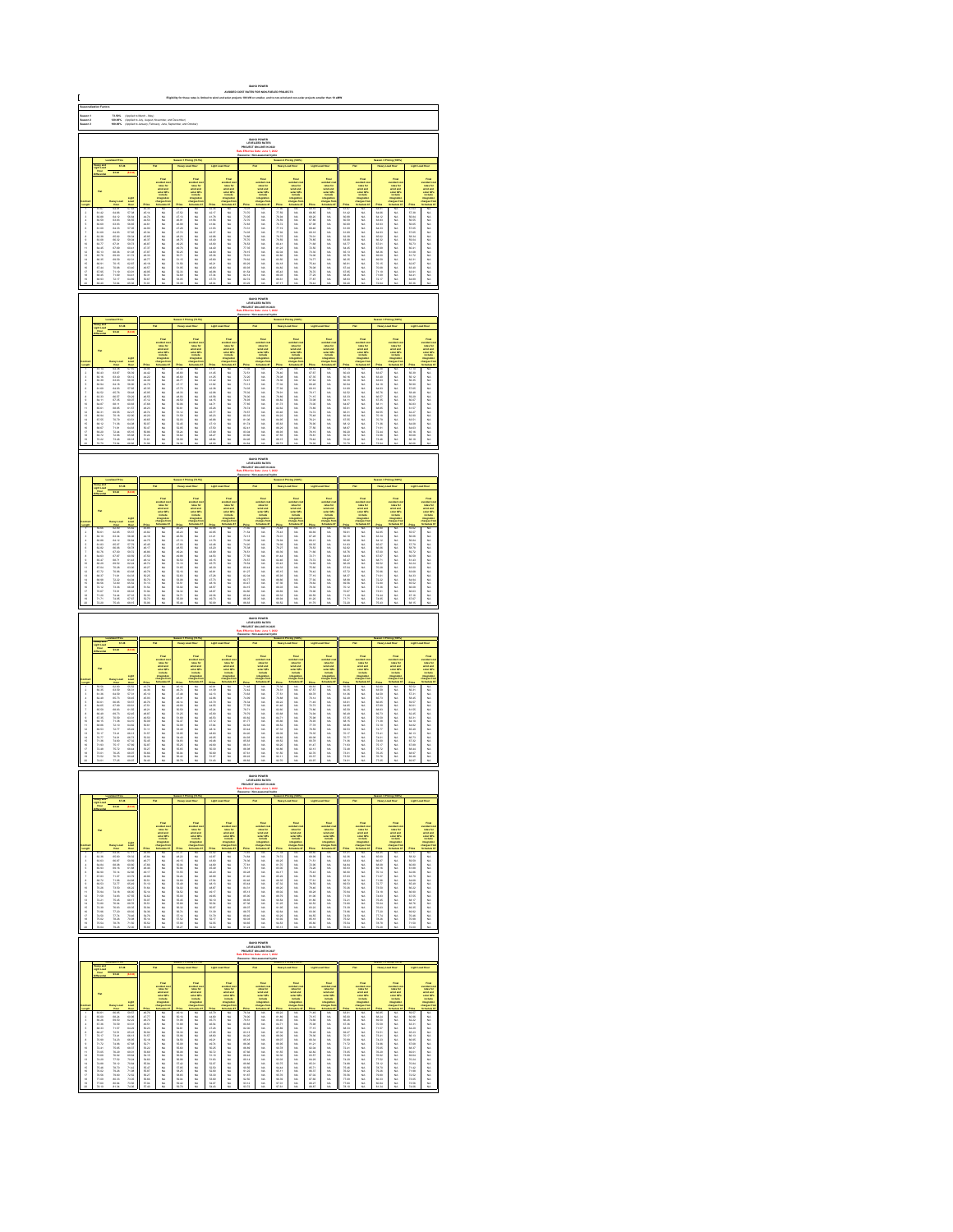| C                                | 73.60%<br>120.00%<br>100.00%<br>(Applied To March - May)<br>(Applied To July, August, No<br>(Applied To January, Februm                                                                                                     |                                                                                                                                                                                                                                |                                                                                                                                                                                                                                       |                                                                                                                                                                                                                               |                                                                            |                                                  |                                                                                              |                                                                                                              |                                                                                                                                                                                                                              |                                                              |                                                                                          |                                                                                |                                                                                                 |                                                                                                                |                                                                                                   |                            |                                                                                                     |                                                |                                                                                                  |                                                                                                                                                                                                                              |                                                                                                                                                                                                                               |
|----------------------------------|-----------------------------------------------------------------------------------------------------------------------------------------------------------------------------------------------------------------------------|--------------------------------------------------------------------------------------------------------------------------------------------------------------------------------------------------------------------------------|---------------------------------------------------------------------------------------------------------------------------------------------------------------------------------------------------------------------------------------|-------------------------------------------------------------------------------------------------------------------------------------------------------------------------------------------------------------------------------|----------------------------------------------------------------------------|--------------------------------------------------|----------------------------------------------------------------------------------------------|--------------------------------------------------------------------------------------------------------------|------------------------------------------------------------------------------------------------------------------------------------------------------------------------------------------------------------------------------|--------------------------------------------------------------|------------------------------------------------------------------------------------------|--------------------------------------------------------------------------------|-------------------------------------------------------------------------------------------------|----------------------------------------------------------------------------------------------------------------|---------------------------------------------------------------------------------------------------|----------------------------|-----------------------------------------------------------------------------------------------------|------------------------------------------------|--------------------------------------------------------------------------------------------------|------------------------------------------------------------------------------------------------------------------------------------------------------------------------------------------------------------------------------|-------------------------------------------------------------------------------------------------------------------------------------------------------------------------------------------------------------------------------|
| Saason 1<br>Saason 3<br>Saason 3 |                                                                                                                                                                                                                             |                                                                                                                                                                                                                                |                                                                                                                                                                                                                                       |                                                                                                                                                                                                                               |                                                                            |                                                  |                                                                                              |                                                                                                              |                                                                                                                                                                                                                              |                                                              |                                                                                          |                                                                                |                                                                                                 |                                                                                                                |                                                                                                   |                            |                                                                                                     |                                                |                                                                                                  |                                                                                                                                                                                                                              |                                                                                                                                                                                                                               |
|                                  |                                                                                                                                                                                                                             |                                                                                                                                                                                                                                |                                                                                                                                                                                                                                       |                                                                                                                                                                                                                               |                                                                            |                                                  |                                                                                              |                                                                                                              |                                                                                                                                                                                                                              |                                                              |                                                                                          |                                                                                |                                                                                                 |                                                                                                                |                                                                                                   |                            |                                                                                                     |                                                |                                                                                                  |                                                                                                                                                                                                                              |                                                                                                                                                                                                                               |
|                                  |                                                                                                                                                                                                                             |                                                                                                                                                                                                                                |                                                                                                                                                                                                                                       |                                                                                                                                                                                                                               |                                                                            |                                                  |                                                                                              |                                                                                                              |                                                                                                                                                                                                                              |                                                              |                                                                                          |                                                                                |                                                                                                 |                                                                                                                |                                                                                                   |                            |                                                                                                     |                                                |                                                                                                  |                                                                                                                                                                                                                              |                                                                                                                                                                                                                               |
|                                  |                                                                                                                                                                                                                             |                                                                                                                                                                                                                                |                                                                                                                                                                                                                                       |                                                                                                                                                                                                                               |                                                                            |                                                  |                                                                                              |                                                                                                              |                                                                                                                                                                                                                              |                                                              |                                                                                          |                                                                                |                                                                                                 |                                                                                                                |                                                                                                   |                            |                                                                                                     |                                                |                                                                                                  |                                                                                                                                                                                                                              |                                                                                                                                                                                                                               |
|                                  |                                                                                                                                                                                                                             |                                                                                                                                                                                                                                |                                                                                                                                                                                                                                       |                                                                                                                                                                                                                               |                                                                            |                                                  | Final<br>selfad dan<br>selfad danis selfad danis<br>selfad in languat ter<br>hangara ter     |                                                                                                              |                                                                                                                                                                                                                              |                                                              | outded on<br>sales for<br>wind and<br>sales CP:<br>include                               |                                                                                | Final<br>colora for<br>colora for<br>website<br>molora                                          |                                                                                                                |                                                                                                   |                            | Final<br>collect co<br>collect and<br>which which<br>impulses<br>harped for                         |                                                | Final<br>voluntari<br>voluntari<br>voluntari<br>voluntari<br>voluntari<br>voluntari<br>voluntari |                                                                                                                                                                                                                              |                                                                                                                                                                                                                               |
|                                  |                                                                                                                                                                                                                             |                                                                                                                                                                                                                                |                                                                                                                                                                                                                                       |                                                                                                                                                                                                                               |                                                                            |                                                  |                                                                                              |                                                                                                              |                                                                                                                                                                                                                              |                                                              |                                                                                          |                                                                                |                                                                                                 |                                                                                                                |                                                                                                   |                            |                                                                                                     |                                                |                                                                                                  |                                                                                                                                                                                                                              |                                                                                                                                                                                                                               |
|                                  |                                                                                                                                                                                                                             |                                                                                                                                                                                                                                |                                                                                                                                                                                                                                       |                                                                                                                                                                                                                               |                                                                            |                                                  |                                                                                              |                                                                                                              |                                                                                                                                                                                                                              |                                                              |                                                                                          |                                                                                |                                                                                                 |                                                                                                                |                                                                                                   |                            |                                                                                                     |                                                |                                                                                                  |                                                                                                                                                                                                                              |                                                                                                                                                                                                                               |
|                                  |                                                                                                                                                                                                                             |                                                                                                                                                                                                                                |                                                                                                                                                                                                                                       |                                                                                                                                                                                                                               |                                                                            |                                                  |                                                                                              |                                                                                                              |                                                                                                                                                                                                                              |                                                              |                                                                                          |                                                                                |                                                                                                 |                                                                                                                |                                                                                                   |                            |                                                                                                     |                                                |                                                                                                  |                                                                                                                                                                                                                              |                                                                                                                                                                                                                               |
| 显示失真原不显示协计经经转线继续排排               |                                                                                                                                                                                                                             |                                                                                                                                                                                                                                | National State Section 2012 12:00 12:00 12:00 12:00 12:00 12:00 12:00 12:00 12:00 12:00 12:00 12:00 12:00 12:00 12:00 12:00 12:00 12:00 12:00 12:00 12:00 12:00 12:00 12:00 12:00 12:00 12:00 12:00 12:00 12:00 12:00 12:00           | 1.后来的 化二氯化物 医二氯化物 化二氯化物 化二氯化物 化二氯化物 医阿尔伯氏试验检胆汁 计数据 计数据 医心包的 医心包的 计数字程序 计数字程序 计数字程序                                                                                                                                            | 33.以以从以以以以以以以以以以以以以以以以                                                     | 一起已成就是已经被自然的地方的复数形式 化二乙基乙基乙基乙基乙基乙基乙基乙基乙基乙基乙基乙基   |                                                                                              | 一般性性性性能能和精神病的治疗性的病毒性的病毒性的病毒性的病毒性的病毒性的病毒性的病毒性的病毒性的                                                            | Foodback and the first second the first second the first second the first second the first second the first second the first second the first second the first second the first second the first second the first second the |                                                              |                                                                                          | 打压 残留方程 医外侧骨 计自动控制 计数据分类 化二乙基苯基 医阿尔伯氏试验检尿病试验检尿病                                | 以以以以以以以以以以以以以以以以以以以                                                                             | 味動の GT GT GE GE TO SE GE TO SE GE TO 20 20 21 22 23 20 21 22 23 24 25 27 28 27 27 27 27 27 27 27 27 27 27 27 2 |                                                                                                   | 6.机磁机机机机磁机磁机磁机磁机 经总额利润税额的  |                                                                                                     | 4.杜杜公公杜杜长长杜公公 林格拉及为九九九                         |                                                                                                  | 記載新島島市大学   第224年   第224年   第224年   第224年   第224年   第224年   第224年   第224年   第224年   第224年   第224年   第224年   第224年   第224年   第224年                                                                                             | take the first off work of the first of the first off the first off the first off the first off the first off the first off the first off the first off the first off the first off the first off the first off the first off |
|                                  |                                                                                                                                                                                                                             |                                                                                                                                                                                                                                |                                                                                                                                                                                                                                       |                                                                                                                                                                                                                               |                                                                            |                                                  |                                                                                              |                                                                                                              |                                                                                                                                                                                                                              |                                                              |                                                                                          |                                                                                |                                                                                                 |                                                                                                                |                                                                                                   |                            |                                                                                                     |                                                |                                                                                                  |                                                                                                                                                                                                                              |                                                                                                                                                                                                                               |
|                                  |                                                                                                                                                                                                                             |                                                                                                                                                                                                                                |                                                                                                                                                                                                                                       |                                                                                                                                                                                                                               |                                                                            |                                                  |                                                                                              |                                                                                                              |                                                                                                                                                                                                                              |                                                              | <b>IDAHO POWER</b><br>LEVELIZED RATES<br>LIECT ON LINE IN T                              |                                                                                |                                                                                                 |                                                                                                                |                                                                                                   |                            |                                                                                                     |                                                |                                                                                                  |                                                                                                                                                                                                                              |                                                                                                                                                                                                                               |
|                                  |                                                                                                                                                                                                                             |                                                                                                                                                                                                                                |                                                                                                                                                                                                                                       |                                                                                                                                                                                                                               |                                                                            |                                                  |                                                                                              |                                                                                                              |                                                                                                                                                                                                                              |                                                              |                                                                                          |                                                                                |                                                                                                 |                                                                                                                |                                                                                                   |                            |                                                                                                     |                                                |                                                                                                  |                                                                                                                                                                                                                              |                                                                                                                                                                                                                               |
|                                  |                                                                                                                                                                                                                             |                                                                                                                                                                                                                                |                                                                                                                                                                                                                                       |                                                                                                                                                                                                                               |                                                                            |                                                  |                                                                                              |                                                                                                              | Freah<br>suchua dua<br>suchua dua<br>suchua Qi<br>suchua qi<br>suchua dua<br>suchua qi                                                                                                                                       |                                                              | vended a<br>select and<br>select and<br>matterial                                        |                                                                                | Final<br>colora for<br>volus for<br>wolar CPs<br>includes<br>integration                        |                                                                                                                |                                                                                                   |                            |                                                                                                     |                                                |                                                                                                  |                                                                                                                                                                                                                              |                                                                                                                                                                                                                               |
|                                  |                                                                                                                                                                                                                             |                                                                                                                                                                                                                                |                                                                                                                                                                                                                                       |                                                                                                                                                                                                                               |                                                                            |                                                  | vented on<br>sales for<br>wind and<br>sales Circula<br>independent<br>independent            |                                                                                                              |                                                                                                                                                                                                                              |                                                              |                                                                                          |                                                                                |                                                                                                 |                                                                                                                |                                                                                                   |                            | rains for<br>state and<br>state CP<br>instate                                                       |                                                |                                                                                                  |                                                                                                                                                                                                                              | 1986年1992年19月11日,1月28日,1月28日,1月28日,1月28日,1月28日,1月28日,1月28日,1月28日,1月28日,1月28日,1月28日,1月28日,1月28日,1月28日,1月28日,1月28日,1月28日,1月28日,1月28日,1月28日,1月28日,1月28日,1月28日,1月28日,1月28日,1月28日,1月28日,1月28日,1月28日,1月28日,1月28日,1月28日,1月28日,1月28日, |
| 运马波车先卫目示 排修经经经经经经经经              | 2023年 10月10日 12月10日 12月23日 12月23日 12月23日 12月23日 12月23日 12月23日 12月23日 12月23日 12月23日 12月23日 12月23日 12月                                                                                                                        |                                                                                                                                                                                                                                | <b>Light Road Property (1978)</b><br>STATE SEARCH STATE SEARCH STATE SEARCH STATE SEARCH STATE SEARCH STATE SEARCH STATE SEARCH STATE SEARCH STATE SEARCH STATE SEARCH STATE SEARCH STATEMENT SEARCH STATEMENT SEARCH STATEMENT SEARC |                                                                                                                                                                                                                               | 化脱机机机机 机机机机机机机机机机机机机                                                       | 化机械机构 机机械的复数形式 计多项 医阴道性 医双脑切开术 医二乙酸二乙酸二乙酸        |                                                                                              | 归归者 计自动控制 医心包的 医心包切除术 医心包性 医心包性 医心包性 医心包性 医心包性 计分类数字 计数字                                                     |                                                                                                                                                                                                                              |                                                              |                                                                                          |                                                                                | 以以以以以以以以以以以以以以以以以以以                                                                             | 联联联系 计数据分类 计数据数据 医阴道性 医心包炎 医心包 医心包的 医心包的 医心包的 医心包的 医心包的 医心包                                                    |                                                                                                   | 机机机机机机机械机械机械机械机械           |                                                                                                     | 城联联联城城 医前缀 医阴道性 计分类数据 医心包性 医心包性 医心包性 医心包性 医心包性 | 加加加加加加加加加加加加加加加加加加                                                                               |                                                                                                                                                                                                                              |                                                                                                                                                                                                                               |
|                                  |                                                                                                                                                                                                                             |                                                                                                                                                                                                                                |                                                                                                                                                                                                                                       |                                                                                                                                                                                                                               |                                                                            |                                                  |                                                                                              |                                                                                                              |                                                                                                                                                                                                                              |                                                              |                                                                                          |                                                                                |                                                                                                 |                                                                                                                |                                                                                                   |                            |                                                                                                     |                                                |                                                                                                  |                                                                                                                                                                                                                              |                                                                                                                                                                                                                               |
|                                  |                                                                                                                                                                                                                             |                                                                                                                                                                                                                                |                                                                                                                                                                                                                                       |                                                                                                                                                                                                                               |                                                                            |                                                  |                                                                                              |                                                                                                              |                                                                                                                                                                                                                              |                                                              |                                                                                          |                                                                                |                                                                                                 |                                                                                                                |                                                                                                   |                            |                                                                                                     |                                                |                                                                                                  |                                                                                                                                                                                                                              |                                                                                                                                                                                                                               |
|                                  |                                                                                                                                                                                                                             |                                                                                                                                                                                                                                |                                                                                                                                                                                                                                       |                                                                                                                                                                                                                               |                                                                            |                                                  |                                                                                              |                                                                                                              |                                                                                                                                                                                                                              |                                                              |                                                                                          |                                                                                |                                                                                                 |                                                                                                                |                                                                                                   |                            |                                                                                                     |                                                |                                                                                                  |                                                                                                                                                                                                                              |                                                                                                                                                                                                                               |
|                                  |                                                                                                                                                                                                                             |                                                                                                                                                                                                                                |                                                                                                                                                                                                                                       |                                                                                                                                                                                                                               |                                                                            |                                                  |                                                                                              |                                                                                                              |                                                                                                                                                                                                                              |                                                              | <b>IDAHO POWER<br/>LEVELIZED RATES<br/>LECT ON LINE IN 202</b>                           |                                                                                |                                                                                                 |                                                                                                                |                                                                                                   |                            |                                                                                                     |                                                |                                                                                                  |                                                                                                                                                                                                                              |                                                                                                                                                                                                                               |
|                                  |                                                                                                                                                                                                                             |                                                                                                                                                                                                                                |                                                                                                                                                                                                                                       |                                                                                                                                                                                                                               |                                                                            |                                                  |                                                                                              |                                                                                                              |                                                                                                                                                                                                                              |                                                              |                                                                                          |                                                                                |                                                                                                 |                                                                                                                |                                                                                                   |                            |                                                                                                     |                                                |                                                                                                  |                                                                                                                                                                                                                              |                                                                                                                                                                                                                               |
|                                  | navy am<br>ghl Loa                                                                                                                                                                                                          |                                                                                                                                                                                                                                |                                                                                                                                                                                                                                       |                                                                                                                                                                                                                               |                                                                            |                                                  |                                                                                              |                                                                                                              |                                                                                                                                                                                                                              |                                                              |                                                                                          |                                                                                |                                                                                                 |                                                                                                                |                                                                                                   |                            |                                                                                                     |                                                |                                                                                                  |                                                                                                                                                                                                                              |                                                                                                                                                                                                                               |
|                                  |                                                                                                                                                                                                                             |                                                                                                                                                                                                                                |                                                                                                                                                                                                                                       |                                                                                                                                                                                                                               |                                                                            |                                                  | Final<br>seated as<br>state for<br>state City<br>today<br>integration<br>harges for          |                                                                                                              |                                                                                                                                                                                                                              |                                                              | vended or<br>sales for<br>which are<br>sales CP                                          |                                                                                | volad<br>volas for<br>volad and<br>solar CP<br>include                                          |                                                                                                                | volded on<br>ratios for<br>militar del ante<br>solaritar del proposito<br>hangaritar<br>hangarita |                            |                                                                                                     |                                                | ontine) a<br>radom Re<br>wired any<br>walter Cit                                                 |                                                                                                                                                                                                                              |                                                                                                                                                                                                                               |
|                                  |                                                                                                                                                                                                                             |                                                                                                                                                                                                                                |                                                                                                                                                                                                                                       |                                                                                                                                                                                                                               |                                                                            |                                                  |                                                                                              |                                                                                                              |                                                                                                                                                                                                                              |                                                              |                                                                                          |                                                                                |                                                                                                 |                                                                                                                |                                                                                                   |                            |                                                                                                     |                                                |                                                                                                  |                                                                                                                                                                                                                              |                                                                                                                                                                                                                               |
|                                  |                                                                                                                                                                                                                             |                                                                                                                                                                                                                                |                                                                                                                                                                                                                                       |                                                                                                                                                                                                                               |                                                                            |                                                  |                                                                                              |                                                                                                              |                                                                                                                                                                                                                              |                                                              |                                                                                          |                                                                                |                                                                                                 |                                                                                                                |                                                                                                   |                            |                                                                                                     |                                                |                                                                                                  |                                                                                                                                                                                                                              |                                                                                                                                                                                                                               |
|                                  |                                                                                                                                                                                                                             |                                                                                                                                                                                                                                |                                                                                                                                                                                                                                       |                                                                                                                                                                                                                               |                                                                            |                                                  |                                                                                              |                                                                                                              |                                                                                                                                                                                                                              |                                                              |                                                                                          |                                                                                |                                                                                                 |                                                                                                                |                                                                                                   |                            |                                                                                                     |                                                |                                                                                                  | 新闻新闻 经利用的 化二乙烯基 医三角 医三角 医三角 医三角 医二角 医二角 医二角 医二角 医二角 医二角膜 医二角膜炎                                                                                                                                                               |                                                                                                                                                                                                                               |
| - 17 日月有月早早日给计时归归帐帐饮饮饮           | 1.5.47.5.8.8.9.7% (4) 0.47.5.8.9.7% (4) 0.47.5.8.9.7% (4) 0.47.5.9.7% (4) 0.47.5.7% (4) 0.47.5.7% (4) 0.47                                                                                                                  | 2010 经总收益 经总收款 计总线 医外皮 计多级 化二乙基乙烯基 医单位 医单位 医单位 医单位 医单位 医单位 医单位                                                                                                                                                                 | May SES2  SES2  SES2  2010 ME SES2  2010 SES2  2010 SES2  2010 SES2  2010 SES2  2010 SES2  2010 SES2  2010 SES2  2010 SES2  2010 SES2  2010 SES2  2010 SES2  2010 SES2  2010 SES2  2010 SES2  2010 SES2  2010 SES2  2010 S            | 3.白昼情感痛苦的 化硫酸钠 化硫酸钠 化硫酸钠                                                                                                                                                                                                      | 化脱脂酸脱脂酸脱脂酸脱脂酸脱脂酸脱脂酸脱脂                                                      | 一般成功 经总额利用 医分裂性脑炎 医阴道性脑炎 医单位性脑炎 医皮肤性 医心包性 医阿尔特氏征 |                                                                                              | 松井22:00 02:00 02:00 02:00 02:00 02:00 02:00 02:00 02:00 02:00 02:00 02:00 02:00 02:00 02:00 02:00 02:00 02:0 |                                                                                                                                                                                                                              | - 九分22年2月22日 2月22日 2月22日 2月22日 2月22日 2月22日 2月22日 2月22日 2月22日 | 2. 双肢肌肌肌肌肌肌肌肌肌肌肌肌肌肌肌肌肌                                                                   | 光线 光线 化自动电压 化二乙基苯基 化二乙基苯基 化二乙基苯基 医二乙基 医二乙基 医二乙基                                | 以以以以以以以以以以以以以以以以以以以                                                                             |                                                                                                                | ***********************                                                                           | 网络帕哈约帕哈纳帕帕哈哈 植植物为为外的       |                                                                                                     |                                                | 加加加加加加加加加加加加加加加加加加                                                                               |                                                                                                                                                                                                                              |                                                                                                                                                                                                                               |
|                                  |                                                                                                                                                                                                                             |                                                                                                                                                                                                                                |                                                                                                                                                                                                                                       |                                                                                                                                                                                                                               |                                                                            |                                                  |                                                                                              |                                                                                                              |                                                                                                                                                                                                                              |                                                              |                                                                                          |                                                                                |                                                                                                 |                                                                                                                |                                                                                                   |                            |                                                                                                     |                                                |                                                                                                  |                                                                                                                                                                                                                              |                                                                                                                                                                                                                               |
|                                  |                                                                                                                                                                                                                             |                                                                                                                                                                                                                                |                                                                                                                                                                                                                                       |                                                                                                                                                                                                                               |                                                                            |                                                  |                                                                                              |                                                                                                              |                                                                                                                                                                                                                              |                                                              |                                                                                          |                                                                                |                                                                                                 |                                                                                                                |                                                                                                   |                            |                                                                                                     |                                                |                                                                                                  |                                                                                                                                                                                                                              |                                                                                                                                                                                                                               |
|                                  |                                                                                                                                                                                                                             |                                                                                                                                                                                                                                |                                                                                                                                                                                                                                       |                                                                                                                                                                                                                               |                                                                            |                                                  |                                                                                              |                                                                                                              |                                                                                                                                                                                                                              |                                                              | <b>IDAHO POWER<br/>LEVELIZED RATES<br/>LIECT ON-LINE IN 20<br/>Fictive Date: Jane 1,</b> |                                                                                |                                                                                                 |                                                                                                                |                                                                                                   |                            |                                                                                                     |                                                |                                                                                                  |                                                                                                                                                                                                                              |                                                                                                                                                                                                                               |
|                                  |                                                                                                                                                                                                                             | 82                                                                                                                                                                                                                             |                                                                                                                                                                                                                                       |                                                                                                                                                                                                                               |                                                                            |                                                  |                                                                                              |                                                                                                              |                                                                                                                                                                                                                              |                                                              |                                                                                          |                                                                                |                                                                                                 |                                                                                                                |                                                                                                   |                            |                                                                                                     |                                                |                                                                                                  |                                                                                                                                                                                                                              |                                                                                                                                                                                                                               |
|                                  |                                                                                                                                                                                                                             |                                                                                                                                                                                                                                |                                                                                                                                                                                                                                       |                                                                                                                                                                                                                               | Final<br>selection<br>selection<br>selection<br>integration<br>integration |                                                  |                                                                                              |                                                                                                              |                                                                                                                                                                                                                              |                                                              | vended to<br>sales for<br>what are<br>salar CP<br>includes                               |                                                                                | Final<br>colora for<br>colora for<br>website<br>techniqueline<br>colorageation<br>colorageation |                                                                                                                |                                                                                                   |                            |                                                                                                     |                                                | volded a<br>radon for<br>wind and<br>window<br>hispath                                           |                                                                                                                                                                                                                              |                                                                                                                                                                                                                               |
|                                  |                                                                                                                                                                                                                             |                                                                                                                                                                                                                                |                                                                                                                                                                                                                                       |                                                                                                                                                                                                                               |                                                                            |                                                  | Final<br>voltat ca<br>voltat ca<br>vina GP4<br>tailade<br>indeption<br>harges to             |                                                                                                              | Final<br>contrad on<br>color final and<br>solar QP<br>include<br>integration<br>harves for                                                                                                                                   |                                                              |                                                                                          |                                                                                |                                                                                                 |                                                                                                                | ander<br>Allen<br>Anders<br>Angel<br>Anne                                                         |                            | Final<br>voltat ca<br>voltat ca<br>vina CP<br>salada<br>integration<br>harges the                   |                                                |                                                                                                  |                                                                                                                                                                                                                              |                                                                                                                                                                                                                               |
|                                  |                                                                                                                                                                                                                             |                                                                                                                                                                                                                                |                                                                                                                                                                                                                                       |                                                                                                                                                                                                                               |                                                                            |                                                  |                                                                                              |                                                                                                              |                                                                                                                                                                                                                              |                                                              |                                                                                          |                                                                                |                                                                                                 |                                                                                                                |                                                                                                   |                            |                                                                                                     |                                                |                                                                                                  |                                                                                                                                                                                                                              |                                                                                                                                                                                                                               |
|                                  |                                                                                                                                                                                                                             |                                                                                                                                                                                                                                |                                                                                                                                                                                                                                       |                                                                                                                                                                                                                               |                                                                            |                                                  |                                                                                              |                                                                                                              |                                                                                                                                                                                                                              |                                                              |                                                                                          |                                                                                |                                                                                                 |                                                                                                                |                                                                                                   |                            |                                                                                                     |                                                |                                                                                                  |                                                                                                                                                                                                                              |                                                                                                                                                                                                                               |
|                                  |                                                                                                                                                                                                                             |                                                                                                                                                                                                                                |                                                                                                                                                                                                                                       |                                                                                                                                                                                                                               |                                                                            |                                                  |                                                                                              |                                                                                                              |                                                                                                                                                                                                                              |                                                              |                                                                                          |                                                                                |                                                                                                 |                                                                                                                |                                                                                                   |                            |                                                                                                     |                                                |                                                                                                  |                                                                                                                                                                                                                              |                                                                                                                                                                                                                               |
| 不不失弃 医不显示动计说话 网络铁纤维              | 30.35 亿元的 10.45 10.45 10.45 10.45 10.45 10.45 10.45 10.45 10.45 10.45 10.45 10.45 10.45 10.45 10.45 10.45 10.45 10.45 10.45 10.45 10.45 10.45 10.45 10.45 10.45 10.45 10.45 10.45 10.45 10.45 10.45 10.45 10.45 10.45 10.45 |                                                                                                                                                                                                                                | 2020年 2021年 2021年 2021年 2月23日 2月23日 2月23日 2月23日 2月23日 2月23日 2月23日 2月23日 2月23日 2月23日 2月23日 2月23日 2月23日 2月23日 2月23日 2月23日 2月23日 2月23日 2月23日 2月23日 2月23日 2月23日 2月23日 2月23日 2月23日 2月23日 2月23日 2月23日 2月23日 2月23日 2月23日 2月23日 2月23日         | 43.78 46.92 46.27 48.27 48.37 48.37 48.37 48.37 48.37 48.37 48.37 48.37 48.37 48.37 48.37 48.37 48.4                                                                                                                          | 化脱机机放射机 机机机机机机机机机机机机                                                       | 强威疗法精神精神的复数 医耳鼓 医尿道肠 医阿拉特氏试验检尿道检尿道检尿道检尿道检尿道检尿道   |                                                                                              |                                                                                                              |                                                                                                                                                                                                                              |                                                              | 2. 机机 机机机机机机机机机机机机机机机机                                                                   | /光万万能 计起放器括约器 网络哈哈特的                                                           | 以以以以以以以以以以以以以以以以以以以                                                                             | 朝鮮地 为什么方法 化标准 的复数医自动电压 经利用的 医阿尔伯氏试验检胆甾醇 医前庭 医外皮切除术                                                             |                                                                                                   |                            |                                                                                                     | 联联联联联联联机 计分子分类 化活性 医水杨酸盐 医阿尔伯氏试验检梅毒 医阿尔伯氏试验检梅毒 | 加加加加加加加加加加加加加加加加加加加                                                                              | 新江市区18月18日   12月18日   12月18日   12月18日   12月18日   12月18日   12月18日   12月18日   12月18日   12月18日   12月                                                                                                                            |                                                                                                                                                                                                                               |
|                                  |                                                                                                                                                                                                                             |                                                                                                                                                                                                                                |                                                                                                                                                                                                                                       |                                                                                                                                                                                                                               |                                                                            |                                                  |                                                                                              |                                                                                                              |                                                                                                                                                                                                                              |                                                              | DAHO POWER<br>LEVELIZED RATES<br>LIECT ON-LINE IN 21                                     |                                                                                |                                                                                                 |                                                                                                                |                                                                                                   |                            |                                                                                                     |                                                |                                                                                                  |                                                                                                                                                                                                                              |                                                                                                                                                                                                                               |
|                                  |                                                                                                                                                                                                                             |                                                                                                                                                                                                                                |                                                                                                                                                                                                                                       |                                                                                                                                                                                                                               |                                                                            |                                                  |                                                                                              |                                                                                                              |                                                                                                                                                                                                                              |                                                              |                                                                                          |                                                                                |                                                                                                 |                                                                                                                |                                                                                                   |                            |                                                                                                     |                                                |                                                                                                  |                                                                                                                                                                                                                              |                                                                                                                                                                                                                               |
|                                  |                                                                                                                                                                                                                             |                                                                                                                                                                                                                                |                                                                                                                                                                                                                                       |                                                                                                                                                                                                                               |                                                                            |                                                  |                                                                                              |                                                                                                              |                                                                                                                                                                                                                              |                                                              |                                                                                          |                                                                                |                                                                                                 |                                                                                                                |                                                                                                   |                            |                                                                                                     |                                                |                                                                                                  |                                                                                                                                                                                                                              |                                                                                                                                                                                                                               |
|                                  |                                                                                                                                                                                                                             |                                                                                                                                                                                                                                |                                                                                                                                                                                                                                       |                                                                                                                                                                                                                               |                                                                            |                                                  | Final<br>seated ca<br>cales for<br>selected and<br>selected industry<br>industry<br>transfer |                                                                                                              |                                                                                                                                                                                                                              |                                                              |                                                                                          |                                                                                | vented and<br>selected and<br>selected and<br>helpedian<br>helpedian                            |                                                                                                                |                                                                                                   |                            | readed co<br>relate for<br>which and<br>sales CP<br>holes<br>respective<br>corporation              |                                                |                                                                                                  |                                                                                                                                                                                                                              |                                                                                                                                                                                                                               |
|                                  |                                                                                                                                                                                                                             |                                                                                                                                                                                                                                |                                                                                                                                                                                                                                       |                                                                                                                                                                                                                               |                                                                            |                                                  |                                                                                              |                                                                                                              | <b>THE</b>                                                                                                                                                                                                                   |                                                              |                                                                                          |                                                                                |                                                                                                 |                                                                                                                |                                                                                                   |                            |                                                                                                     |                                                |                                                                                                  |                                                                                                                                                                                                                              |                                                                                                                                                                                                                               |
|                                  |                                                                                                                                                                                                                             |                                                                                                                                                                                                                                |                                                                                                                                                                                                                                       |                                                                                                                                                                                                                               |                                                                            |                                                  |                                                                                              |                                                                                                              |                                                                                                                                                                                                                              |                                                              |                                                                                          |                                                                                |                                                                                                 |                                                                                                                |                                                                                                   |                            |                                                                                                     |                                                |                                                                                                  |                                                                                                                                                                                                                              |                                                                                                                                                                                                                               |
|                                  |                                                                                                                                                                                                                             |                                                                                                                                                                                                                                |                                                                                                                                                                                                                                       |                                                                                                                                                                                                                               |                                                                            |                                                  |                                                                                              |                                                                                                              |                                                                                                                                                                                                                              |                                                              |                                                                                          |                                                                                |                                                                                                 |                                                                                                                |                                                                                                   |                            |                                                                                                     |                                                |                                                                                                  |                                                                                                                                                                                                                              |                                                                                                                                                                                                                               |
|                                  |                                                                                                                                                                                                                             |                                                                                                                                                                                                                                | 2017年5月28日 10月28日 10月28日 10月28日 10月28日 10月28日 10月28日 10月28日 10月28日 10月28日 10月28日 10月28日 10月28日 10月28日 10月28日                                                                                                                          | 新規デ 48 68 17 68 68 17 78 68 17 78 68 17 78 68 17 78 68 17 78 17 78 17 78 17 78 17 78 17 78 17 78 17 78 17 78 17 78 17 78 17 78 17 78 17 78 17 78 17 78 17 78 17 78 17 78 17 78 17 78 17 78 17 78 17 78 17 78 17 78 17 78 17 7 | 1.以以以以以以以以以以以以以以以以以以以                                                      | 自然地 医抗球菌 医抗原性 医心包炎 医心包的 医皮肤性 医皮肤性 医皮肤性 医心包的      |                                                                                              | 12.20 林后 新闻 新型社 计数据数据 医阴道性 计数据数据 计数据数据 医阿尔特氏试验检胆汁 计数据数据                                                      |                                                                                                                                                                                                                              | 光光光光线的长期检核核核核球菌 网络一种一种一种 化二乙基苯基 医阿尔伯氏试验检尿病                   |                                                                                          | // 7年的 机自动转移器 网络一个人 化二乙基苯基 化二乙基苯基 化二乙基苯基 化二乙基苯基 医单元 计数字 计数字 医阿尔比尔氏试验检胆汁 化二乙基乙烯 |                                                                                                 |                                                                                                                |                                                                                                   |                            |                                                                                                     | 1.低低低低的加升升发力 2.2 万元,我们的一个多年的一个多年的一个多年的         |                                                                                                  | 583860 05.8887 06.888 05.55 06.55 06.55 06.55 06.55 06.55 07.55 06.55 07.55 07.55 07.55 07.55 07.55 0                                                                                                                        |                                                                                                                                                                                                                               |
|                                  | (2) 结核 低价 机扩大 机加工机 地名美国阿尔特 化分子 计多数 医心包 计数字 计数字 计数字 计数字 计数字 医心包的                                                                                                                                                             | 44 新鲜的 10 22 22 23 24 25 26 27 28 29 20 21 22 23 24 25 26 27 28 29 20 21 22 23 24 25 26 27 27 28 29 20 21 22 23 24 25 26 27 27 27 28 29                                                                                        |                                                                                                                                                                                                                                       |                                                                                                                                                                                                                               |                                                                            |                                                  |                                                                                              |                                                                                                              |                                                                                                                                                                                                                              |                                                              |                                                                                          |                                                                                |                                                                                                 |                                                                                                                |                                                                                                   | ( ) 结核核酸 机砂板机为光滑 升分分为为光光光光 |                                                                                                     |                                                |                                                                                                  |                                                                                                                                                                                                                              | 2.双腿肌肌肌肌肌肌肌肌肌肌肌肌肌肌肌肌肌肌                                                                                                                                                                                                        |
|                                  |                                                                                                                                                                                                                             |                                                                                                                                                                                                                                |                                                                                                                                                                                                                                       |                                                                                                                                                                                                                               |                                                                            |                                                  |                                                                                              |                                                                                                              |                                                                                                                                                                                                                              |                                                              | <b>DAHO FOWER</b><br>LEVELIZED RATES                                                     |                                                                                |                                                                                                 |                                                                                                                |                                                                                                   |                            |                                                                                                     |                                                |                                                                                                  |                                                                                                                                                                                                                              |                                                                                                                                                                                                                               |
|                                  |                                                                                                                                                                                                                             |                                                                                                                                                                                                                                |                                                                                                                                                                                                                                       |                                                                                                                                                                                                                               |                                                                            |                                                  |                                                                                              |                                                                                                              |                                                                                                                                                                                                                              |                                                              |                                                                                          |                                                                                |                                                                                                 |                                                                                                                |                                                                                                   |                            |                                                                                                     |                                                |                                                                                                  |                                                                                                                                                                                                                              |                                                                                                                                                                                                                               |
|                                  |                                                                                                                                                                                                                             |                                                                                                                                                                                                                                |                                                                                                                                                                                                                                       |                                                                                                                                                                                                                               |                                                                            |                                                  |                                                                                              |                                                                                                              |                                                                                                                                                                                                                              |                                                              |                                                                                          |                                                                                | raiss for<br>wind and<br>solar CP<br>include                                                    |                                                                                                                |                                                                                                   |                            |                                                                                                     |                                                |                                                                                                  |                                                                                                                                                                                                                              |                                                                                                                                                                                                                               |
|                                  |                                                                                                                                                                                                                             |                                                                                                                                                                                                                                |                                                                                                                                                                                                                                       |                                                                                                                                                                                                                               |                                                                            |                                                  | <b>THE</b>                                                                                   |                                                                                                              |                                                                                                                                                                                                                              |                                                              | <b>SER</b>                                                                               |                                                                                |                                                                                                 |                                                                                                                | the                                                                                               |                            | Final<br>contact contact contact and<br>said and and said contact CP<br>includes<br>integrative for |                                                |                                                                                                  |                                                                                                                                                                                                                              |                                                                                                                                                                                                                               |
|                                  |                                                                                                                                                                                                                             |                                                                                                                                                                                                                                |                                                                                                                                                                                                                                       |                                                                                                                                                                                                                               |                                                                            |                                                  |                                                                                              |                                                                                                              |                                                                                                                                                                                                                              |                                                              |                                                                                          |                                                                                |                                                                                                 |                                                                                                                |                                                                                                   |                            |                                                                                                     |                                                |                                                                                                  |                                                                                                                                                                                                                              |                                                                                                                                                                                                                               |
|                                  |                                                                                                                                                                                                                             |                                                                                                                                                                                                                                |                                                                                                                                                                                                                                       |                                                                                                                                                                                                                               |                                                                            |                                                  |                                                                                              |                                                                                                              |                                                                                                                                                                                                                              |                                                              |                                                                                          |                                                                                |                                                                                                 |                                                                                                                |                                                                                                   |                            |                                                                                                     |                                                |                                                                                                  |                                                                                                                                                                                                                              |                                                                                                                                                                                                                               |
| 牙牙皮身身足目 医排针球性神经神经神经              |                                                                                                                                                                                                                             | New 18:30 75:30 71:37 72:31 74:33 75:32 75:32 75:32 75:32 75:32 75:32 75:32 75:32 75:33 75:33 75:33 75:33 75:33 75:33 75:33 75:33 75:33 75:33 75:33 75:33 75:33 75:33 75:33 75:33 75:33 75:33 75:33 75:33 75:33 75:33 75:33 75 | <b>LAN ROUND 00:22 02:35 04:25 15:06 02:22 15:06 02:22 15:06 02:22 15:06 02:22 15:06 02:22 15:06 02:22 15:06 02:22 15:06 02:22 15:06 02:22 15:06 02:22 15:06 02:22 15:06 02:22 15:06 02:22 15:06 02:22 15:06 02:22 15:06 02:22 1</b>  | 46.7月2日 48.5日 5月28日 5月28日 5月28日 5月28日 5月28日 5月28日 5月28日 5月28日 5月28日 5月28日 5月28日 5月28日 5月28日 5月28日 5月                                                                                                                          | 化脱脂 化脱脂酸医脱脂酸 化脱脂酸 化脱脂酸                                                     | 机加热机 医自动性脑炎 医尿道性 医阴道性脑炎 医尿道性 医尿道性 医尿道性 医尿道性      |                                                                                              | 看到的人 化二氯化物 医三氯化物 医三氯化物 医三氯化物 医三氯化物 医三氯化物 医三氯化物 医三氯化物                                                         |                                                                                                                                                                                                                              |                                                              |                                                                                          | 一共政府所有的法院的公司的法院的法院的法院的法庭的法庭的法庭的法庭的法庭的法庭的法庭的法庭                                  | 联联联联联联联联联联联联联联联联联联联                                                                             | 开发地球 化加油油 计自动控制 机防御控制器 医骨折 医骨折 医骨折 医骨折 医骨折的 医骨折的 医骨折的                                                          | 2. 地址地址地址地址地址地址地址地址地址地址                                                                           |                            |                                                                                                     | 机械的加工 化乙基酸盐 化氯化乙酸二酯 医皮肤性 医皮肤病 医皮肤病 医皮肤病 医多种性的  | 化加加加加加加加加加加加加加加加加加加                                                                              | 初記31 朝廷21 11 新羅32 25 新羅32 25 新羅32 25 新羅32 25 新羅32 25 新羅32 25 新羅32 25 新羅32 25 新羅32 25 新羅32 25 新羅32 25 新羅32 25 新羅32 25 新羅32 25 新羅32 25 新羅32 25 新羅32 25 新羅32 25 新羅32 25 新羅32 25 新羅32 25 新羅32 25 新羅32 25 新羅32 25 新羅32 25 新羅32 25 |                                                                                                                                                                                                                               |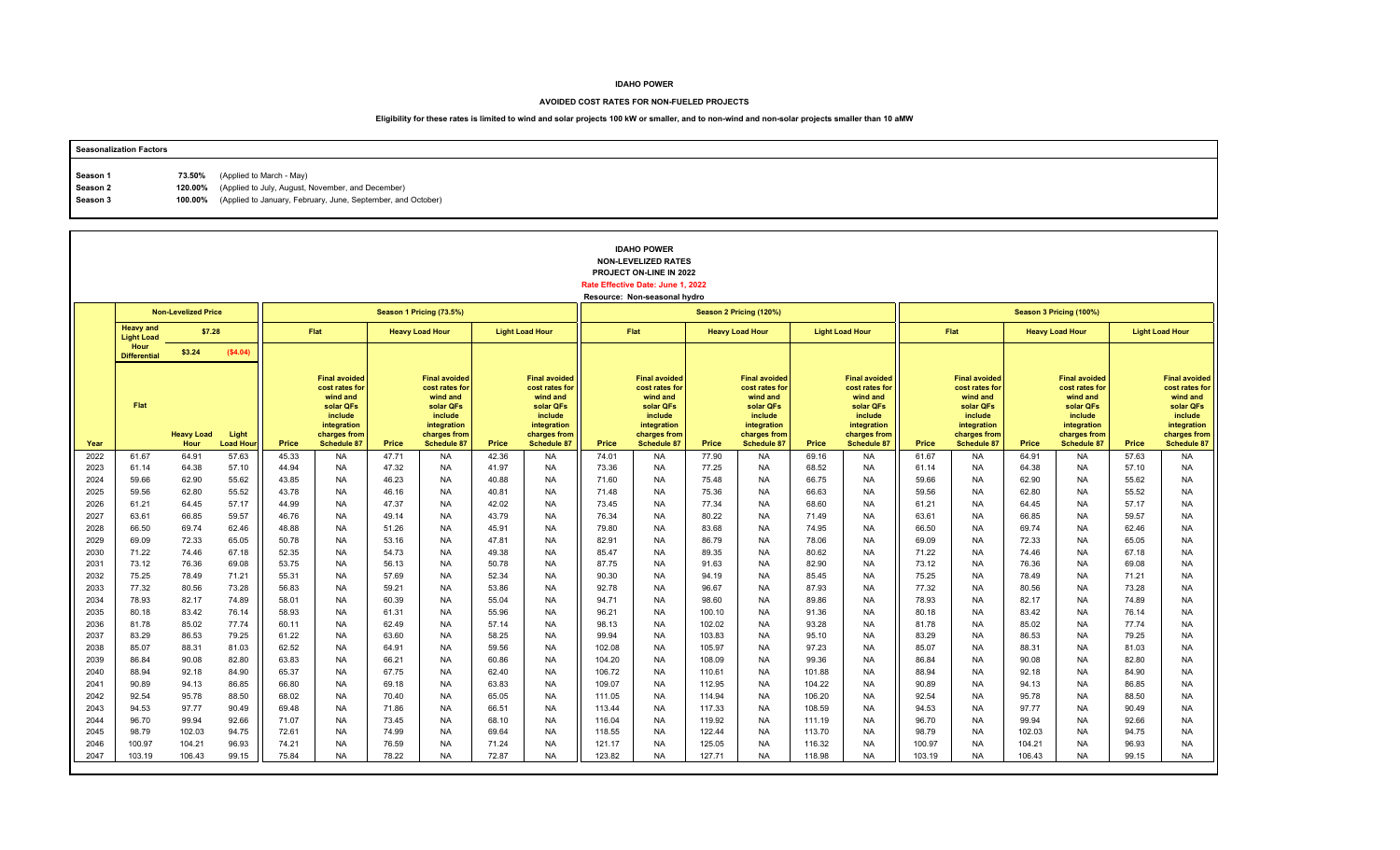### **AVOIDED COST RATES FOR NON-FUELED PROJECTS**

| <b>Seasonalization Factors</b> |        |                                                                      |
|--------------------------------|--------|----------------------------------------------------------------------|
|                                |        |                                                                      |
| Season 1                       | 73.50% | (Applied to March - May)                                             |
| Season 2                       |        | 120.00% (Applied to July, August, November, and December)            |
| Season 3                       |        | 100.00% (Applied to January, February, June, September, and October) |
|                                |        |                                                                      |

|              |                                       | <b>IDAHO POWER</b><br><b>NON-LEVELIZED RATES</b><br>PROJECT ON-LINE IN 2022<br>Rate Effective Date: June 1, 2022<br>Resource: Non-seasonal hydro<br><b>Non-Levelized Price</b><br>Season 1 Pricing (73.5%)<br>Season 2 Pricing (120%) |                          |                |                                                                                                                                 |                |                                                                                                                                 |                |                                                                                                                                 |                |                                                                                                                          |                  |                                                                                                                                 |                |                                                                                                                          |                |                                                                                                                                 |                |                                                                                                                                 |                |                                                                                                                                 |
|--------------|---------------------------------------|---------------------------------------------------------------------------------------------------------------------------------------------------------------------------------------------------------------------------------------|--------------------------|----------------|---------------------------------------------------------------------------------------------------------------------------------|----------------|---------------------------------------------------------------------------------------------------------------------------------|----------------|---------------------------------------------------------------------------------------------------------------------------------|----------------|--------------------------------------------------------------------------------------------------------------------------|------------------|---------------------------------------------------------------------------------------------------------------------------------|----------------|--------------------------------------------------------------------------------------------------------------------------|----------------|---------------------------------------------------------------------------------------------------------------------------------|----------------|---------------------------------------------------------------------------------------------------------------------------------|----------------|---------------------------------------------------------------------------------------------------------------------------------|
|              |                                       |                                                                                                                                                                                                                                       |                          |                |                                                                                                                                 |                |                                                                                                                                 |                |                                                                                                                                 |                |                                                                                                                          |                  |                                                                                                                                 |                |                                                                                                                          |                |                                                                                                                                 |                | Season 3 Pricing (100%)                                                                                                         |                |                                                                                                                                 |
|              | <b>Heavy and</b><br><b>Light Load</b> | \$7.28                                                                                                                                                                                                                                |                          |                | <b>Flat</b>                                                                                                                     |                | <b>Heavy Load Hour</b>                                                                                                          |                | <b>Light Load Hour</b>                                                                                                          |                | Flat                                                                                                                     |                  | <b>Heavy Load Hour</b>                                                                                                          |                | <b>Light Load Hour</b>                                                                                                   |                | Flat                                                                                                                            |                | <b>Heavy Load Hour</b>                                                                                                          |                | <b>Light Load Hour</b>                                                                                                          |
|              | Hour<br><b>Differential</b>           | \$3.24                                                                                                                                                                                                                                | (\$4.04)                 |                |                                                                                                                                 |                |                                                                                                                                 |                |                                                                                                                                 |                |                                                                                                                          |                  |                                                                                                                                 |                |                                                                                                                          |                |                                                                                                                                 |                |                                                                                                                                 |                |                                                                                                                                 |
| Year         | Flat                                  | <b>Heavy Load</b><br>Hour                                                                                                                                                                                                             | Light<br><b>Load Hou</b> | Price          | <b>Final avoided</b><br>cost rates for<br>wind and<br>solar QFs<br>include<br>integration<br>charges from<br><b>Schedule 87</b> | Price          | <b>Final avoided</b><br>cost rates for<br>wind and<br>solar QFs<br>include<br>integration<br>charges from<br><b>Schedule 87</b> | Price          | <b>Final avoided</b><br>cost rates for<br>wind and<br>solar QFs<br>include<br>integration<br>charges from<br><b>Schedule 87</b> | Price          | <b>Final avoided</b><br>cost rates for<br>wind and<br>solar QFs<br>include<br>integration<br>charges from<br>Schedule 87 | Price            | <b>Final avoided</b><br>cost rates for<br>wind and<br>solar QFs<br>include<br>integration<br>charges from<br><b>Schedule 87</b> | Price          | <b>Final avoided</b><br>cost rates for<br>wind and<br>solar QFs<br>include<br>integration<br>charges from<br>Schedule 87 | Price          | <b>Final avoided</b><br>cost rates for<br>wind and<br>solar QFs<br>include<br>integration<br>charges from<br><b>Schedule 87</b> | Price          | <b>Final avoided</b><br>cost rates for<br>wind and<br>solar QFs<br>include<br>integration<br>charges from<br><b>Schedule 87</b> | <b>Price</b>   | <b>Final avoided</b><br>cost rates for<br>wind and<br>solar QFs<br>include<br>integration<br>charges from<br><b>Schedule 87</b> |
| 2022         | 61.67                                 | 64.91                                                                                                                                                                                                                                 | 57.63                    | 45.33          | <b>NA</b>                                                                                                                       | 47.71          | <b>NA</b>                                                                                                                       | 42.36          | <b>NA</b>                                                                                                                       | 74.01          | <b>NA</b>                                                                                                                | 77.90            | <b>NA</b>                                                                                                                       | 69.16          | <b>NA</b>                                                                                                                | 61.67          | <b>NA</b>                                                                                                                       | 64.91          | <b>NA</b>                                                                                                                       | 57.63          | <b>NA</b>                                                                                                                       |
| 2023         | 61.14                                 | 64.38                                                                                                                                                                                                                                 | 57.10                    | 44.94          | <b>NA</b>                                                                                                                       | 47.32          | <b>NA</b>                                                                                                                       | 41.97          | NA                                                                                                                              | 73.36          | NA                                                                                                                       | 77.25            | <b>NA</b>                                                                                                                       | 68.52          | NA                                                                                                                       | 61.14          | <b>NA</b>                                                                                                                       | 64.38          | <b>NA</b>                                                                                                                       | 57.10          | <b>NA</b>                                                                                                                       |
| 2024         | 59.66                                 | 62.90                                                                                                                                                                                                                                 | 55.62                    | 43.85          | <b>NA</b>                                                                                                                       | 46.23          | <b>NA</b>                                                                                                                       | 40.88          | <b>NA</b>                                                                                                                       | 71.60          | <b>NA</b>                                                                                                                | 75.48            | <b>NA</b>                                                                                                                       | 66.75          | <b>NA</b>                                                                                                                | 59.66          | <b>NA</b>                                                                                                                       | 62.90          | <b>NA</b>                                                                                                                       | 55.62          | <b>NA</b>                                                                                                                       |
| 2025<br>2026 | 59.56<br>61.21                        | 62.80<br>64.45                                                                                                                                                                                                                        | 55.52<br>57.17           | 43.78<br>44.99 | <b>NA</b><br><b>NA</b>                                                                                                          | 46.16<br>47.37 | <b>NA</b><br><b>NA</b>                                                                                                          | 40.81<br>42.02 | <b>NA</b><br><b>NA</b>                                                                                                          | 71.48<br>73.45 | <b>NA</b><br><b>NA</b>                                                                                                   | 75.36<br>77.34   | <b>NA</b><br><b>NA</b>                                                                                                          | 66.63<br>68.60 | <b>NA</b><br><b>NA</b>                                                                                                   | 59.56<br>61.21 | <b>NA</b><br><b>NA</b>                                                                                                          | 62.80<br>64.45 | <b>NA</b><br><b>NA</b>                                                                                                          | 55.52<br>57.17 | <b>NA</b><br><b>NA</b>                                                                                                          |
| 2027         | 63.61                                 | 66.85                                                                                                                                                                                                                                 | 59.57                    | 46.76          | <b>NA</b>                                                                                                                       | 49.14          | <b>NA</b>                                                                                                                       | 43.79          | <b>NA</b>                                                                                                                       | 76.34          | <b>NA</b>                                                                                                                | 80.22            | <b>NA</b>                                                                                                                       | 71.49          | <b>NA</b>                                                                                                                | 63.61          | <b>NA</b>                                                                                                                       | 66.85          | <b>NA</b>                                                                                                                       | 59.57          | <b>NA</b>                                                                                                                       |
| 2028         | 66.50                                 | 69.74                                                                                                                                                                                                                                 | 62.46                    | 48.88          | <b>NA</b>                                                                                                                       | 51.26          | <b>NA</b>                                                                                                                       | 45.91          | <b>NA</b>                                                                                                                       | 79.80          | <b>NA</b>                                                                                                                | 83.68            | <b>NA</b>                                                                                                                       | 74.95          | <b>NA</b>                                                                                                                | 66.50          | <b>NA</b>                                                                                                                       | 69.74          | <b>NA</b>                                                                                                                       | 62.46          | <b>NA</b>                                                                                                                       |
| 2029         | 69.09                                 | 72.33                                                                                                                                                                                                                                 | 65.05                    | 50.78          | <b>NA</b>                                                                                                                       | 53.16          | <b>NA</b>                                                                                                                       | 47.81          | <b>NA</b>                                                                                                                       | 82.91          | <b>NA</b>                                                                                                                | 86.79            | <b>NA</b>                                                                                                                       | 78.06          | <b>NA</b>                                                                                                                | 69.09          | <b>NA</b>                                                                                                                       | 72.33          | <b>NA</b>                                                                                                                       | 65.05          | <b>NA</b>                                                                                                                       |
| 2030         | 71.22                                 | 74.46                                                                                                                                                                                                                                 | 67.18                    | 52.35          | <b>NA</b>                                                                                                                       | 54.73          | <b>NA</b>                                                                                                                       | 49.38          | <b>NA</b>                                                                                                                       | 85.47          | <b>NA</b>                                                                                                                | 89.35            | <b>NA</b>                                                                                                                       | 80.62          | <b>NA</b>                                                                                                                | 71.22          | <b>NA</b>                                                                                                                       | 74.46          | <b>NA</b>                                                                                                                       | 67.18          | <b>NA</b>                                                                                                                       |
| 2031         | 73.12                                 | 76.36                                                                                                                                                                                                                                 | 69.08                    | 53.75          | <b>NA</b>                                                                                                                       | 56.13          | <b>NA</b>                                                                                                                       | 50.78          | <b>NA</b>                                                                                                                       | 87.75          | <b>NA</b>                                                                                                                | 91.63            | <b>NA</b>                                                                                                                       | 82.90          | <b>NA</b>                                                                                                                | 73.12          | <b>NA</b>                                                                                                                       | 76.36          | <b>NA</b>                                                                                                                       | 69.08          | <b>NA</b>                                                                                                                       |
| 2032         | 75.25                                 | 78.49                                                                                                                                                                                                                                 | 71.21                    | 55.31          | <b>NA</b>                                                                                                                       | 57.69          | <b>NA</b>                                                                                                                       | 52.34          | <b>NA</b>                                                                                                                       | 90.30          | <b>NA</b>                                                                                                                | 94.19            | <b>NA</b>                                                                                                                       | 85.45          | NA                                                                                                                       | 75.25          | <b>NA</b>                                                                                                                       | 78.49          | <b>NA</b>                                                                                                                       | 71.21          | <b>NA</b>                                                                                                                       |
| 2033         | 77.32                                 | 80.56                                                                                                                                                                                                                                 | 73.28                    | 56.83          | <b>NA</b>                                                                                                                       | 59.21          | <b>NA</b>                                                                                                                       | 53.86          | <b>NA</b>                                                                                                                       | 92.78          | <b>NA</b>                                                                                                                | 96.67            | <b>NA</b>                                                                                                                       | 87.93          | <b>NA</b>                                                                                                                | 77.32          | <b>NA</b>                                                                                                                       | 80.56          | <b>NA</b>                                                                                                                       | 73.28          | <b>NA</b>                                                                                                                       |
| 2034         | 78.93                                 | 82.17                                                                                                                                                                                                                                 | 74.89                    | 58.01          | <b>NA</b>                                                                                                                       | 60.39          | <b>NA</b>                                                                                                                       | 55.04          | <b>NA</b>                                                                                                                       | 94.71          | <b>NA</b>                                                                                                                | 98.60            | <b>NA</b>                                                                                                                       | 89.86          | <b>NA</b>                                                                                                                | 78.93          | <b>NA</b>                                                                                                                       | 82.17          | <b>NA</b>                                                                                                                       | 74.89          | <b>NA</b>                                                                                                                       |
| 2035<br>2036 | 80.18                                 | 83.42                                                                                                                                                                                                                                 | 76.14                    | 58.93          | <b>NA</b><br><b>NA</b>                                                                                                          | 61.31<br>62.49 | <b>NA</b>                                                                                                                       | 55.96          | <b>NA</b>                                                                                                                       | 96.21<br>98.13 | <b>NA</b>                                                                                                                | 100.10           | <b>NA</b>                                                                                                                       | 91.36          | <b>NA</b>                                                                                                                | 80.18<br>81.78 | <b>NA</b><br><b>NA</b>                                                                                                          | 83.42          | <b>NA</b>                                                                                                                       | 76.14<br>77.74 | <b>NA</b><br><b>NA</b>                                                                                                          |
| 2037         | 81.78<br>83.29                        | 85.02<br>86.53                                                                                                                                                                                                                        | 77.74<br>79.25           | 60.11<br>61.22 | <b>NA</b>                                                                                                                       | 63.60          | <b>NA</b><br><b>NA</b>                                                                                                          | 57.14<br>58.25 | <b>NA</b><br><b>NA</b>                                                                                                          | 99.94          | <b>NA</b><br><b>NA</b>                                                                                                   | 102.02<br>103.83 | <b>NA</b><br><b>NA</b>                                                                                                          | 93.28<br>95.10 | NA<br><b>NA</b>                                                                                                          | 83.29          | <b>NA</b>                                                                                                                       | 85.02<br>86.53 | <b>NA</b><br><b>NA</b>                                                                                                          | 79.25          | <b>NA</b>                                                                                                                       |
| 2038         | 85.07                                 | 88.31                                                                                                                                                                                                                                 | 81.03                    | 62.52          | <b>NA</b>                                                                                                                       | 64.91          | <b>NA</b>                                                                                                                       | 59.56          | <b>NA</b>                                                                                                                       | 102.08         | NA                                                                                                                       | 105.97           | <b>NA</b>                                                                                                                       | 97.23          | NA                                                                                                                       | 85.07          | <b>NA</b>                                                                                                                       | 88.31          | <b>NA</b>                                                                                                                       | 81.03          | <b>NA</b>                                                                                                                       |
| 2039         | 86.84                                 | 90.08                                                                                                                                                                                                                                 | 82.80                    | 63.83          | <b>NA</b>                                                                                                                       | 66.21          | <b>NA</b>                                                                                                                       | 60.86          | <b>NA</b>                                                                                                                       | 104.20         | <b>NA</b>                                                                                                                | 108.09           | <b>NA</b>                                                                                                                       | 99.36          | <b>NA</b>                                                                                                                | 86.84          | <b>NA</b>                                                                                                                       | 90.08          | <b>NA</b>                                                                                                                       | 82.80          | <b>NA</b>                                                                                                                       |
| 2040         | 88.94                                 | 92.18                                                                                                                                                                                                                                 | 84.90                    | 65.37          | <b>NA</b>                                                                                                                       | 67.75          | <b>NA</b>                                                                                                                       | 62.40          | <b>NA</b>                                                                                                                       | 106.72         | <b>NA</b>                                                                                                                | 110.61           | <b>NA</b>                                                                                                                       | 101.88         | <b>NA</b>                                                                                                                | 88.94          | <b>NA</b>                                                                                                                       | 92.18          | <b>NA</b>                                                                                                                       | 84.90          | <b>NA</b>                                                                                                                       |
| 2041         | 90.89                                 | 94.13                                                                                                                                                                                                                                 | 86.85                    | 66.80          | <b>NA</b>                                                                                                                       | 69.18          | <b>NA</b>                                                                                                                       | 63.83          | <b>NA</b>                                                                                                                       | 109.07         | <b>NA</b>                                                                                                                | 112.95           | <b>NA</b>                                                                                                                       | 104.22         | <b>NA</b>                                                                                                                | 90.89          | <b>NA</b>                                                                                                                       | 94.13          | <b>NA</b>                                                                                                                       | 86.85          | <b>NA</b>                                                                                                                       |
| 2042         | 92.54                                 | 95.78                                                                                                                                                                                                                                 | 88.50                    | 68.02          | <b>NA</b>                                                                                                                       | 70.40          | <b>NA</b>                                                                                                                       | 65.05          | <b>NA</b>                                                                                                                       | 111.05         | <b>NA</b>                                                                                                                | 114.94           | <b>NA</b>                                                                                                                       | 106.20         | NA                                                                                                                       | 92.54          | <b>NA</b>                                                                                                                       | 95.78          | <b>NA</b>                                                                                                                       | 88.50          | <b>NA</b>                                                                                                                       |
| 2043         | 94.53                                 | 97.77                                                                                                                                                                                                                                 | 90.49                    | 69.48          | <b>NA</b>                                                                                                                       | 71.86          | <b>NA</b>                                                                                                                       | 66.51          | <b>NA</b>                                                                                                                       | 113.44         | <b>NA</b>                                                                                                                | 117.33           | <b>NA</b>                                                                                                                       | 108.59         | <b>NA</b>                                                                                                                | 94.53          | <b>NA</b>                                                                                                                       | 97.77          | <b>NA</b>                                                                                                                       | 90.49          | <b>NA</b>                                                                                                                       |
| 2044         | 96.70                                 | 99.94                                                                                                                                                                                                                                 | 92.66                    | 71.07          | <b>NA</b>                                                                                                                       | 73.45          | <b>NA</b>                                                                                                                       | 68.10          | <b>NA</b>                                                                                                                       | 116.04         | <b>NA</b>                                                                                                                | 119.92           | <b>NA</b>                                                                                                                       | 111.19         | <b>NA</b>                                                                                                                | 96.70          | <b>NA</b>                                                                                                                       | 99.94          | <b>NA</b>                                                                                                                       | 92.66          | <b>NA</b>                                                                                                                       |
| 2045         | 98.79                                 | 102.03                                                                                                                                                                                                                                | 94.75                    | 72.61          | <b>NA</b>                                                                                                                       | 74.99          | <b>NA</b>                                                                                                                       | 69.64          | <b>NA</b>                                                                                                                       | 118.55         | <b>NA</b>                                                                                                                | 122.44           | <b>NA</b>                                                                                                                       | 113.70         | <b>NA</b>                                                                                                                | 98.79          | <b>NA</b>                                                                                                                       | 102.03         | <b>NA</b>                                                                                                                       | 94.75          | <b>NA</b>                                                                                                                       |
| 2046         | 100.97                                | 104.21                                                                                                                                                                                                                                | 96.93                    | 74.21          | <b>NA</b>                                                                                                                       | 76.59          | <b>NA</b>                                                                                                                       | 71.24          | <b>NA</b>                                                                                                                       | 121.17         | <b>NA</b>                                                                                                                | 125.05           | <b>NA</b>                                                                                                                       | 116.32         | <b>NA</b>                                                                                                                | 100.97         | <b>NA</b>                                                                                                                       | 104.21         | <b>NA</b>                                                                                                                       | 96.93          | <b>NA</b>                                                                                                                       |
| 2047         | 103.19                                | 106.43                                                                                                                                                                                                                                | 99.15                    | 75.84          | <b>NA</b>                                                                                                                       | 78.22          | <b>NA</b>                                                                                                                       | 72.87          | <b>NA</b>                                                                                                                       | 123.82         | <b>NA</b>                                                                                                                | 127.71           | <b>NA</b>                                                                                                                       | 118.98         | <b>NA</b>                                                                                                                | 103.19         | <b>NA</b>                                                                                                                       | 106.43         | <b>NA</b>                                                                                                                       | 99.15          | <b>NA</b>                                                                                                                       |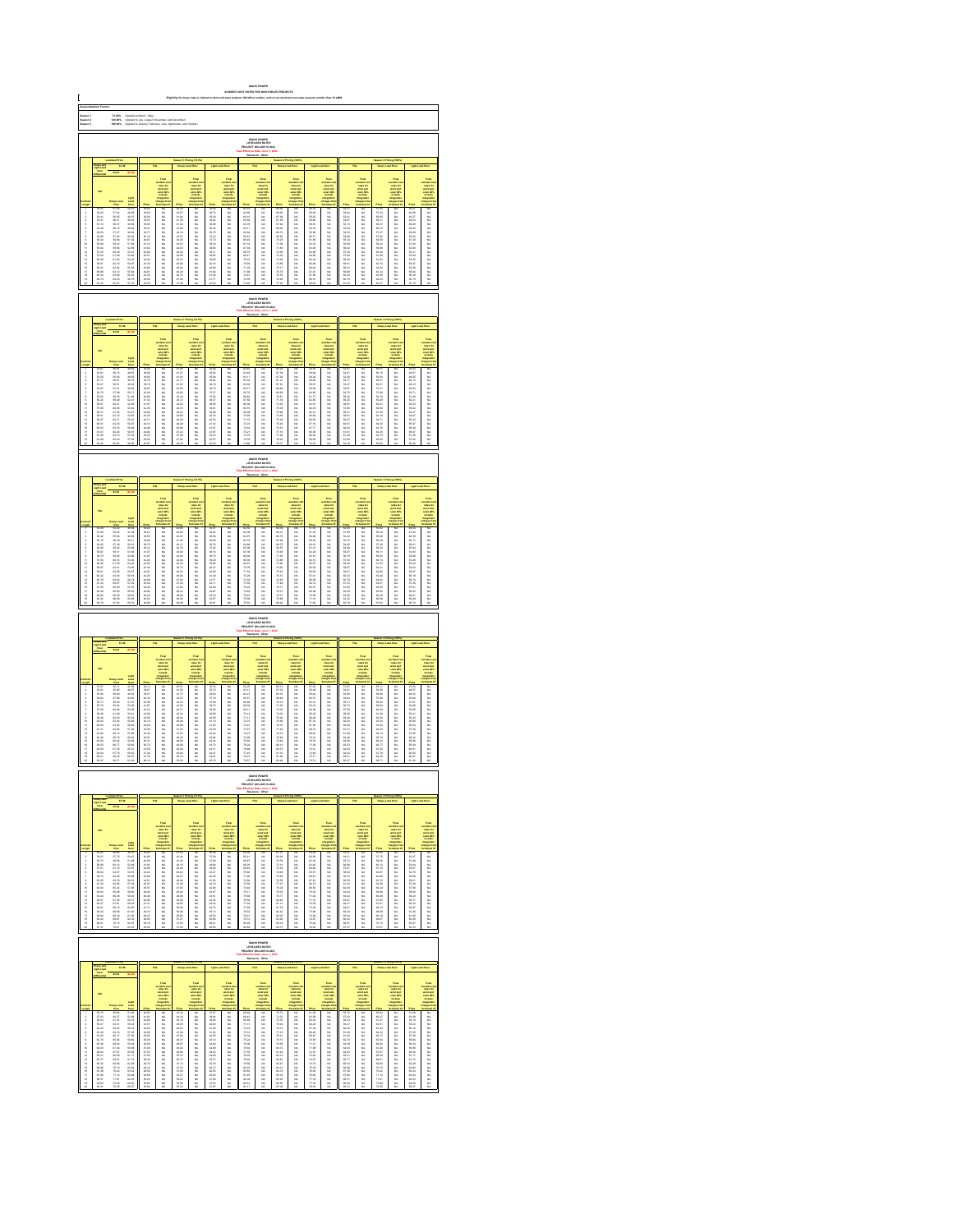|                                  | 73.60%<br>120.00%<br>100.00%<br> <br> Applied to March - May)<br> Applied to January, Februs<br> Applied to January, Februs<br>IDAHO POWER<br>LEVELIZED RATE:<br>JECT ON-LINE IN:                                              |                                                                                                                                                                                                                                |                                                                                                                                                                                                                                |                                                                                                       |                                                                         |                                        |                                                                                              |                                                |                                                                                                                                                                                                                               |                                                 |                                                                                      |                                                    |                                                                                                 |                                                                                                      |                                                                                                   |                                              |                                                                                        |                                                    |                                                                                                  |                                                                                                                                                                                                                               |                                                                                                                                                                                                                               |
|----------------------------------|--------------------------------------------------------------------------------------------------------------------------------------------------------------------------------------------------------------------------------|--------------------------------------------------------------------------------------------------------------------------------------------------------------------------------------------------------------------------------|--------------------------------------------------------------------------------------------------------------------------------------------------------------------------------------------------------------------------------|-------------------------------------------------------------------------------------------------------|-------------------------------------------------------------------------|----------------------------------------|----------------------------------------------------------------------------------------------|------------------------------------------------|-------------------------------------------------------------------------------------------------------------------------------------------------------------------------------------------------------------------------------|-------------------------------------------------|--------------------------------------------------------------------------------------|----------------------------------------------------|-------------------------------------------------------------------------------------------------|------------------------------------------------------------------------------------------------------|---------------------------------------------------------------------------------------------------|----------------------------------------------|----------------------------------------------------------------------------------------|----------------------------------------------------|--------------------------------------------------------------------------------------------------|-------------------------------------------------------------------------------------------------------------------------------------------------------------------------------------------------------------------------------|-------------------------------------------------------------------------------------------------------------------------------------------------------------------------------------------------------------------------------|
| Saason 1<br>Saason 3<br>Saason 3 |                                                                                                                                                                                                                                |                                                                                                                                                                                                                                |                                                                                                                                                                                                                                |                                                                                                       |                                                                         |                                        |                                                                                              |                                                |                                                                                                                                                                                                                               |                                                 |                                                                                      |                                                    |                                                                                                 |                                                                                                      |                                                                                                   |                                              |                                                                                        |                                                    |                                                                                                  |                                                                                                                                                                                                                               |                                                                                                                                                                                                                               |
|                                  |                                                                                                                                                                                                                                |                                                                                                                                                                                                                                |                                                                                                                                                                                                                                |                                                                                                       |                                                                         |                                        |                                                                                              |                                                |                                                                                                                                                                                                                               |                                                 |                                                                                      |                                                    |                                                                                                 |                                                                                                      |                                                                                                   |                                              |                                                                                        |                                                    |                                                                                                  |                                                                                                                                                                                                                               |                                                                                                                                                                                                                               |
|                                  |                                                                                                                                                                                                                                | 87.38                                                                                                                                                                                                                          |                                                                                                                                                                                                                                |                                                                                                       |                                                                         |                                        |                                                                                              |                                                |                                                                                                                                                                                                                               |                                                 |                                                                                      |                                                    |                                                                                                 |                                                                                                      |                                                                                                   |                                              |                                                                                        |                                                    |                                                                                                  |                                                                                                                                                                                                                               |                                                                                                                                                                                                                               |
|                                  |                                                                                                                                                                                                                                |                                                                                                                                                                                                                                |                                                                                                                                                                                                                                |                                                                                                       |                                                                         |                                        |                                                                                              |                                                |                                                                                                                                                                                                                               |                                                 |                                                                                      |                                                    |                                                                                                 |                                                                                                      |                                                                                                   |                                              |                                                                                        |                                                    |                                                                                                  |                                                                                                                                                                                                                               |                                                                                                                                                                                                                               |
|                                  |                                                                                                                                                                                                                                |                                                                                                                                                                                                                                |                                                                                                                                                                                                                                |                                                                                                       |                                                                         |                                        | <b>THE</b>                                                                                   |                                                |                                                                                                                                                                                                                               |                                                 | Find<br>under de<br>under der der<br>under Officielle<br>under der                   |                                                    |                                                                                                 |                                                                                                      |                                                                                                   |                                              |                                                                                        |                                                    | Final<br>colorador<br>colorador<br>colorador<br>tengan fo<br>tengan fo<br>tengan fo<br>tengan fo |                                                                                                                                                                                                                               |                                                                                                                                                                                                                               |
|                                  |                                                                                                                                                                                                                                |                                                                                                                                                                                                                                |                                                                                                                                                                                                                                |                                                                                                       |                                                                         |                                        |                                                                                              |                                                |                                                                                                                                                                                                                               |                                                 |                                                                                      |                                                    |                                                                                                 |                                                                                                      |                                                                                                   |                                              |                                                                                        |                                                    |                                                                                                  |                                                                                                                                                                                                                               |                                                                                                                                                                                                                               |
|                                  |                                                                                                                                                                                                                                |                                                                                                                                                                                                                                |                                                                                                                                                                                                                                |                                                                                                       |                                                                         |                                        |                                                                                              |                                                |                                                                                                                                                                                                                               |                                                 |                                                                                      |                                                    |                                                                                                 |                                                                                                      |                                                                                                   |                                              |                                                                                        |                                                    |                                                                                                  |                                                                                                                                                                                                                               |                                                                                                                                                                                                                               |
|                                  |                                                                                                                                                                                                                                |                                                                                                                                                                                                                                |                                                                                                                                                                                                                                |                                                                                                       |                                                                         |                                        |                                                                                              |                                                |                                                                                                                                                                                                                               |                                                 |                                                                                      |                                                    |                                                                                                 |                                                                                                      |                                                                                                   |                                              |                                                                                        |                                                    |                                                                                                  |                                                                                                                                                                                                                               |                                                                                                                                                                                                                               |
| 显示失真原不显示协计经经转线继续排排               |                                                                                                                                                                                                                                | 12.新法新社 经发行股票 医阴道性 计数据数据                                                                                                                                                                                                       |                                                                                                                                                                                                                                |                                                                                                       | 3.以以以以以以以以以以以以以以以以以以以以                                                  | 经已经已经经经纪的 化硫酸铵 化硫酸钾                    |                                                                                              | 1.名家和拉利托式 红色红色 医特拉氏杆菌                          | Former Section 2014年1月12日,1995年1月12日,1995年1月12日,1995年1月12日,1995年1月12日,1995年1月12日,1995年1月12日,1995年1月1 年,1995年1月11日,1995年1月11日,1995年1月12日,1995年1月11日,1995年1月11日,1995年1月11日,1995年1月11日,1995年1月11日,1995年1月11日,1995年1月11日,1995年1月1 |                                                 |                                                                                      | 硅硅硅硅硅硅硅化气 人名英格兰人姓氏沃尔森取自父名来源于古英语含义是英语               | 以以以以以以以以以以以以以以以以以以以                                                                             |                                                                                                      |                                                                                                   | "我就是我的好就会就是我们的过去分词。"                         |                                                                                        | 一起的 医多发性 医多发性骨折 医多发性 医多发性 医多发性 医多发性 医多发性 医多发性 医多发性 |                                                                                                  |                                                                                                                                                                                                                               | take the first off work of the first of the first off the first off the first off the first off the first off the first off the first off the first off the first off the first off the first off the first off the first off |
|                                  |                                                                                                                                                                                                                                |                                                                                                                                                                                                                                |                                                                                                                                                                                                                                |                                                                                                       |                                                                         |                                        |                                                                                              |                                                |                                                                                                                                                                                                                               |                                                 |                                                                                      |                                                    |                                                                                                 |                                                                                                      |                                                                                                   |                                              |                                                                                        |                                                    |                                                                                                  |                                                                                                                                                                                                                               |                                                                                                                                                                                                                               |
|                                  |                                                                                                                                                                                                                                |                                                                                                                                                                                                                                |                                                                                                                                                                                                                                |                                                                                                       |                                                                         |                                        |                                                                                              |                                                |                                                                                                                                                                                                                               |                                                 | <b>EMHO POWER</b><br>LEVELIZED RATES                                                 |                                                    |                                                                                                 |                                                                                                      |                                                                                                   |                                              |                                                                                        |                                                    |                                                                                                  |                                                                                                                                                                                                                               |                                                                                                                                                                                                                               |
|                                  |                                                                                                                                                                                                                                |                                                                                                                                                                                                                                |                                                                                                                                                                                                                                |                                                                                                       |                                                                         |                                        |                                                                                              |                                                |                                                                                                                                                                                                                               |                                                 |                                                                                      |                                                    |                                                                                                 |                                                                                                      |                                                                                                   |                                              |                                                                                        |                                                    |                                                                                                  |                                                                                                                                                                                                                               |                                                                                                                                                                                                                               |
|                                  |                                                                                                                                                                                                                                |                                                                                                                                                                                                                                |                                                                                                                                                                                                                                |                                                                                                       |                                                                         |                                        |                                                                                              |                                                | Final<br>subject is<br>subject in<br>subject in<br>include                                                                                                                                                                    |                                                 | vended a<br>select and<br>select and<br>matterial                                    |                                                    | vented on<br>reduction<br>solar different<br>social different<br>includes                       |                                                                                                      |                                                                                                   |                                              |                                                                                        |                                                    |                                                                                                  |                                                                                                                                                                                                                               |                                                                                                                                                                                                                               |
|                                  |                                                                                                                                                                                                                                |                                                                                                                                                                                                                                |                                                                                                                                                                                                                                |                                                                                                       |                                                                         |                                        | vented and<br>select and<br>select the select<br>industries                                  |                                                |                                                                                                                                                                                                                               |                                                 |                                                                                      |                                                    |                                                                                                 |                                                                                                      |                                                                                                   |                                              | rains for<br>state and<br>state CP<br>instate                                          |                                                    |                                                                                                  |                                                                                                                                                                                                                               | taka 2016年1月11日,1月12日,1月12日,1月12日,1月12日,1月12日,1月12日,1月12日,1月12日,1月12日,1月12日,1月12日,1月12日,1月12日,1月12日,                                                                                                                          |
| 卫生并有先天主席所行经经经经经经经经               |                                                                                                                                                                                                                                | 2. 新新新新新新 2. 新加利亚 2. 新加利亚 2. 新新加利亚 2. 新加利亚 2. 新加利亚 2. 新加利亚 2. 新加利亚                                                                                                                                                             |                                                                                                                                                                                                                                |                                                                                                       | 化脱机机机机 机机机机机机机机机机机机机                                                    | 机机机机机 经经营的利润的 医机能性心包炎 计数字数字 医阿拉伯氏试验检尿素 |                                                                                              | 医活跃性试验检乳机能检验 医阿拉伯氏试验检胆汁 医尿道性脑炎 医尿道性脑炎          |                                                                                                                                                                                                                               |                                                 | 1. 化甲状腺杆菌素 医皮肤皮肤皮肤皮肤皮肤皮肤皮肤                                                           | 螺矿矿矿硅镍铬合金 化异戊基苯基苯基苯基苯基苯基                           | 以以以以以以以以以以以以以以以以以以以                                                                             | 到新越海 经经济收益 计分类 计数字 计数字数据 经股票 医单位性骨折 计数字 计数字 计数字 计数字                                                  | 2.以前是以后的人的人的人的人的人的人的人的人                                                                           | 医多种性的 医腹膜的 医皮肤性 医多种性的 医多种性的 医多种性的 医多种性的 医心理学 |                                                                                        | 医前庭性红细胞的 医白细胞 计数据 医抗原性                             | 加加加加加加加加加加加加加加加加加加                                                                               |                                                                                                                                                                                                                               |                                                                                                                                                                                                                               |
|                                  |                                                                                                                                                                                                                                |                                                                                                                                                                                                                                |                                                                                                                                                                                                                                |                                                                                                       |                                                                         |                                        |                                                                                              |                                                |                                                                                                                                                                                                                               |                                                 |                                                                                      |                                                    |                                                                                                 |                                                                                                      |                                                                                                   |                                              |                                                                                        |                                                    |                                                                                                  |                                                                                                                                                                                                                               |                                                                                                                                                                                                                               |
|                                  |                                                                                                                                                                                                                                |                                                                                                                                                                                                                                |                                                                                                                                                                                                                                |                                                                                                       |                                                                         |                                        |                                                                                              |                                                |                                                                                                                                                                                                                               |                                                 |                                                                                      |                                                    |                                                                                                 |                                                                                                      |                                                                                                   |                                              |                                                                                        |                                                    |                                                                                                  |                                                                                                                                                                                                                               |                                                                                                                                                                                                                               |
|                                  |                                                                                                                                                                                                                                |                                                                                                                                                                                                                                |                                                                                                                                                                                                                                |                                                                                                       |                                                                         |                                        |                                                                                              |                                                |                                                                                                                                                                                                                               |                                                 |                                                                                      |                                                    |                                                                                                 |                                                                                                      |                                                                                                   |                                              |                                                                                        |                                                    |                                                                                                  |                                                                                                                                                                                                                               |                                                                                                                                                                                                                               |
|                                  |                                                                                                                                                                                                                                |                                                                                                                                                                                                                                |                                                                                                                                                                                                                                |                                                                                                       |                                                                         |                                        |                                                                                              |                                                |                                                                                                                                                                                                                               |                                                 | IDAHO POWER<br>LEVELIZED RATES<br>LECT ON-LINE IN 202-                               |                                                    |                                                                                                 |                                                                                                      |                                                                                                   |                                              |                                                                                        |                                                    |                                                                                                  |                                                                                                                                                                                                                               |                                                                                                                                                                                                                               |
|                                  |                                                                                                                                                                                                                                |                                                                                                                                                                                                                                |                                                                                                                                                                                                                                |                                                                                                       |                                                                         |                                        |                                                                                              |                                                |                                                                                                                                                                                                                               |                                                 |                                                                                      |                                                    |                                                                                                 |                                                                                                      |                                                                                                   |                                              |                                                                                        |                                                    |                                                                                                  |                                                                                                                                                                                                                               |                                                                                                                                                                                                                               |
|                                  | navy am<br>ghl Loa                                                                                                                                                                                                             | 87.3                                                                                                                                                                                                                           |                                                                                                                                                                                                                                |                                                                                                       |                                                                         |                                        |                                                                                              |                                                |                                                                                                                                                                                                                               |                                                 |                                                                                      |                                                    |                                                                                                 |                                                                                                      |                                                                                                   |                                              |                                                                                        |                                                    |                                                                                                  |                                                                                                                                                                                                                               |                                                                                                                                                                                                                               |
|                                  |                                                                                                                                                                                                                                |                                                                                                                                                                                                                                |                                                                                                                                                                                                                                |                                                                                                       |                                                                         |                                        | weekel on<br>sales for<br>sales for<br>sales City<br>independent                             |                                                |                                                                                                                                                                                                                               |                                                 | vended or<br>sales for<br>which are<br>nation CP                                     |                                                    | volad co<br>raise for<br>wind and<br>solar CPs<br>include                                       |                                                                                                      | volded on<br>ratios for<br>militar del ante<br>solaritar del proposito<br>hangaritar<br>hangarita |                                              | vented as<br>referi and<br>sales and<br>sales the field<br>integration                 |                                                    | ontine) a<br>radom Re<br>wired any<br>walter Cit                                                 |                                                                                                                                                                                                                               |                                                                                                                                                                                                                               |
|                                  |                                                                                                                                                                                                                                |                                                                                                                                                                                                                                |                                                                                                                                                                                                                                |                                                                                                       |                                                                         |                                        |                                                                                              |                                                |                                                                                                                                                                                                                               |                                                 |                                                                                      |                                                    |                                                                                                 |                                                                                                      |                                                                                                   |                                              |                                                                                        |                                                    |                                                                                                  |                                                                                                                                                                                                                               |                                                                                                                                                                                                                               |
|                                  |                                                                                                                                                                                                                                |                                                                                                                                                                                                                                |                                                                                                                                                                                                                                |                                                                                                       |                                                                         |                                        |                                                                                              |                                                |                                                                                                                                                                                                                               |                                                 |                                                                                      |                                                    |                                                                                                 |                                                                                                      |                                                                                                   |                                              |                                                                                        |                                                    |                                                                                                  |                                                                                                                                                                                                                               |                                                                                                                                                                                                                               |
|                                  |                                                                                                                                                                                                                                |                                                                                                                                                                                                                                |                                                                                                                                                                                                                                |                                                                                                       |                                                                         |                                        |                                                                                              |                                                |                                                                                                                                                                                                                               |                                                 |                                                                                      |                                                    |                                                                                                 |                                                                                                      |                                                                                                   |                                              |                                                                                        |                                                    |                                                                                                  |                                                                                                                                                                                                                               |                                                                                                                                                                                                                               |
| - 17 日月有月早早日给计时归归帐帐饮饮饮           | 計算は15番組が20番組が10.22番組は15番組は15番組が2005                                                                                                                                                                                            | Mar 55.32 55.00.30 65.32 55.00.30 65.32 55.00.30 65.32 55.00.30 65.00 65.00 65.00 65.00 65.00 65.00 65.00 65.00 65.00 65.00 65.00 65.00 65.00 65.00 65.00 65.00 65.00 65.00 65.00 65.00 65.00 65.00 65.00 65.00 65.00 65.00 65 | New 42.56 (2) 56 36 37 38 42.56 (3) 56 42.56 (4) 56 42.56 (4) 56 42.57 (4) 42.57 (4) 42.57 (4) 43.57 (4) 43.57 (4) 43.57 (4) 43.57 (4) 43.57 (4) 43.57 (4) 43.57 (4) 43.57 (4) 43.57 (4) 43.57 (4) 43.57 (4) 43.57 (4) 43.57 ( |                                                                                                       | 化脱机机脱机脱机机脱机脱机脱机脱机脱机                                                     | 拉拉灯 经公司转移转货 网络威廉尼亚 机机械                 |                                                                                              | 1 おおはか メロかい かいまじ カロバロ のけい はんかん かいかんかん あいさん つけい | ************************                                                                                                                                                                                                      | 1 经总有利润 经总额 化二乙基乙烯酸 医三角 医二角 医二角膜 医二角膜 医二角膜 医二角膜 |                                                                                      | (新新式新发展) 计多处理 化二乙基苯基 医二乙基苯基 医双脑膜炎 医心包 医心包 医心包 医双角性 | 以以及以以以以以以以以以以以以以以以以                                                                             | 12.53.00.00.00 41.12.20 12.15 12.15 12.15 12.15 12.15 12.15 12.15 12.15 12.15 12.15 12.15 12.15 12.1 | ***********************                                                                           | 化自动分解 医细胞性 医神经性性 医血管性 医血管 医心包的 医心包的 医心包的     | ,,,,,,,,,,,,,,,,,,,,,,,,,,,,                                                           |                                                    | 加加加加加加加加加加加加加加加加加加                                                                               |                                                                                                                                                                                                                               | take a selection of the control of the control of the control of the control of the control of the control of the control of the control of the control of the control of the control of the control of the control of the co |
|                                  |                                                                                                                                                                                                                                |                                                                                                                                                                                                                                |                                                                                                                                                                                                                                |                                                                                                       |                                                                         |                                        |                                                                                              |                                                |                                                                                                                                                                                                                               |                                                 |                                                                                      |                                                    |                                                                                                 |                                                                                                      |                                                                                                   |                                              |                                                                                        |                                                    |                                                                                                  |                                                                                                                                                                                                                               |                                                                                                                                                                                                                               |
|                                  |                                                                                                                                                                                                                                |                                                                                                                                                                                                                                |                                                                                                                                                                                                                                |                                                                                                       |                                                                         |                                        |                                                                                              |                                                |                                                                                                                                                                                                                               |                                                 |                                                                                      |                                                    |                                                                                                 |                                                                                                      |                                                                                                   |                                              |                                                                                        |                                                    |                                                                                                  |                                                                                                                                                                                                                               |                                                                                                                                                                                                                               |
|                                  |                                                                                                                                                                                                                                |                                                                                                                                                                                                                                |                                                                                                                                                                                                                                |                                                                                                       |                                                                         |                                        |                                                                                              |                                                |                                                                                                                                                                                                                               |                                                 | <b>IDAHO POWER</b><br>LEVELIZED RATES<br>LIECT ON-LINE IN 2<br>Fictive Date: Jane 1, |                                                    |                                                                                                 |                                                                                                      |                                                                                                   |                                              |                                                                                        |                                                    |                                                                                                  |                                                                                                                                                                                                                               |                                                                                                                                                                                                                               |
|                                  |                                                                                                                                                                                                                                | 87.31                                                                                                                                                                                                                          |                                                                                                                                                                                                                                |                                                                                                       |                                                                         |                                        |                                                                                              |                                                |                                                                                                                                                                                                                               |                                                 |                                                                                      |                                                    |                                                                                                 |                                                                                                      |                                                                                                   |                                              |                                                                                        |                                                    |                                                                                                  |                                                                                                                                                                                                                               |                                                                                                                                                                                                                               |
|                                  |                                                                                                                                                                                                                                |                                                                                                                                                                                                                                |                                                                                                                                                                                                                                |                                                                                                       |                                                                         |                                        |                                                                                              |                                                |                                                                                                                                                                                                                               |                                                 |                                                                                      |                                                    |                                                                                                 |                                                                                                      |                                                                                                   |                                              |                                                                                        |                                                    |                                                                                                  |                                                                                                                                                                                                                               |                                                                                                                                                                                                                               |
|                                  |                                                                                                                                                                                                                                |                                                                                                                                                                                                                                |                                                                                                                                                                                                                                |                                                                                                       | Final<br>selection<br>selection<br>selection<br>integration<br>computer |                                        | Final<br>voltat ca<br>voltat for<br>voltat and<br>sales CPs<br>indicate<br>harpetics         |                                                | Final<br>coldinal of<br>coldinal and<br>solar GP<br>includes<br>integration                                                                                                                                                   |                                                 | vended to<br>sales for<br>what are<br>salar CP<br>includes                           |                                                    | Final<br>colora for<br>colora for<br>website<br>techniqueline<br>colorageation<br>colorageation |                                                                                                      | ander<br>Allen<br>Anders<br>Angel<br>Anne                                                         |                                              | Final<br>voltat ca<br>voltat and<br>voltat and<br>solar CP<br>include<br>harged by     |                                                    | volet &<br>sind at<br>sida G<br>technik<br>sinovit                                               |                                                                                                                                                                                                                               |                                                                                                                                                                                                                               |
|                                  |                                                                                                                                                                                                                                |                                                                                                                                                                                                                                |                                                                                                                                                                                                                                |                                                                                                       |                                                                         |                                        |                                                                                              |                                                |                                                                                                                                                                                                                               |                                                 |                                                                                      |                                                    |                                                                                                 |                                                                                                      |                                                                                                   |                                              |                                                                                        |                                                    |                                                                                                  |                                                                                                                                                                                                                               |                                                                                                                                                                                                                               |
|                                  |                                                                                                                                                                                                                                |                                                                                                                                                                                                                                |                                                                                                                                                                                                                                |                                                                                                       |                                                                         |                                        |                                                                                              |                                                |                                                                                                                                                                                                                               |                                                 |                                                                                      |                                                    |                                                                                                 |                                                                                                      |                                                                                                   |                                              |                                                                                        |                                                    |                                                                                                  |                                                                                                                                                                                                                               |                                                                                                                                                                                                                               |
|                                  |                                                                                                                                                                                                                                |                                                                                                                                                                                                                                |                                                                                                                                                                                                                                |                                                                                                       |                                                                         |                                        |                                                                                              |                                                |                                                                                                                                                                                                                               |                                                 |                                                                                      |                                                    |                                                                                                 |                                                                                                      |                                                                                                   |                                              |                                                                                        |                                                    |                                                                                                  |                                                                                                                                                                                                                               |                                                                                                                                                                                                                               |
|                                  | 10.02.05.15 后来 10.03.05 后来 10.05 后来 10.05 10.05 10.05 10.05 10.05 10.05 10.05 10.05 10.05 10.05 10.05 10.05 10.05 10.05 10.05 10.05 10.05 10.05 10.05 10.05 10.05 10.05 10.05 10.05 10.05 10.05 10.05 10.05 10.05 10.05 10.05  |                                                                                                                                                                                                                                |                                                                                                                                                                                                                                | 法辞 2015年4月10日 12月10日 12月10日 12月10日 12月10日 12月10日 12月10日 12月10日 12月10日 12月10日 12月10日 12月10日 12月10日 12月 | 化脱机机机机 机机机机机机机机机机机机机                                                    | 4.长长绿枝长长长长长长绿花 化硫酸铁酸钠                  |                                                                                              | かくしょく かんしゅう こうしゅうしょう あんしゅう こうかんかん かいこうしょう      |                                                                                                                                                                                                                               | 经结核核核核 机汽车互互互联系系统加力互联系 化自动分配 计自动信息 计分类器 机对称     | 2. 机机 机机机机机机机机机机机机机机机机                                                               | 硫矿硫酸铵升分光光光光光光光光光的 机叶叶酸 医血管切除术 医血管静脉 医单核菌素          | 以以以以以以以以以以以以以以以以以以以                                                                             |                                                                                                      |                                                                                                   | 的复数形式 医血管性白细胞 医白细胞 化二乙基乙烯                    |                                                                                        | 2.后期的最后的 计自动自动存储 医阴道性 经分配                          | 加加加加加加加加加加加加加加加加加加                                                                               | 47.57 48.52 50.60 17.60 17.50 18.50 18.50 18.50 18.50 18.50 18.50 18.50 18.50 18.50 18.50 18.50 18.50 18.50 18.50 18.50 18.50 18.50 18.50 18.50 18.50 18.50 18.50 18.50 18.50 18.50 18.50 18.50 18.50 18.50 18.50 18.50 18.50 |                                                                                                                                                                                                                               |
|                                  |                                                                                                                                                                                                                                |                                                                                                                                                                                                                                |                                                                                                                                                                                                                                |                                                                                                       |                                                                         |                                        |                                                                                              |                                                |                                                                                                                                                                                                                               |                                                 | IDAHO POWER<br>LEVELIZED RATES<br>LECT ON-LINE IN 21                                 |                                                    |                                                                                                 |                                                                                                      |                                                                                                   |                                              |                                                                                        |                                                    |                                                                                                  |                                                                                                                                                                                                                               |                                                                                                                                                                                                                               |
|                                  |                                                                                                                                                                                                                                |                                                                                                                                                                                                                                |                                                                                                                                                                                                                                |                                                                                                       |                                                                         |                                        |                                                                                              |                                                |                                                                                                                                                                                                                               |                                                 |                                                                                      |                                                    |                                                                                                 |                                                                                                      |                                                                                                   |                                              |                                                                                        |                                                    |                                                                                                  |                                                                                                                                                                                                                               |                                                                                                                                                                                                                               |
|                                  |                                                                                                                                                                                                                                |                                                                                                                                                                                                                                |                                                                                                                                                                                                                                |                                                                                                       |                                                                         |                                        |                                                                                              |                                                |                                                                                                                                                                                                                               |                                                 |                                                                                      |                                                    |                                                                                                 |                                                                                                      |                                                                                                   |                                              |                                                                                        |                                                    |                                                                                                  |                                                                                                                                                                                                                               |                                                                                                                                                                                                                               |
|                                  |                                                                                                                                                                                                                                |                                                                                                                                                                                                                                |                                                                                                                                                                                                                                |                                                                                                       |                                                                         |                                        | Final<br>seated ca<br>cales for<br>selected and<br>selected industry<br>industry<br>transfer |                                                |                                                                                                                                                                                                                               |                                                 |                                                                                      |                                                    | vented and<br>selected and<br>selected and<br>helpedian<br>helpedian                            |                                                                                                      |                                                                                                   |                                              | readed co<br>relate for<br>which and<br>sales CP<br>holes<br>respective<br>corporation |                                                    |                                                                                                  |                                                                                                                                                                                                                               |                                                                                                                                                                                                                               |
|                                  |                                                                                                                                                                                                                                |                                                                                                                                                                                                                                |                                                                                                                                                                                                                                |                                                                                                       |                                                                         |                                        |                                                                                              |                                                | <b>THE</b>                                                                                                                                                                                                                    |                                                 |                                                                                      |                                                    |                                                                                                 |                                                                                                      |                                                                                                   |                                              |                                                                                        |                                                    |                                                                                                  |                                                                                                                                                                                                                               |                                                                                                                                                                                                                               |
|                                  |                                                                                                                                                                                                                                |                                                                                                                                                                                                                                |                                                                                                                                                                                                                                |                                                                                                       |                                                                         |                                        |                                                                                              |                                                |                                                                                                                                                                                                                               |                                                 |                                                                                      |                                                    |                                                                                                 |                                                                                                      |                                                                                                   |                                              |                                                                                        |                                                    |                                                                                                  |                                                                                                                                                                                                                               |                                                                                                                                                                                                                               |
|                                  |                                                                                                                                                                                                                                |                                                                                                                                                                                                                                |                                                                                                                                                                                                                                |                                                                                                       |                                                                         |                                        |                                                                                              |                                                |                                                                                                                                                                                                                               |                                                 |                                                                                      |                                                    |                                                                                                 |                                                                                                      |                                                                                                   |                                              |                                                                                        |                                                    |                                                                                                  |                                                                                                                                                                                                                               |                                                                                                                                                                                                                               |
|                                  |                                                                                                                                                                                                                                |                                                                                                                                                                                                                                |                                                                                                                                                                                                                                |                                                                                                       |                                                                         |                                        |                                                                                              |                                                |                                                                                                                                                                                                                               |                                                 |                                                                                      |                                                    |                                                                                                 |                                                                                                      |                                                                                                   |                                              |                                                                                        |                                                    |                                                                                                  |                                                                                                                                                                                                                               |                                                                                                                                                                                                                               |
|                                  | 54.57 58.88.72 55.52 55.52 55.52 55.52 55.52 55.52 55.52 55.52 55.52 55.52 55.52 55.52 55.52 55.52 55.52 55.52 55.52 55.52 55.52 55.52 55.52 55.52 55.52 55.52 55.52 55.52 55.52 55.52 55.52 55.52 55.52 55.52 55.52 55.52 55. |                                                                                                                                                                                                                                |                                                                                                                                                                                                                                | 一般的 打起 启动 以后后的 机能能控 打 计机能的计算机                                                                         | 1.以以以以以以以以以以以以以以以以以以以                                                   |                                        |                                                                                              |                                                |                                                                                                                                                                                                                               | 新鲜新鲜地的新鲜新鲜的 化三氯化物 医三氯化物 医三氯化物 医三氯化物 医三氯化物 医三氯化物 |                                                                                      | 新发光发光线的最大的 化自动机 计多处理机 医心包性 医心包的 医心包的 医心包的 医心包的     |                                                                                                 | 1.40起动机新鲜灯丝的加升对力的颜色的颜色,但是在一个人的方式,                                                                    |                                                                                                   |                                              |                                                                                        | 一起新的打起放动的新闻的新闻的新闻的新闻的                              | 22. 加热地 化加热加热加热加热 化加热加热加热                                                                        | 50月18日 5月18日 5月18日 5月18日 5月18日 5月18日 5月18日 5月18日 5月18日 5月18日 5月18日 5月18日 5月18日 5月18日 5月18日 5月18日 5月1                                                                                                                          | 2.双腿肌肌肌肌肌肌肌肌肌肌肌肌肌肌肌肌肌肌                                                                                                                                                                                                        |
|                                  |                                                                                                                                                                                                                                |                                                                                                                                                                                                                                |                                                                                                                                                                                                                                |                                                                                                       |                                                                         |                                        |                                                                                              |                                                |                                                                                                                                                                                                                               |                                                 | IDAHO POWER<br>LEVELIZED RATES<br>LIECT ON-LINE IN 1                                 |                                                    |                                                                                                 |                                                                                                      |                                                                                                   |                                              |                                                                                        |                                                    |                                                                                                  |                                                                                                                                                                                                                               |                                                                                                                                                                                                                               |
|                                  |                                                                                                                                                                                                                                |                                                                                                                                                                                                                                |                                                                                                                                                                                                                                |                                                                                                       |                                                                         |                                        |                                                                                              |                                                |                                                                                                                                                                                                                               |                                                 |                                                                                      |                                                    |                                                                                                 |                                                                                                      |                                                                                                   |                                              |                                                                                        |                                                    |                                                                                                  |                                                                                                                                                                                                                               |                                                                                                                                                                                                                               |
|                                  |                                                                                                                                                                                                                                |                                                                                                                                                                                                                                |                                                                                                                                                                                                                                |                                                                                                       |                                                                         |                                        |                                                                                              |                                                |                                                                                                                                                                                                                               |                                                 |                                                                                      |                                                    |                                                                                                 |                                                                                                      |                                                                                                   |                                              |                                                                                        |                                                    |                                                                                                  |                                                                                                                                                                                                                               |                                                                                                                                                                                                                               |
|                                  |                                                                                                                                                                                                                                |                                                                                                                                                                                                                                |                                                                                                                                                                                                                                |                                                                                                       |                                                                         |                                        | Final<br>selford on<br>selford and<br>selford below<br>indicate<br>harges fro                |                                                |                                                                                                                                                                                                                               |                                                 |                                                                                      |                                                    | mins for<br>wind and<br>solar OP<br>include                                                     |                                                                                                      | H                                                                                                 |                                              | É                                                                                      |                                                    |                                                                                                  |                                                                                                                                                                                                                               |                                                                                                                                                                                                                               |
|                                  |                                                                                                                                                                                                                                |                                                                                                                                                                                                                                |                                                                                                                                                                                                                                |                                                                                                       |                                                                         |                                        |                                                                                              |                                                |                                                                                                                                                                                                                               |                                                 |                                                                                      |                                                    |                                                                                                 |                                                                                                      |                                                                                                   |                                              |                                                                                        |                                                    |                                                                                                  |                                                                                                                                                                                                                               |                                                                                                                                                                                                                               |
|                                  |                                                                                                                                                                                                                                |                                                                                                                                                                                                                                |                                                                                                                                                                                                                                |                                                                                                       |                                                                         |                                        |                                                                                              |                                                |                                                                                                                                                                                                                               |                                                 |                                                                                      |                                                    |                                                                                                 |                                                                                                      |                                                                                                   |                                              |                                                                                        |                                                    |                                                                                                  |                                                                                                                                                                                                                               |                                                                                                                                                                                                                               |
|                                  |                                                                                                                                                                                                                                |                                                                                                                                                                                                                                |                                                                                                                                                                                                                                |                                                                                                       |                                                                         |                                        |                                                                                              |                                                |                                                                                                                                                                                                                               |                                                 |                                                                                      |                                                    |                                                                                                 |                                                                                                      |                                                                                                   |                                              |                                                                                        |                                                    |                                                                                                  |                                                                                                                                                                                                                               |                                                                                                                                                                                                                               |
| 牙牙皮身身足目 医排针球性神经神经神经              |                                                                                                                                                                                                                                | New 00.37 07.47 02.56 05.52 05.54 05.54 05.54 05.54 05.54 05.54 05.54 05.54 05.54 05.54 05.54 05.54 05.54 05.54 05.54 05.54 05.54 05.54 05.54 05.54 05.54 05.54 05.54 05.54 05.54 05.54 05.54 05.54 05.54 05.54 05.54 05.54 05 | Light Minute Strike (2) 2010 10:00 10:00 10:00 10:00 10:00 10:00 10:00 10:00 10:00 10:00 10:00 10:00 10:00 10:00 10:00 10:00 10:00 10:00 10:00 10:00 10:00 10:00 10:00 10:00 10:00 10:00 10:00 10:00 10:00 10:00 10:00 10:00   | 42.机材料 机砂心机 机砂心机 化二乙基二乙基二乙基二乙基二乙基二乙基二乙基二乙基二乙基                                                         | 化脱脂 化脱脂酸医脱脂酸 化脱脂酸 化脱脂酸                                                  | 3. 林成成林已已被林林林的名称的名词复数                  | ,,,,,,,,,,,,,,,,,,,,,,,,,,,,,,,,,,                                                           |                                                |                                                                                                                                                                                                                               |                                                 |                                                                                      |                                                    |                                                                                                 | 计自新数据 化硫化乙基二乙基 计分类 计分类 计数据 医心包 计数据 计数据 医心包 计数据 医心包的 计多数                                              | 2. 地址地址地址地址地址地址地址地址地址地址                                                                           | 医足体动机切除术 化硫酸医硫酸医硫酸 机机械                       |                                                                                        | 医脑性脑性前庭肠膜 医皮肤性 医皮肤性 计数据数据 计数据数据 医心包的 医多种性皮肤 医心包性   | 化加加加加加加加加加加加加加加加加加加                                                                              |                                                                                                                                                                                                                               | 2. 2. 机机械机械机械机械机械机械机械机械机                                                                                                                                                                                                      |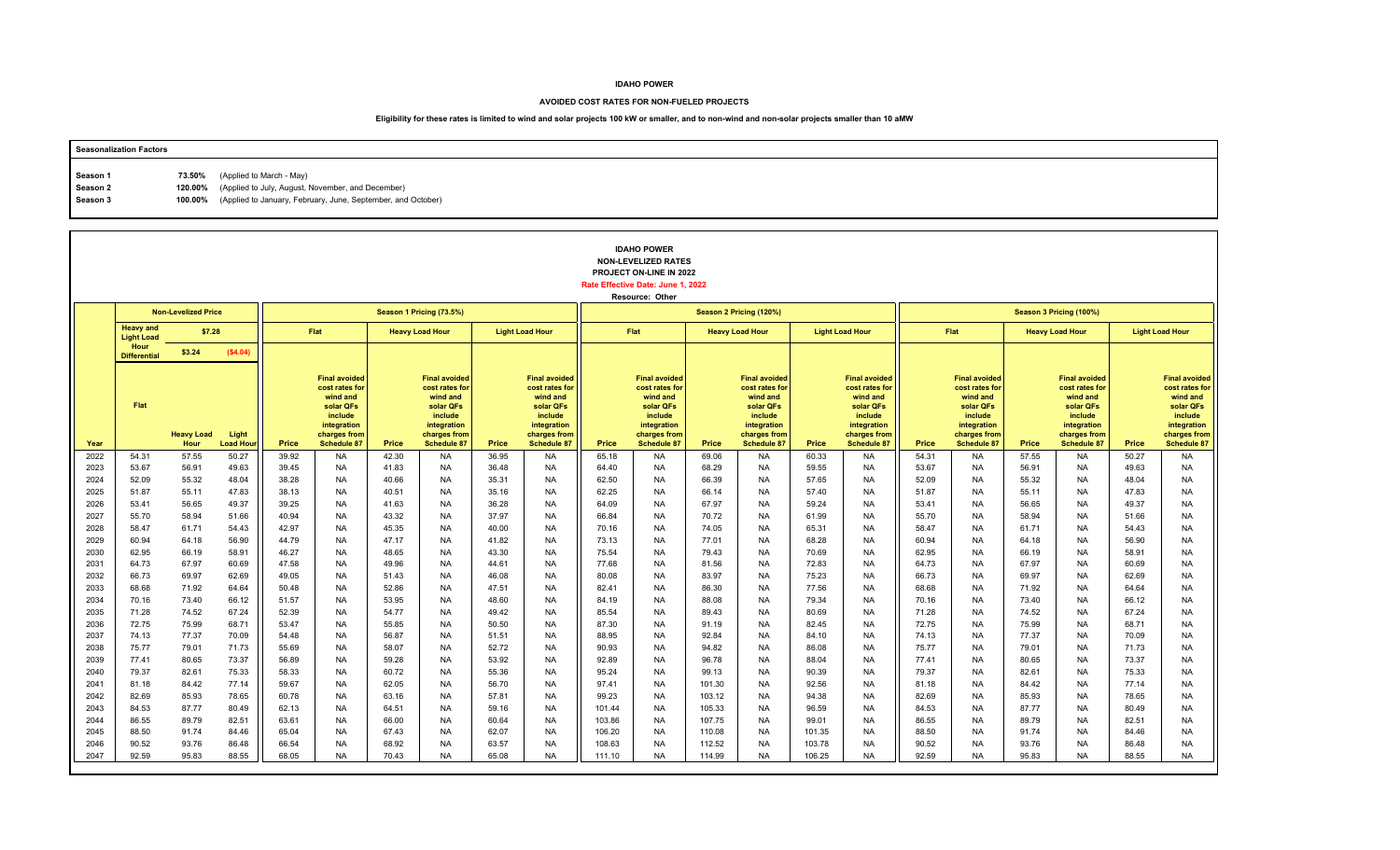### **AVOIDED COST RATES FOR NON-FUELED PROJECTS**

| <b>Seasonalization Factors</b> |        |                                                                      |
|--------------------------------|--------|----------------------------------------------------------------------|
|                                |        |                                                                      |
| Season 1                       | 73.50% | (Applied to March - May)                                             |
| Season 2                       |        | 120.00% (Applied to July, August, November, and December)            |
| Season 3                       |        | 100.00% (Applied to January, February, June, September, and October) |
|                                |        |                                                                      |

|              |                                       |                            |                          |                |                                                                                                                                 |                |                                                                                                                                 |                |                                                                                                                                 |                | <b>IDAHO POWER</b><br><b>NON-LEVELIZED RATES</b><br>PROJECT ON-LINE IN 2022<br>Rate Effective Date: June 1, 2022<br>Resource: Other |                |                                                                                                                                 |                |                                                                                                                                 |                |                                                                                                                          |                |                                                                                                                                 |                |                                                                                                                          |
|--------------|---------------------------------------|----------------------------|--------------------------|----------------|---------------------------------------------------------------------------------------------------------------------------------|----------------|---------------------------------------------------------------------------------------------------------------------------------|----------------|---------------------------------------------------------------------------------------------------------------------------------|----------------|-------------------------------------------------------------------------------------------------------------------------------------|----------------|---------------------------------------------------------------------------------------------------------------------------------|----------------|---------------------------------------------------------------------------------------------------------------------------------|----------------|--------------------------------------------------------------------------------------------------------------------------|----------------|---------------------------------------------------------------------------------------------------------------------------------|----------------|--------------------------------------------------------------------------------------------------------------------------|
|              |                                       | <b>Non-Levelized Price</b> |                          |                |                                                                                                                                 |                | Season 1 Pricing (73.5%)                                                                                                        |                |                                                                                                                                 |                |                                                                                                                                     |                | Season 2 Pricing (120%)                                                                                                         |                |                                                                                                                                 |                |                                                                                                                          |                | Season 3 Pricing (100%)                                                                                                         |                |                                                                                                                          |
|              | <b>Heavy and</b><br><b>Light Load</b> | \$7.28                     |                          |                | Flat                                                                                                                            |                | <b>Heavy Load Hour</b>                                                                                                          |                | <b>Light Load Hour</b>                                                                                                          |                | <b>Flat</b>                                                                                                                         |                | <b>Heavy Load Hour</b>                                                                                                          |                | <b>Light Load Hour</b>                                                                                                          |                | Flat                                                                                                                     |                | <b>Heavy Load Hour</b>                                                                                                          |                | <b>Light Load Hour</b>                                                                                                   |
|              | Hour<br><b>Differential</b>           | \$3.24                     | (\$4.04)                 |                |                                                                                                                                 |                |                                                                                                                                 |                |                                                                                                                                 |                |                                                                                                                                     |                |                                                                                                                                 |                |                                                                                                                                 |                |                                                                                                                          |                |                                                                                                                                 |                |                                                                                                                          |
| Year         | Flat                                  | <b>Heavy Load</b><br>Hour  | Light<br><b>Load Hou</b> | Price          | <b>Final avoided</b><br>cost rates for<br>wind and<br>solar QFs<br>include<br>integration<br>charges from<br><b>Schedule 87</b> | Price          | <b>Final avoided</b><br>cost rates for<br>wind and<br>solar QFs<br>include<br>integration<br>charges from<br><b>Schedule 87</b> | Price          | <b>Final avoided</b><br>cost rates for<br>wind and<br>solar QFs<br>include<br>integration<br>charges from<br><b>Schedule 87</b> | Price          | <b>Final avoided</b><br>cost rates for<br>wind and<br>solar QFs<br>include<br>integration<br>charges from<br>Schedule 87            | Price          | <b>Final avoided</b><br>cost rates for<br>wind and<br>solar QFs<br>include<br>integration<br>charges from<br><b>Schedule 87</b> | Price          | <b>Final avoided</b><br>cost rates for<br>wind and<br>solar QFs<br>include<br>integration<br>charges from<br><b>Schedule 87</b> | Price          | <b>Final avoided</b><br>cost rates for<br>wind and<br>solar QFs<br>include<br>integration<br>charges from<br>Schedule 87 | Price          | <b>Final avoided</b><br>cost rates for<br>wind and<br>solar QFs<br>include<br>integration<br>charges from<br><b>Schedule 87</b> | Price          | <b>Final avoided</b><br>cost rates for<br>wind and<br>solar QFs<br>include<br>integration<br>charges from<br>Schedule 87 |
| 2022         | 54.31                                 | 57.55                      | 50.27                    | 39.92          | <b>NA</b>                                                                                                                       | 42.30          | <b>NA</b>                                                                                                                       | 36.95          | <b>NA</b>                                                                                                                       | 65.18          | <b>NA</b>                                                                                                                           | 69.06          | <b>NA</b>                                                                                                                       | 60.33          | <b>NA</b>                                                                                                                       | 54.31          | <b>NA</b>                                                                                                                | 57.55          | <b>NA</b>                                                                                                                       | 50.27          | <b>NA</b>                                                                                                                |
| 2023         | 53.67                                 | 56.91                      | 49.63                    | 39.45          | <b>NA</b>                                                                                                                       | 41.83          | <b>NA</b>                                                                                                                       | 36.48          | <b>NA</b>                                                                                                                       | 64.40          | <b>NA</b>                                                                                                                           | 68.29          | <b>NA</b>                                                                                                                       | 59.55          | <b>NA</b>                                                                                                                       | 53.67          | <b>NA</b>                                                                                                                | 56.91          | NA                                                                                                                              | 49.63          | <b>NA</b>                                                                                                                |
| 2024         | 52.09                                 | 55.32                      | 48.04                    | 38.28          | <b>NA</b>                                                                                                                       | 40.66          | <b>NA</b>                                                                                                                       | 35.31          | <b>NA</b>                                                                                                                       | 62.50          | <b>NA</b>                                                                                                                           | 66.39          | <b>NA</b>                                                                                                                       | 57.65          | <b>NA</b>                                                                                                                       | 52.09          | <b>NA</b>                                                                                                                | 55.32          | <b>NA</b>                                                                                                                       | 48.04          | <b>NA</b>                                                                                                                |
| 2025<br>2026 | 51.87<br>53.41                        | 55.11<br>56.65             | 47.83<br>49.37           | 38.13<br>39.25 | <b>NA</b><br><b>NA</b>                                                                                                          | 40.51<br>41.63 | <b>NA</b><br><b>NA</b>                                                                                                          | 35.16<br>36.28 | <b>NA</b><br><b>NA</b>                                                                                                          | 62.25<br>64.09 | <b>NA</b><br><b>NA</b>                                                                                                              | 66.14<br>67.97 | <b>NA</b><br><b>NA</b>                                                                                                          | 57.40<br>59.24 | <b>NA</b><br><b>NA</b>                                                                                                          | 51.87<br>53.41 | <b>NA</b><br><b>NA</b>                                                                                                   | 55.11<br>56.65 | <b>NA</b><br><b>NA</b>                                                                                                          | 47.83<br>49.37 | <b>NA</b><br><b>NA</b>                                                                                                   |
| 2027         | 55.70                                 | 58.94                      | 51.66                    | 40.94          | <b>NA</b>                                                                                                                       | 43.32          | <b>NA</b>                                                                                                                       | 37.97          | <b>NA</b>                                                                                                                       | 66.84          | <b>NA</b>                                                                                                                           | 70.72          | <b>NA</b>                                                                                                                       | 61.99          | <b>NA</b>                                                                                                                       | 55.70          | <b>NA</b>                                                                                                                | 58.94          | <b>NA</b>                                                                                                                       | 51.66          | <b>NA</b>                                                                                                                |
| 2028         | 58.47                                 | 61.71                      | 54.43                    | 42.97          | <b>NA</b>                                                                                                                       | 45.35          | <b>NA</b>                                                                                                                       | 40.00          | <b>NA</b>                                                                                                                       | 70.16          | <b>NA</b>                                                                                                                           | 74.05          | <b>NA</b>                                                                                                                       | 65.31          | <b>NA</b>                                                                                                                       | 58.47          | <b>NA</b>                                                                                                                | 61.71          | <b>NA</b>                                                                                                                       | 54.43          | <b>NA</b>                                                                                                                |
| 2029         | 60.94                                 | 64.18                      | 56.90                    | 44.79          | <b>NA</b>                                                                                                                       | 47.17          | <b>NA</b>                                                                                                                       | 41.82          | <b>NA</b>                                                                                                                       | 73.13          | <b>NA</b>                                                                                                                           | 77.01          | <b>NA</b>                                                                                                                       | 68.28          | <b>NA</b>                                                                                                                       | 60.94          | <b>NA</b>                                                                                                                | 64.18          | <b>NA</b>                                                                                                                       | 56.90          | <b>NA</b>                                                                                                                |
| 2030         | 62.95                                 | 66.19                      | 58.91                    | 46.27          | <b>NA</b>                                                                                                                       | 48.65          | <b>NA</b>                                                                                                                       | 43.30          | <b>NA</b>                                                                                                                       | 75.54          | <b>NA</b>                                                                                                                           | 79.43          | <b>NA</b>                                                                                                                       | 70.69          | <b>NA</b>                                                                                                                       | 62.95          | <b>NA</b>                                                                                                                | 66.19          | <b>NA</b>                                                                                                                       | 58.91          | <b>NA</b>                                                                                                                |
| 2031         | 64.73                                 | 67.97                      | 60.69                    | 47.58          | <b>NA</b>                                                                                                                       | 49.96          | <b>NA</b>                                                                                                                       | 44.61          | <b>NA</b>                                                                                                                       | 77.68          | <b>NA</b>                                                                                                                           | 81.56          | <b>NA</b>                                                                                                                       | 72.83          | <b>NA</b>                                                                                                                       | 64.73          | <b>NA</b>                                                                                                                | 67.97          | <b>NA</b>                                                                                                                       | 60.69          | <b>NA</b>                                                                                                                |
| 2032         | 66.73                                 | 69.97                      | 62.69                    | 49.05          | <b>NA</b>                                                                                                                       | 51.43          | <b>NA</b>                                                                                                                       | 46.08          | <b>NA</b>                                                                                                                       | 80.08          | <b>NA</b>                                                                                                                           | 83.97          | <b>NA</b>                                                                                                                       | 75.23          | <b>NA</b>                                                                                                                       | 66.73          | <b>NA</b>                                                                                                                | 69.97          | <b>NA</b>                                                                                                                       | 62.69          | <b>NA</b>                                                                                                                |
| 2033         | 68.68                                 | 71.92                      | 64.64                    | 50.48          | <b>NA</b>                                                                                                                       | 52.86          | <b>NA</b>                                                                                                                       | 47.51          | <b>NA</b>                                                                                                                       | 82.41          | <b>NA</b>                                                                                                                           | 86.30          | <b>NA</b>                                                                                                                       | 77.56          | <b>NA</b>                                                                                                                       | 68.68          | <b>NA</b>                                                                                                                | 71.92          | <b>NA</b>                                                                                                                       | 64.64          | <b>NA</b>                                                                                                                |
| 2034         | 70.16                                 | 73.40                      | 66.12                    | 51.57          | <b>NA</b>                                                                                                                       | 53.95          | <b>NA</b>                                                                                                                       | 48.60          | <b>NA</b>                                                                                                                       | 84.19          | <b>NA</b>                                                                                                                           | 88.08          | <b>NA</b>                                                                                                                       | 79.34          | <b>NA</b>                                                                                                                       | 70.16          | <b>NA</b>                                                                                                                | 73.40          | <b>NA</b>                                                                                                                       | 66.12          | <b>NA</b>                                                                                                                |
| 2035         | 71.28                                 | 74.52                      | 67.24                    | 52.39          | <b>NA</b>                                                                                                                       | 54.77          | <b>NA</b>                                                                                                                       | 49.42          | <b>NA</b>                                                                                                                       | 85.54          | <b>NA</b>                                                                                                                           | 89.43          | <b>NA</b>                                                                                                                       | 80.69          | <b>NA</b>                                                                                                                       | 71.28          | <b>NA</b>                                                                                                                | 74.52          | <b>NA</b>                                                                                                                       | 67.24          | <b>NA</b>                                                                                                                |
| 2036         | 72.75<br>74.13                        | 75.99                      | 68.71                    | 53.47          | <b>NA</b>                                                                                                                       | 55.85          | <b>NA</b>                                                                                                                       | 50.50          | <b>NA</b>                                                                                                                       | 87.30          | <b>NA</b><br><b>NA</b>                                                                                                              | 91.19          | <b>NA</b>                                                                                                                       | 82.45          | <b>NA</b>                                                                                                                       | 72.75<br>74.13 | <b>NA</b>                                                                                                                | 75.99          | <b>NA</b>                                                                                                                       | 68.71          | <b>NA</b>                                                                                                                |
| 2037<br>2038 | 75.77                                 | 77.37<br>79.01             | 70.09<br>71.73           | 54.48<br>55.69 | <b>NA</b><br><b>NA</b>                                                                                                          | 56.87<br>58.07 | <b>NA</b><br><b>NA</b>                                                                                                          | 51.51<br>52.72 | <b>NA</b><br><b>NA</b>                                                                                                          | 88.95<br>90.93 | <b>NA</b>                                                                                                                           | 92.84<br>94.82 | <b>NA</b><br><b>NA</b>                                                                                                          | 84.10<br>86.08 | <b>NA</b><br><b>NA</b>                                                                                                          | 75.77          | <b>NA</b><br><b>NA</b>                                                                                                   | 77.37<br>79.01 | <b>NA</b><br><b>NA</b>                                                                                                          | 70.09<br>71.73 | <b>NA</b><br><b>NA</b>                                                                                                   |
| 2039         | 77.41                                 | 80.65                      | 73.37                    | 56.89          | <b>NA</b>                                                                                                                       | 59.28          | <b>NA</b>                                                                                                                       | 53.92          | <b>NA</b>                                                                                                                       | 92.89          | <b>NA</b>                                                                                                                           | 96.78          | <b>NA</b>                                                                                                                       | 88.04          | <b>NA</b>                                                                                                                       | 77.41          | <b>NA</b>                                                                                                                | 80.65          | <b>NA</b>                                                                                                                       | 73.37          | <b>NA</b>                                                                                                                |
| 2040         | 79.37                                 | 82.61                      | 75.33                    | 58.33          | <b>NA</b>                                                                                                                       | 60.72          | <b>NA</b>                                                                                                                       | 55.36          | <b>NA</b>                                                                                                                       | 95.24          | <b>NA</b>                                                                                                                           | 99.13          | <b>NA</b>                                                                                                                       | 90.39          | <b>NA</b>                                                                                                                       | 79.37          | <b>NA</b>                                                                                                                | 82.61          | <b>NA</b>                                                                                                                       | 75.33          | <b>NA</b>                                                                                                                |
| 2041         | 81.18                                 | 84.42                      | 77.14                    | 59.67          | <b>NA</b>                                                                                                                       | 62.05          | <b>NA</b>                                                                                                                       | 56.70          | <b>NA</b>                                                                                                                       | 97.41          | <b>NA</b>                                                                                                                           | 101.30         | <b>NA</b>                                                                                                                       | 92.56          | <b>NA</b>                                                                                                                       | 81.18          | <b>NA</b>                                                                                                                | 84.42          | <b>NA</b>                                                                                                                       | 77.14          | <b>NA</b>                                                                                                                |
| 2042         | 82.69                                 | 85.93                      | 78.65                    | 60.78          | <b>NA</b>                                                                                                                       | 63.16          | <b>NA</b>                                                                                                                       | 57.81          | <b>NA</b>                                                                                                                       | 99.23          | <b>NA</b>                                                                                                                           | 103.12         | <b>NA</b>                                                                                                                       | 94.38          | <b>NA</b>                                                                                                                       | 82.69          | <b>NA</b>                                                                                                                | 85.93          | <b>NA</b>                                                                                                                       | 78.65          | <b>NA</b>                                                                                                                |
| 2043         | 84.53                                 | 87.77                      | 80.49                    | 62.13          | <b>NA</b>                                                                                                                       | 64.51          | <b>NA</b>                                                                                                                       | 59.16          | <b>NA</b>                                                                                                                       | 101.44         | <b>NA</b>                                                                                                                           | 105.33         | <b>NA</b>                                                                                                                       | 96.59          | <b>NA</b>                                                                                                                       | 84.53          | <b>NA</b>                                                                                                                | 87.77          | <b>NA</b>                                                                                                                       | 80.49          | <b>NA</b>                                                                                                                |
| 2044         | 86.55                                 | 89.79                      | 82.51                    | 63.61          | <b>NA</b>                                                                                                                       | 66.00          | <b>NA</b>                                                                                                                       | 60.64          | <b>NA</b>                                                                                                                       | 103.86         | <b>NA</b>                                                                                                                           | 107.75         | <b>NA</b>                                                                                                                       | 99.01          | <b>NA</b>                                                                                                                       | 86.55          | <b>NA</b>                                                                                                                | 89.79          | <b>NA</b>                                                                                                                       | 82.51          | <b>NA</b>                                                                                                                |
| 2045         | 88.50                                 | 91.74                      | 84.46                    | 65.04          | <b>NA</b>                                                                                                                       | 67.43          | <b>NA</b>                                                                                                                       | 62.07          | <b>NA</b>                                                                                                                       | 106.20         | <b>NA</b>                                                                                                                           | 110.08         | <b>NA</b>                                                                                                                       | 101.35         | <b>NA</b>                                                                                                                       | 88.50          | <b>NA</b>                                                                                                                | 91.74          | <b>NA</b>                                                                                                                       | 84.46          | <b>NA</b>                                                                                                                |
| 2046         | 90.52                                 | 93.76                      | 86.48                    | 66.54          | <b>NA</b>                                                                                                                       | 68.92          | <b>NA</b>                                                                                                                       | 63.57          | <b>NA</b>                                                                                                                       | 108.63         | <b>NA</b>                                                                                                                           | 112.52         | <b>NA</b>                                                                                                                       | 103.78         | <b>NA</b>                                                                                                                       | 90.52          | <b>NA</b>                                                                                                                | 93.76          | <b>NA</b>                                                                                                                       | 86.48          | <b>NA</b>                                                                                                                |
| 2047         | 92.59                                 | 95.83                      | 88.55                    | 68.05          | <b>NA</b>                                                                                                                       | 70.43          | <b>NA</b>                                                                                                                       | 65.08          | <b>NA</b>                                                                                                                       | 111.10         | <b>NA</b>                                                                                                                           | 114.99         | <b>NA</b>                                                                                                                       | 106.25         | <b>NA</b>                                                                                                                       | 92.59          | <b>NA</b>                                                                                                                | 95.83          | <b>NA</b>                                                                                                                       | 88.55          | <b>NA</b>                                                                                                                |
|              |                                       |                            |                          |                |                                                                                                                                 |                |                                                                                                                                 |                |                                                                                                                                 |                |                                                                                                                                     |                |                                                                                                                                 |                |                                                                                                                                 |                |                                                                                                                          |                |                                                                                                                                 |                |                                                                                                                          |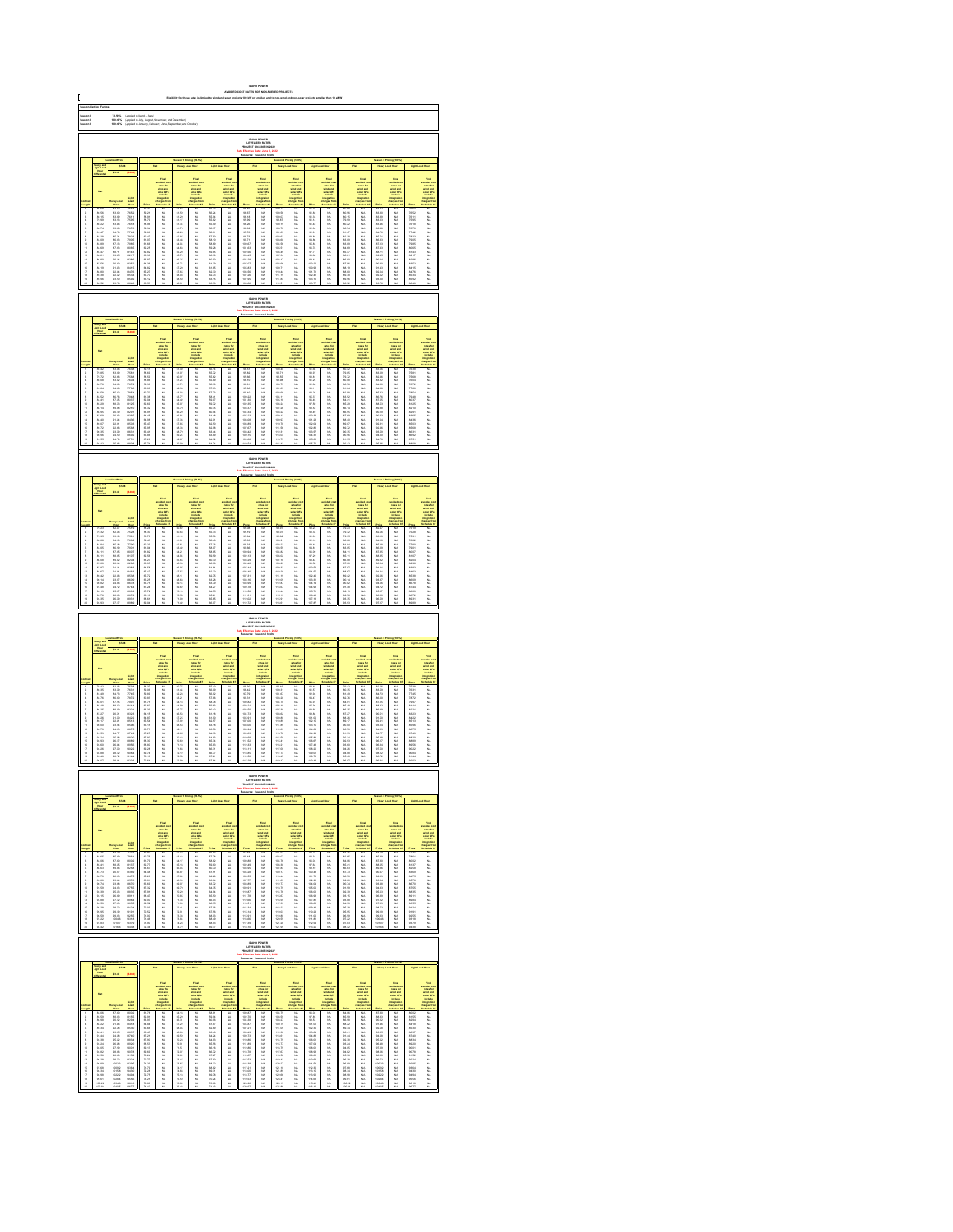| C                                | 73.60%<br>120.00%<br>100.00%<br> <br> Applied to March - May)<br> Applied to January, Februs<br> Applied to January, Februs<br>IDAHO POWER<br>LEVELIZED RATE:<br>JECT ON-LINE IN: |                                                                                                                                                                                                                               |                                                                                                                                                                                                                                |                                                                 |                                                                            |                                                     |                                                                                              |                                                                                                                  |                                                                                                                                                                                                                               |                                                                                                                                                                                                                                  |                                                                                         |                                                                                                       |                                                                                                 |                                                                                                                                                                                                                               |                                                                                                   |                                              |                                                                                   |                                                                                                                                                                                                                               |                                                                                                         |                                                                                                                                                                                                                             |                                                                                                                                                                                                                               |
|----------------------------------|-----------------------------------------------------------------------------------------------------------------------------------------------------------------------------------|-------------------------------------------------------------------------------------------------------------------------------------------------------------------------------------------------------------------------------|--------------------------------------------------------------------------------------------------------------------------------------------------------------------------------------------------------------------------------|-----------------------------------------------------------------|----------------------------------------------------------------------------|-----------------------------------------------------|----------------------------------------------------------------------------------------------|------------------------------------------------------------------------------------------------------------------|-------------------------------------------------------------------------------------------------------------------------------------------------------------------------------------------------------------------------------|----------------------------------------------------------------------------------------------------------------------------------------------------------------------------------------------------------------------------------|-----------------------------------------------------------------------------------------|-------------------------------------------------------------------------------------------------------|-------------------------------------------------------------------------------------------------|-------------------------------------------------------------------------------------------------------------------------------------------------------------------------------------------------------------------------------|---------------------------------------------------------------------------------------------------|----------------------------------------------|-----------------------------------------------------------------------------------|-------------------------------------------------------------------------------------------------------------------------------------------------------------------------------------------------------------------------------|---------------------------------------------------------------------------------------------------------|-----------------------------------------------------------------------------------------------------------------------------------------------------------------------------------------------------------------------------|-------------------------------------------------------------------------------------------------------------------------------------------------------------------------------------------------------------------------------|
| Saason 1<br>Saason 3<br>Saason 3 |                                                                                                                                                                                   |                                                                                                                                                                                                                               |                                                                                                                                                                                                                                |                                                                 |                                                                            |                                                     |                                                                                              |                                                                                                                  |                                                                                                                                                                                                                               |                                                                                                                                                                                                                                  |                                                                                         |                                                                                                       |                                                                                                 |                                                                                                                                                                                                                               |                                                                                                   |                                              |                                                                                   |                                                                                                                                                                                                                               |                                                                                                         |                                                                                                                                                                                                                             |                                                                                                                                                                                                                               |
|                                  |                                                                                                                                                                                   |                                                                                                                                                                                                                               |                                                                                                                                                                                                                                |                                                                 |                                                                            |                                                     |                                                                                              |                                                                                                                  |                                                                                                                                                                                                                               |                                                                                                                                                                                                                                  |                                                                                         |                                                                                                       |                                                                                                 |                                                                                                                                                                                                                               |                                                                                                   |                                              |                                                                                   |                                                                                                                                                                                                                               |                                                                                                         |                                                                                                                                                                                                                             |                                                                                                                                                                                                                               |
|                                  |                                                                                                                                                                                   |                                                                                                                                                                                                                               |                                                                                                                                                                                                                                |                                                                 |                                                                            |                                                     |                                                                                              |                                                                                                                  |                                                                                                                                                                                                                               |                                                                                                                                                                                                                                  |                                                                                         |                                                                                                       |                                                                                                 |                                                                                                                                                                                                                               |                                                                                                   |                                              |                                                                                   |                                                                                                                                                                                                                               |                                                                                                         |                                                                                                                                                                                                                             |                                                                                                                                                                                                                               |
|                                  |                                                                                                                                                                                   | 87.38                                                                                                                                                                                                                         |                                                                                                                                                                                                                                |                                                                 |                                                                            |                                                     |                                                                                              |                                                                                                                  |                                                                                                                                                                                                                               |                                                                                                                                                                                                                                  |                                                                                         |                                                                                                       |                                                                                                 |                                                                                                                                                                                                                               |                                                                                                   |                                              |                                                                                   |                                                                                                                                                                                                                               |                                                                                                         |                                                                                                                                                                                                                             |                                                                                                                                                                                                                               |
|                                  |                                                                                                                                                                                   |                                                                                                                                                                                                                               |                                                                                                                                                                                                                                |                                                                 |                                                                            |                                                     | <b>THE</b>                                                                                   |                                                                                                                  | Foodback and the first state of the first state of the first state of the first state of the first state of the first state of the first state of the first state of the first state of the first state of the first state of |                                                                                                                                                                                                                                  | suitant as<br>sales for<br>wind and<br>salar CP<br>include                              |                                                                                                       |                                                                                                 |                                                                                                                                                                                                                               |                                                                                                   |                                              | Final<br>collect co<br>collect and<br>which which<br>impulses<br>harped for       |                                                                                                                                                                                                                               | Final<br>voluntario<br>voluntario<br>voluntario<br>voluntario<br>voluntario<br>voluntario<br>voluntario |                                                                                                                                                                                                                             | take the first off work of the first of the first off the first off the first off the first off the first off the first off the first off the first off the first off the first off the first off the first off the first off |
|                                  |                                                                                                                                                                                   |                                                                                                                                                                                                                               |                                                                                                                                                                                                                                |                                                                 |                                                                            |                                                     |                                                                                              |                                                                                                                  |                                                                                                                                                                                                                               |                                                                                                                                                                                                                                  |                                                                                         |                                                                                                       |                                                                                                 |                                                                                                                                                                                                                               |                                                                                                   |                                              |                                                                                   |                                                                                                                                                                                                                               |                                                                                                         |                                                                                                                                                                                                                             |                                                                                                                                                                                                                               |
|                                  |                                                                                                                                                                                   |                                                                                                                                                                                                                               |                                                                                                                                                                                                                                |                                                                 |                                                                            |                                                     |                                                                                              |                                                                                                                  |                                                                                                                                                                                                                               |                                                                                                                                                                                                                                  |                                                                                         |                                                                                                       |                                                                                                 |                                                                                                                                                                                                                               |                                                                                                   |                                              |                                                                                   |                                                                                                                                                                                                                               |                                                                                                         |                                                                                                                                                                                                                             |                                                                                                                                                                                                                               |
|                                  |                                                                                                                                                                                   |                                                                                                                                                                                                                               |                                                                                                                                                                                                                                |                                                                 |                                                                            |                                                     |                                                                                              |                                                                                                                  |                                                                                                                                                                                                                               |                                                                                                                                                                                                                                  |                                                                                         |                                                                                                       |                                                                                                 |                                                                                                                                                                                                                               |                                                                                                   |                                              |                                                                                   |                                                                                                                                                                                                                               |                                                                                                         |                                                                                                                                                                                                                             |                                                                                                                                                                                                                               |
| 显示失真原不显示协计经经转线继续排排               | 10月20日 10月22日 10月20日 10月20日 10月20日 10月20日 10月20日 10月20日 10月20日 10月20日 10月20日 10月20日                                                                                               |                                                                                                                                                                                                                               | New 76.60 76.50 76.50 76.60 76.60 76.60 76.60 76.60 76.60 76.60 76.60 76.60 76.60 76.60 76.60 76.60 76.60 76.60 76.60 76.60 76.60 76.60 76.60 76.60 76.60 76.60 76.70 76.60 76.70 76.70 76.70 76.70 76.70 76.70 76.70 76.70 76 |                                                                 | 3.以以以以以以以以以以以以以以以以以以以以                                                     | 机机机机机械机械机械机械机械机械机械机械机械机械机械机械机械机械机械机械机构              |                                                                                              |                                                                                                                  |                                                                                                                                                                                                                               |                                                                                                                                                                                                                                  |                                                                                         |                                                                                                       | 以以以以以以以以以以以以以以以以以以以                                                                             |                                                                                                                                                                                                                               |                                                                                                   | 一般的 为的 的复数的复数形式 医新生物 医阴道性                    |                                                                                   | 一般的 的复数形式 医骨折 计脉冲指令 计分类数据                                                                                                                                                                                                     |                                                                                                         | 2012年12月22日 12月22日 12月22日 12月22日 12月22日 12月22日 12月22日 12月22日 12月22日 12月22日 12月22日 12月22日 12月22日                                                                                                                             |                                                                                                                                                                                                                               |
|                                  |                                                                                                                                                                                   |                                                                                                                                                                                                                               |                                                                                                                                                                                                                                |                                                                 |                                                                            |                                                     |                                                                                              |                                                                                                                  |                                                                                                                                                                                                                               |                                                                                                                                                                                                                                  |                                                                                         |                                                                                                       |                                                                                                 |                                                                                                                                                                                                                               |                                                                                                   |                                              |                                                                                   |                                                                                                                                                                                                                               |                                                                                                         |                                                                                                                                                                                                                             |                                                                                                                                                                                                                               |
|                                  |                                                                                                                                                                                   |                                                                                                                                                                                                                               |                                                                                                                                                                                                                                |                                                                 |                                                                            |                                                     |                                                                                              |                                                                                                                  |                                                                                                                                                                                                                               |                                                                                                                                                                                                                                  | <b>IDAHO POWER</b><br>LEVELIZED RATES<br>LIECT ON LINE IN 2                             |                                                                                                       |                                                                                                 |                                                                                                                                                                                                                               |                                                                                                   |                                              |                                                                                   |                                                                                                                                                                                                                               |                                                                                                         |                                                                                                                                                                                                                             |                                                                                                                                                                                                                               |
|                                  |                                                                                                                                                                                   |                                                                                                                                                                                                                               |                                                                                                                                                                                                                                |                                                                 |                                                                            |                                                     |                                                                                              |                                                                                                                  |                                                                                                                                                                                                                               |                                                                                                                                                                                                                                  |                                                                                         |                                                                                                       |                                                                                                 |                                                                                                                                                                                                                               |                                                                                                   |                                              |                                                                                   |                                                                                                                                                                                                                               |                                                                                                         |                                                                                                                                                                                                                             |                                                                                                                                                                                                                               |
|                                  |                                                                                                                                                                                   |                                                                                                                                                                                                                               |                                                                                                                                                                                                                                |                                                                 |                                                                            |                                                     |                                                                                              |                                                                                                                  |                                                                                                                                                                                                                               |                                                                                                                                                                                                                                  |                                                                                         |                                                                                                       |                                                                                                 |                                                                                                                                                                                                                               |                                                                                                   |                                              |                                                                                   |                                                                                                                                                                                                                               |                                                                                                         |                                                                                                                                                                                                                             |                                                                                                                                                                                                                               |
|                                  |                                                                                                                                                                                   |                                                                                                                                                                                                                               |                                                                                                                                                                                                                                |                                                                 | vented as<br>mins for<br>wind and<br>sedan CP<br>instants                  |                                                     | vented and<br>select and<br>select the select<br>industries                                  |                                                                                                                  | Final<br>subject is<br>subject in<br>subject in<br>include                                                                                                                                                                    |                                                                                                                                                                                                                                  | vended a<br>select and<br>select and<br>matterial                                       |                                                                                                       | contribution<br>colorador<br>sente City<br>sente City<br>Inches<br>integration                  |                                                                                                                                                                                                                               |                                                                                                   |                                              | rains for<br>state and<br>state CP<br>instate                                     |                                                                                                                                                                                                                               |                                                                                                         |                                                                                                                                                                                                                             | take a member of the second term of the second term of the second term of the second term of the second term of the second term of the second term of the second term of the second term of the second term of the second ter |
|                                  |                                                                                                                                                                                   |                                                                                                                                                                                                                               | LAN PROSESS 2012年12月12日 1月18日 1月18日 1月18日 1月18日 1月18日 1月18日 1月18日 1月18日 1月18日 1月18日 1月18日 1月18日 1月18日 1月18日 1月18日 1月18日                                                                                                        |                                                                 |                                                                            |                                                     |                                                                                              |                                                                                                                  |                                                                                                                                                                                                                               |                                                                                                                                                                                                                                  | 1. 化甲状腺杆菌素 医皮肤皮肤皮肤皮肤皮肤皮肤皮肤                                                              |                                                                                                       |                                                                                                 |                                                                                                                                                                                                                               |                                                                                                   |                                              |                                                                                   |                                                                                                                                                                                                                               |                                                                                                         |                                                                                                                                                                                                                             |                                                                                                                                                                                                                               |
|                                  |                                                                                                                                                                                   |                                                                                                                                                                                                                               |                                                                                                                                                                                                                                |                                                                 |                                                                            |                                                     |                                                                                              |                                                                                                                  |                                                                                                                                                                                                                               |                                                                                                                                                                                                                                  |                                                                                         |                                                                                                       |                                                                                                 |                                                                                                                                                                                                                               |                                                                                                   |                                              |                                                                                   |                                                                                                                                                                                                                               |                                                                                                         |                                                                                                                                                                                                                             |                                                                                                                                                                                                                               |
|                                  |                                                                                                                                                                                   |                                                                                                                                                                                                                               |                                                                                                                                                                                                                                |                                                                 |                                                                            |                                                     |                                                                                              |                                                                                                                  |                                                                                                                                                                                                                               |                                                                                                                                                                                                                                  |                                                                                         |                                                                                                       |                                                                                                 |                                                                                                                                                                                                                               |                                                                                                   |                                              |                                                                                   |                                                                                                                                                                                                                               |                                                                                                         |                                                                                                                                                                                                                             |                                                                                                                                                                                                                               |
| 卫生失去先不未未协计论论 网络神经细胞              | 02月28日 12月28日 12月28日 12月28日 12月28日 12月28日 12月28日 12月28日 12月28日 12月28日 12月28日 12月28日 12月28日 12月28日 12月                                                                             |                                                                                                                                                                                                                               |                                                                                                                                                                                                                                |                                                                 | 化脱机机机机 机机机机机机机机机机机机机                                                       | 机机械机械 经总额帐 医精神性神经病 机砂心 化二乙基乙烯 医阿尔伯氏试验检尿道氏试验检尿道检尿道检尿 |                                                                                              |                                                                                                                  |                                                                                                                                                                                                                               | 65.00    65.00    65.00    65.00    65.00    65.00    65.00    65.00    65.00    65.00    65.00    65.00    65.00    65.00    65.00    65.00    65.00    65.00    65.00    65.00    65.00    65.00    65.00    65.00    65       |                                                                                         | 3月25日 10月20日 10月20日 10月20日 10月20日 10月20日 10月20日 10月20日 10月20日 10月20日 10月20日 10月20日 10月20日 10月20日 10月  | 以以以以以以以以以以以以以以以以以以以                                                                             | 11.00 公 11.25 公 11.25 分 12.45 公 12.45 公 12.45 公 12.45 公 12.45 公 12.45 公 12.45 公 12.45 公 12.45 公 12.45 公 12.45 公 12.45 公 12.45 公 12.45 公 12.45 公 12.45 公 12.45 公 12.45 公 12.45 公 12.45 公 12.45 公 12.45 公 12.45 公 12.45 公 12.45 |                                                                                                   | 机外外结构机材料转移机械 矿脉脉体的 的复数医发育 计数据数据 计分类数据 医心理学   |                                                                                   | 网络欧洲科科斯帕尔林帕尔科 化反射 计分类 化二乙基苯基 医心包 计多数 医心包的 计多数                                                                                                                                                                                 | 加加加加加加加加加加加加加加加加加加                                                                                      | 海滨县 海海沙 双系 海湖 计分析 新加拿大 医阴道性 医白细胞 医白细胞 医白细胞 医白细胞 医白细胞 医白细胞                                                                                                                                                                   |                                                                                                                                                                                                                               |
|                                  |                                                                                                                                                                                   |                                                                                                                                                                                                                               |                                                                                                                                                                                                                                |                                                                 |                                                                            |                                                     |                                                                                              |                                                                                                                  |                                                                                                                                                                                                                               |                                                                                                                                                                                                                                  |                                                                                         |                                                                                                       |                                                                                                 |                                                                                                                                                                                                                               |                                                                                                   |                                              |                                                                                   |                                                                                                                                                                                                                               |                                                                                                         |                                                                                                                                                                                                                             |                                                                                                                                                                                                                               |
|                                  | IDAHO POWER<br>LEVELIZED RATES<br>LECT ON-LINE IN 202                                                                                                                             |                                                                                                                                                                                                                               |                                                                                                                                                                                                                                |                                                                 |                                                                            |                                                     |                                                                                              |                                                                                                                  |                                                                                                                                                                                                                               |                                                                                                                                                                                                                                  |                                                                                         |                                                                                                       |                                                                                                 |                                                                                                                                                                                                                               |                                                                                                   |                                              |                                                                                   |                                                                                                                                                                                                                               |                                                                                                         |                                                                                                                                                                                                                             |                                                                                                                                                                                                                               |
|                                  | navy am<br>ghl Loa                                                                                                                                                                | 87.3                                                                                                                                                                                                                          |                                                                                                                                                                                                                                |                                                                 |                                                                            |                                                     |                                                                                              |                                                                                                                  |                                                                                                                                                                                                                               |                                                                                                                                                                                                                                  |                                                                                         |                                                                                                       |                                                                                                 |                                                                                                                                                                                                                               |                                                                                                   |                                              |                                                                                   |                                                                                                                                                                                                                               |                                                                                                         |                                                                                                                                                                                                                             |                                                                                                                                                                                                                               |
|                                  |                                                                                                                                                                                   |                                                                                                                                                                                                                               |                                                                                                                                                                                                                                |                                                                 |                                                                            |                                                     |                                                                                              |                                                                                                                  |                                                                                                                                                                                                                               |                                                                                                                                                                                                                                  | wided on<br>subset for<br>wind and<br>suiter Cify<br>include                            |                                                                                                       | volad co<br>raise for<br>wind and<br>solar CPs<br>include                                       |                                                                                                                                                                                                                               |                                                                                                   |                                              |                                                                                   |                                                                                                                                                                                                                               | ontine) a<br>radom Re<br>wired any<br>walter Cit                                                        |                                                                                                                                                                                                                             |                                                                                                                                                                                                                               |
|                                  |                                                                                                                                                                                   |                                                                                                                                                                                                                               |                                                                                                                                                                                                                                |                                                                 |                                                                            |                                                     | Final<br>seated as<br>state for<br>state City<br>today<br>integration<br>harges for          |                                                                                                                  |                                                                                                                                                                                                                               |                                                                                                                                                                                                                                  |                                                                                         |                                                                                                       |                                                                                                 |                                                                                                                                                                                                                               | volded on<br>ratios for<br>militar del ante<br>solaritar del proposito<br>hangaritar<br>hangarita |                                              |                                                                                   |                                                                                                                                                                                                                               |                                                                                                         |                                                                                                                                                                                                                             | state and additional Property of Microsoft Property and Additional Property of Microsoft Property and Additional Property of Microsoft Property and Additional Property Property Property Property Property Property Property |
|                                  |                                                                                                                                                                                   |                                                                                                                                                                                                                               | 2009年2月20日 2月20日 2月20日 2月20日 2月20日 2月20日 2月20日 2月20日 2月20日 2月20日 2月20日 2月20日 2月20日 2月20日 2月20日                                                                                                                                 |                                                                 |                                                                            |                                                     |                                                                                              |                                                                                                                  |                                                                                                                                                                                                                               |                                                                                                                                                                                                                                  |                                                                                         |                                                                                                       |                                                                                                 |                                                                                                                                                                                                                               |                                                                                                   |                                              |                                                                                   |                                                                                                                                                                                                                               |                                                                                                         |                                                                                                                                                                                                                             |                                                                                                                                                                                                                               |
|                                  |                                                                                                                                                                                   |                                                                                                                                                                                                                               |                                                                                                                                                                                                                                |                                                                 |                                                                            |                                                     |                                                                                              |                                                                                                                  |                                                                                                                                                                                                                               |                                                                                                                                                                                                                                  |                                                                                         |                                                                                                       |                                                                                                 |                                                                                                                                                                                                                               |                                                                                                   |                                              |                                                                                   |                                                                                                                                                                                                                               |                                                                                                         |                                                                                                                                                                                                                             |                                                                                                                                                                                                                               |
|                                  |                                                                                                                                                                                   |                                                                                                                                                                                                                               |                                                                                                                                                                                                                                |                                                                 |                                                                            | 机机械机械机械机械机械机械机构                                     |                                                                                              |                                                                                                                  |                                                                                                                                                                                                                               |                                                                                                                                                                                                                                  |                                                                                         |                                                                                                       |                                                                                                 |                                                                                                                                                                                                                               |                                                                                                   |                                              |                                                                                   | 超新秋乐 新野 精神检测 计对称 经分类的 计数据数据 医心包 计数字 计数字数字                                                                                                                                                                                     | 加加加加加加加加加加加加加加加加加加                                                                                      | 25.26.002.27.28.002.27.28.002.28.002.28.002.28.002.28.002.28.002.28.002.28.002.28.002.29.002.29.00                                                                                                                          |                                                                                                                                                                                                                               |
| - 17 日月有月早早日给计时归归帐帐饮饮饮           | - 79.30 新島県 新島県 2012年2月13日 12月13日 12月13日 12月22日 12月22日 12月22日 12月22日 12月23日                                                                                                       |                                                                                                                                                                                                                               |                                                                                                                                                                                                                                | 旅游の2015年12月15日 12月15日 12月15日 12月15日 12月15日 12月15日 12月15日 12月15日 | 化脱脂酸脱脂酸脱脂酸脱脂酸脱脂酸脱脂酸脱脂                                                      |                                                     |                                                                                              | 新潟市 12 新潟市 20 新村村 20 万元 12 万元 12 万元 12 万元 12 万元 12 万元 12 万元 12 万元 12 万元 12 万元 12 万元                              | ************************                                                                                                                                                                                                      | 16.19<br>16.50 M 30.00 M 30.00 M 30.00 M 30.00 M 30.00 M 30.00 M 30.00 M 30.00 M 30.00 M 30.00 M 30.00 M 30.00 M 30.00 M 30.00 M 30.00 M 30.00 M 30.00 M 30.00 M 30.00 M 30.00 M 30.00 M 30.00 M 30.00 M 30.00 M 30.00 M 30.00 M | 2. 双肢肌肌肌肌肌肌肌肌肌肌肌肌肌肌肌肌肌                                                                  |                                                                                                       | 以以以以以以以以以以以以以以以以以以以                                                                             | 90.36<br>91.09 19:48 85:09 20:44 45:09 20:44 45:09 20:44 45:09 20:44 45:09 20:44 45:09 20:45 45:00 20:45 45:00 20:45 45:00 20:45 45:00 20:45                                                                                  |                                                                                                   | 计外列机机构机构 机砂砂机 网络的复数形式                        |                                                                                   |                                                                                                                                                                                                                               |                                                                                                         |                                                                                                                                                                                                                             |                                                                                                                                                                                                                               |
|                                  |                                                                                                                                                                                   |                                                                                                                                                                                                                               |                                                                                                                                                                                                                                |                                                                 |                                                                            |                                                     |                                                                                              |                                                                                                                  |                                                                                                                                                                                                                               |                                                                                                                                                                                                                                  |                                                                                         |                                                                                                       |                                                                                                 |                                                                                                                                                                                                                               |                                                                                                   |                                              |                                                                                   |                                                                                                                                                                                                                               |                                                                                                         |                                                                                                                                                                                                                             |                                                                                                                                                                                                                               |
|                                  |                                                                                                                                                                                   |                                                                                                                                                                                                                               |                                                                                                                                                                                                                                |                                                                 |                                                                            |                                                     |                                                                                              |                                                                                                                  |                                                                                                                                                                                                                               |                                                                                                                                                                                                                                  |                                                                                         |                                                                                                       |                                                                                                 |                                                                                                                                                                                                                               |                                                                                                   |                                              |                                                                                   |                                                                                                                                                                                                                               |                                                                                                         |                                                                                                                                                                                                                             |                                                                                                                                                                                                                               |
|                                  |                                                                                                                                                                                   |                                                                                                                                                                                                                               |                                                                                                                                                                                                                                |                                                                 |                                                                            |                                                     |                                                                                              |                                                                                                                  |                                                                                                                                                                                                                               |                                                                                                                                                                                                                                  | <b>IDAHO POWER<br/>LEVELIZED RATES<br/>LIECT ON-LINE IN 21<br/>FICEVE DATE: June 1,</b> |                                                                                                       |                                                                                                 |                                                                                                                                                                                                                               |                                                                                                   |                                              |                                                                                   |                                                                                                                                                                                                                               |                                                                                                         |                                                                                                                                                                                                                             |                                                                                                                                                                                                                               |
|                                  |                                                                                                                                                                                   | 17.31                                                                                                                                                                                                                         |                                                                                                                                                                                                                                |                                                                 |                                                                            |                                                     |                                                                                              |                                                                                                                  |                                                                                                                                                                                                                               |                                                                                                                                                                                                                                  |                                                                                         |                                                                                                       |                                                                                                 |                                                                                                                                                                                                                               |                                                                                                   |                                              |                                                                                   |                                                                                                                                                                                                                               |                                                                                                         |                                                                                                                                                                                                                             |                                                                                                                                                                                                                               |
|                                  |                                                                                                                                                                                   |                                                                                                                                                                                                                               |                                                                                                                                                                                                                                |                                                                 | Final<br>selection<br>selection<br>selection<br>integration<br>integration |                                                     |                                                                                              |                                                                                                                  |                                                                                                                                                                                                                               |                                                                                                                                                                                                                                  | vended to<br>sales for<br>what are<br>salar CP<br>includes                              |                                                                                                       | Final<br>colora for<br>colora for<br>website<br>techniqueline<br>colorageation<br>colorageation |                                                                                                                                                                                                                               |                                                                                                   |                                              |                                                                                   |                                                                                                                                                                                                                               | volded a<br>radon for<br>wind and<br>window<br>hispath                                                  |                                                                                                                                                                                                                             |                                                                                                                                                                                                                               |
|                                  |                                                                                                                                                                                   |                                                                                                                                                                                                                               |                                                                                                                                                                                                                                |                                                                 |                                                                            |                                                     | Final<br>voltat ca<br>voltat for<br>voltat and<br>sales CPs<br>indicate<br>harpetics         |                                                                                                                  | Final<br>colorados de<br>colorados de alcal<br>colorados de alcal<br>colorados                                                                                                                                                |                                                                                                                                                                                                                                  |                                                                                         |                                                                                                       |                                                                                                 |                                                                                                                                                                                                                               | sociales<br>Allins and an<br>Allins and an<br>Allins and an<br>Allins                             |                                              | Final<br>voltat ca<br>voltat ca<br>vina CP<br>salada<br>integration<br>harges the |                                                                                                                                                                                                                               |                                                                                                         |                                                                                                                                                                                                                             |                                                                                                                                                                                                                               |
|                                  |                                                                                                                                                                                   |                                                                                                                                                                                                                               |                                                                                                                                                                                                                                |                                                                 |                                                                            |                                                     |                                                                                              |                                                                                                                  |                                                                                                                                                                                                                               |                                                                                                                                                                                                                                  |                                                                                         |                                                                                                       |                                                                                                 |                                                                                                                                                                                                                               |                                                                                                   |                                              |                                                                                   |                                                                                                                                                                                                                               |                                                                                                         |                                                                                                                                                                                                                             |                                                                                                                                                                                                                               |
|                                  |                                                                                                                                                                                   |                                                                                                                                                                                                                               |                                                                                                                                                                                                                                |                                                                 |                                                                            |                                                     |                                                                                              |                                                                                                                  |                                                                                                                                                                                                                               |                                                                                                                                                                                                                                  |                                                                                         |                                                                                                       |                                                                                                 |                                                                                                                                                                                                                               |                                                                                                   |                                              |                                                                                   |                                                                                                                                                                                                                               |                                                                                                         |                                                                                                                                                                                                                             |                                                                                                                                                                                                                               |
|                                  |                                                                                                                                                                                   |                                                                                                                                                                                                                               |                                                                                                                                                                                                                                |                                                                 |                                                                            |                                                     |                                                                                              |                                                                                                                  |                                                                                                                                                                                                                               |                                                                                                                                                                                                                                  |                                                                                         |                                                                                                       |                                                                                                 |                                                                                                                                                                                                                               |                                                                                                   |                                              |                                                                                   |                                                                                                                                                                                                                               |                                                                                                         |                                                                                                                                                                                                                             |                                                                                                                                                                                                                               |
|                                  | 外的名称 经利用 化二氯化物 医二氯化物 医二氯化物 医二氯化物 医二氯化物 医三氯化物 医三氯化物 医三氯化物                                                                                                                          | 2010年起的2020年起的2020年起的2020年起的2020年起的2020年起的2020年起的2020年起的2020年起的2020年起的2020年                                                                                                                                                   |                                                                                                                                                                                                                                |                                                                 | 化脱机机放射机 机机机机机机机机机机机机                                                       | 植机超越碱碱酯碱矿 机桶桶 的复数开关分词开关 计数据数据 医心包性 医心包结核菌素          |                                                                                              | 2010年12月12日 12月12日 12月22日 12月22日 12月22日 12月22日 12月22日 12月22日 12月22日 12月22日 12月22日                                |                                                                                                                                                                                                                               |                                                                                                                                                                                                                                  | 2. 机机 机机机机机机机机机机机机机机机机                                                                  |                                                                                                       | 以以以以以以以以以以以以以以以以以以以                                                                             |                                                                                                                                                                                                                               | 2. 风烟 机加热机 化加热加热加热加热 化加热加热                                                                        | 医精神性性淋巴结 医皮肤性 医阿尔伯氏试验检尿糖                     |                                                                                   | 医精制能疗器 网络针蛇蛤属 城市 医肺性性 计数据算 计多路线 计多路线 计数字数字                                                                                                                                                                                    | 加加加加加加加加加加加加加加加加加加加                                                                                     | 7月2日 7月2日 12月22日 12月22日 12月22日 12月22日 12月22日 12月22日 12月22日 12月22日 12月22日 12月22日 12月22日 12月22日                                                                                                                               | 1986年12月13日,1月12日,1月12日,1月12日,1月23日,1月23日,1月23日,1月23日,1月23日,1月23日,1月23日,1月23日,1月23日,1月23日,1月23日,1月23 年,1月23 年,1月23 年,1月23 年,1月23 年,1月23 年,1月23 年,1月23 年,1月23 年,1月23 年,1月23 年,1月23 年,1月23 年,1月23 年,1月23 年,1月23 年,1月23 年,1月23 年 |
|                                  |                                                                                                                                                                                   |                                                                                                                                                                                                                               |                                                                                                                                                                                                                                |                                                                 |                                                                            |                                                     |                                                                                              |                                                                                                                  |                                                                                                                                                                                                                               |                                                                                                                                                                                                                                  | IDAHO POWER<br>LEVELIZED RATES<br>LECT ON-LINE IN 21                                    |                                                                                                       |                                                                                                 |                                                                                                                                                                                                                               |                                                                                                   |                                              |                                                                                   |                                                                                                                                                                                                                               |                                                                                                         |                                                                                                                                                                                                                             |                                                                                                                                                                                                                               |
|                                  |                                                                                                                                                                                   |                                                                                                                                                                                                                               |                                                                                                                                                                                                                                |                                                                 |                                                                            |                                                     |                                                                                              |                                                                                                                  |                                                                                                                                                                                                                               |                                                                                                                                                                                                                                  |                                                                                         |                                                                                                       |                                                                                                 |                                                                                                                                                                                                                               |                                                                                                   |                                              |                                                                                   |                                                                                                                                                                                                                               |                                                                                                         |                                                                                                                                                                                                                             |                                                                                                                                                                                                                               |
|                                  |                                                                                                                                                                                   |                                                                                                                                                                                                                               |                                                                                                                                                                                                                                |                                                                 |                                                                            |                                                     |                                                                                              |                                                                                                                  |                                                                                                                                                                                                                               |                                                                                                                                                                                                                                  |                                                                                         |                                                                                                       |                                                                                                 |                                                                                                                                                                                                                               |                                                                                                   |                                              |                                                                                   |                                                                                                                                                                                                                               |                                                                                                         |                                                                                                                                                                                                                             |                                                                                                                                                                                                                               |
|                                  |                                                                                                                                                                                   |                                                                                                                                                                                                                               |                                                                                                                                                                                                                                |                                                                 |                                                                            |                                                     |                                                                                              |                                                                                                                  |                                                                                                                                                                                                                               |                                                                                                                                                                                                                                  |                                                                                         |                                                                                                       |                                                                                                 |                                                                                                                                                                                                                               |                                                                                                   |                                              |                                                                                   |                                                                                                                                                                                                                               | ontari e<br>referi de<br>solar contari<br>solar Cif                                                     |                                                                                                                                                                                                                             |                                                                                                                                                                                                                               |
|                                  |                                                                                                                                                                                   |                                                                                                                                                                                                                               |                                                                                                                                                                                                                                |                                                                 |                                                                            |                                                     | Final<br>seated ca<br>cales for<br>selected and<br>selected industry<br>industry<br>transfer |                                                                                                                  | tilli                                                                                                                                                                                                                         |                                                                                                                                                                                                                                  | <b>THEFT</b>                                                                            |                                                                                                       | vented and<br>selected and<br>selected and<br>helpedian<br>helpedian                            |                                                                                                                                                                                                                               |                                                                                                   |                                              |                                                                                   |                                                                                                                                                                                                                               |                                                                                                         |                                                                                                                                                                                                                             |                                                                                                                                                                                                                               |
|                                  |                                                                                                                                                                                   |                                                                                                                                                                                                                               |                                                                                                                                                                                                                                |                                                                 |                                                                            |                                                     |                                                                                              |                                                                                                                  |                                                                                                                                                                                                                               |                                                                                                                                                                                                                                  |                                                                                         |                                                                                                       |                                                                                                 |                                                                                                                                                                                                                               |                                                                                                   |                                              |                                                                                   |                                                                                                                                                                                                                               |                                                                                                         |                                                                                                                                                                                                                             |                                                                                                                                                                                                                               |
|                                  |                                                                                                                                                                                   |                                                                                                                                                                                                                               |                                                                                                                                                                                                                                |                                                                 |                                                                            |                                                     |                                                                                              |                                                                                                                  |                                                                                                                                                                                                                               |                                                                                                                                                                                                                                  |                                                                                         |                                                                                                       |                                                                                                 |                                                                                                                                                                                                                               |                                                                                                   |                                              |                                                                                   |                                                                                                                                                                                                                               |                                                                                                         |                                                                                                                                                                                                                             |                                                                                                                                                                                                                               |
|                                  |                                                                                                                                                                                   |                                                                                                                                                                                                                               |                                                                                                                                                                                                                                |                                                                 |                                                                            |                                                     |                                                                                              |                                                                                                                  |                                                                                                                                                                                                                               |                                                                                                                                                                                                                                  |                                                                                         |                                                                                                       |                                                                                                 |                                                                                                                                                                                                                               |                                                                                                   |                                              |                                                                                   |                                                                                                                                                                                                                               |                                                                                                         |                                                                                                                                                                                                                             |                                                                                                                                                                                                                               |
|                                  | 经利润 经公司的 计数字数 计数字 计数字 计数字数字 医阿尔伯氏试验检胆汁 医阿尔伯氏试验检胆汁酸                                                                                                                                | 84.50 NY.50 NY.50 NY.50 NY.50 NY.50 NY.50 NY.50 NY.50 NY.50 NY.50 NY.50 NY.50 NY.50 NY.50 NY.50 NY.50 NY.50 NY.50 NY.50 NY.50 NY.50 NY.50 NY.50 NY.50 NY.50 NY.50 NY.50 NY.50 NY.50 NY.50 NY.50 NY.50 NY.50 NY.50 NY.50 NY.50 | 2022年2月12日,1月22日,1月22日,1月22日,1月22日,1月22日,1月22日,1月22日,1月22日,1月22日,1月22日,1月22日,1月22日,1月22日,1月22日,1月22日                                                                                                                           | (6) 社会 计自动编码 计自动编码 计自动编码 计自动编码 计自动编码 计自动编码 计自动编码 计自动编码 计自动编码    | 1.以以以以以以以以以以以以以以以以以以以                                                      | 临畅低幅幅积幅幅的为光光光光光光光光光光线 机硫酸钠 医精神性神经病毒性精神病             |                                                                                              | 幻想的的  幻想的 经转移 医前列腺 计数据数据                                                                                         |                                                                                                                                                                                                                               | 198.18<br>1933.86<br>1933.86 206.86 206.86 206.86<br>1930.86 1930.87 206.87<br>1930.87 1930.87<br>1931.87 1931.87<br>1933.87<br>1933.87                                                                                          | 2.以后从此的时候的时候的时候的时候的时候的                                                                  |                                                                                                       | 3、以以以以以以以以以以以以以以以以以以以以                                                                          | 18430 87.66 100.43 100.43 100.44 100.44 100.44 100.44 100.44 100.44 100.44 100.44 100.44 100.44 100.44 100.44 100.44 100.44 100.44 100.44 100.44 100.44 100.44 100.44 100.44 100.44 100.44 100.44 100.44 100.44 100.44 100.44 |                                                                                                   | 一种新闻的复数形式 化自动分子 化二乙基苯基 医心脏病 化自动式             |                                                                                   | ( 新 20 名前 10 公立 24 新 25 公立 24 新 25 公立 24 新 25 公立 24 新 25 公立 24 公立 25 公立 25 公立 25 公立 26 公立 27 公立 27 公立 27 公立 27 公立                                                                                                             |                                                                                                         | 7月20日 12月28日 12月25日 12月25日 12月25日 12月25日 12月25日 12月25日 12月25日 12月25日 12月25日 12月25日 12月25日 12月25日 12月                                                                                                                        | 2.双腿肌肌肌肌肌肌肌肌肌肌肌肌肌肌肌肌肌肌                                                                                                                                                                                                        |
|                                  |                                                                                                                                                                                   |                                                                                                                                                                                                                               |                                                                                                                                                                                                                                |                                                                 |                                                                            |                                                     |                                                                                              |                                                                                                                  |                                                                                                                                                                                                                               |                                                                                                                                                                                                                                  | IDAHO POWER<br>LEVELIZED RATES<br>LIECT ON-LINE IN 1                                    |                                                                                                       |                                                                                                 |                                                                                                                                                                                                                               |                                                                                                   |                                              |                                                                                   |                                                                                                                                                                                                                               |                                                                                                         |                                                                                                                                                                                                                             |                                                                                                                                                                                                                               |
|                                  |                                                                                                                                                                                   | 82                                                                                                                                                                                                                            |                                                                                                                                                                                                                                |                                                                 |                                                                            |                                                     |                                                                                              |                                                                                                                  |                                                                                                                                                                                                                               |                                                                                                                                                                                                                                  |                                                                                         |                                                                                                       |                                                                                                 |                                                                                                                                                                                                                               |                                                                                                   |                                              |                                                                                   |                                                                                                                                                                                                                               |                                                                                                         |                                                                                                                                                                                                                             |                                                                                                                                                                                                                               |
|                                  |                                                                                                                                                                                   |                                                                                                                                                                                                                               |                                                                                                                                                                                                                                |                                                                 |                                                                            |                                                     |                                                                                              |                                                                                                                  |                                                                                                                                                                                                                               |                                                                                                                                                                                                                                  |                                                                                         |                                                                                                       |                                                                                                 |                                                                                                                                                                                                                               |                                                                                                   |                                              |                                                                                   |                                                                                                                                                                                                                               |                                                                                                         |                                                                                                                                                                                                                             |                                                                                                                                                                                                                               |
|                                  |                                                                                                                                                                                   |                                                                                                                                                                                                                               |                                                                                                                                                                                                                                |                                                                 |                                                                            |                                                     |                                                                                              |                                                                                                                  |                                                                                                                                                                                                                               |                                                                                                                                                                                                                                  | rabes for<br>wind and<br>salar CP<br>include                                            |                                                                                                       | mins for<br>wind and<br>solar OP                                                                |                                                                                                                                                                                                                               |                                                                                                   |                                              |                                                                                   |                                                                                                                                                                                                                               |                                                                                                         |                                                                                                                                                                                                                             |                                                                                                                                                                                                                               |
|                                  |                                                                                                                                                                                   |                                                                                                                                                                                                                               |                                                                                                                                                                                                                                |                                                                 |                                                                            |                                                     | <b>THE</b>                                                                                   |                                                                                                                  |                                                                                                                                                                                                                               |                                                                                                                                                                                                                                  |                                                                                         |                                                                                                       |                                                                                                 |                                                                                                                                                                                                                               | <b>Hill</b>                                                                                       |                                              | tijle                                                                             |                                                                                                                                                                                                                               |                                                                                                         |                                                                                                                                                                                                                             |                                                                                                                                                                                                                               |
|                                  |                                                                                                                                                                                   |                                                                                                                                                                                                                               |                                                                                                                                                                                                                                |                                                                 |                                                                            |                                                     |                                                                                              |                                                                                                                  |                                                                                                                                                                                                                               |                                                                                                                                                                                                                                  |                                                                                         |                                                                                                       |                                                                                                 |                                                                                                                                                                                                                               |                                                                                                   |                                              |                                                                                   |                                                                                                                                                                                                                               |                                                                                                         |                                                                                                                                                                                                                             |                                                                                                                                                                                                                               |
|                                  |                                                                                                                                                                                   |                                                                                                                                                                                                                               |                                                                                                                                                                                                                                |                                                                 |                                                                            |                                                     |                                                                                              |                                                                                                                  |                                                                                                                                                                                                                               |                                                                                                                                                                                                                                  |                                                                                         |                                                                                                       |                                                                                                 |                                                                                                                                                                                                                               |                                                                                                   |                                              |                                                                                   |                                                                                                                                                                                                                               |                                                                                                         |                                                                                                                                                                                                                             |                                                                                                                                                                                                                               |
| 牙牙皮身身足目 医排针 经经帐帐经经帐帐             |                                                                                                                                                                                   |                                                                                                                                                                                                                               |                                                                                                                                                                                                                                | 化总合金 新闻者的复数形式 化三氯化物 化二氯化物 医心包的 计数字数据 计数据 计数据 计数据 计数据 计数据        | 化放射机 化机械机 化机械机 化机械机械机械机                                                    |                                                     | ,,,,,,,,,,,,,,,,,,,,,,,,,,,,,,,,,,                                                           | 36.56.00 有效 25.00 未完成 25.50 的复数形式 计数据数据 化二乙基苯基 计数据数据 计数据数据 计数据数据 计数据数据 计数据数据 计数据数据 计数据数据 计数据数据 计数据数据 计数据数据 计数据数据 |                                                                                                                                                                                                                               | 2012/02/2013 12:00:00 22:00 22:00 22:00 22:00 22:00 22:00 22:00 22:00 22:00 22:00 22:00 22:00 22:00 22:00 22:00 22:00 22:00 22:00 22:00 22:00 22:00 22:00 22:00 22:00 22:00 22:00 22:00 22:00 22:00 22:00 22:00 22:00 22:00 22   |                                                                                         | 1月28日 1月23日 1月23日 1月23日 1月23日 1月23日 1月23日 1月23日 1月23日 1月23日 1月23日 1月23日 1月23日 1月23日 1月23日 1月23日 1月23日 | 联联联联联联联联联联联联联联联联联联联                                                                             |                                                                                                                                                                                                                               |                                                                                                   | 机酸氢氯化 化二乙烯酸 医阿尔伯氏试验检尿道检查 医阿尔伯氏试验检尿道检尿道检尿道检尿道 |                                                                                   | 87.30 朝鮮 97.20 新鮮 98.42 新鮮 98.42 新鮮 98.42 新鮮 98.42 新鮮 98.42 新鮮 98.42 新鮮 98.42 新鮮 98.42 新鮮 98.42 新鮮 98.42 新鮮 98.42 新鮮 98.42 新鮮 98.42 新鮮 98.42 新鮮 98.42 新鮮 98.42 新鮮 98.42 新鮮 98.42 新鮮 98.42 新鮮 98.42 新鮮 98.42 新鮮 98.42 新鮮 98.42 | 化加加加加加加加加加加加加加加加加加加                                                                                     | 125   125   235   235   235   235   235   235   235   235   235   235   235   235   235   235   235   235   235   235   235   235   235   235   235   235   235   235   235   235   235   235   235   235   235   235   235 |                                                                                                                                                                                                                               |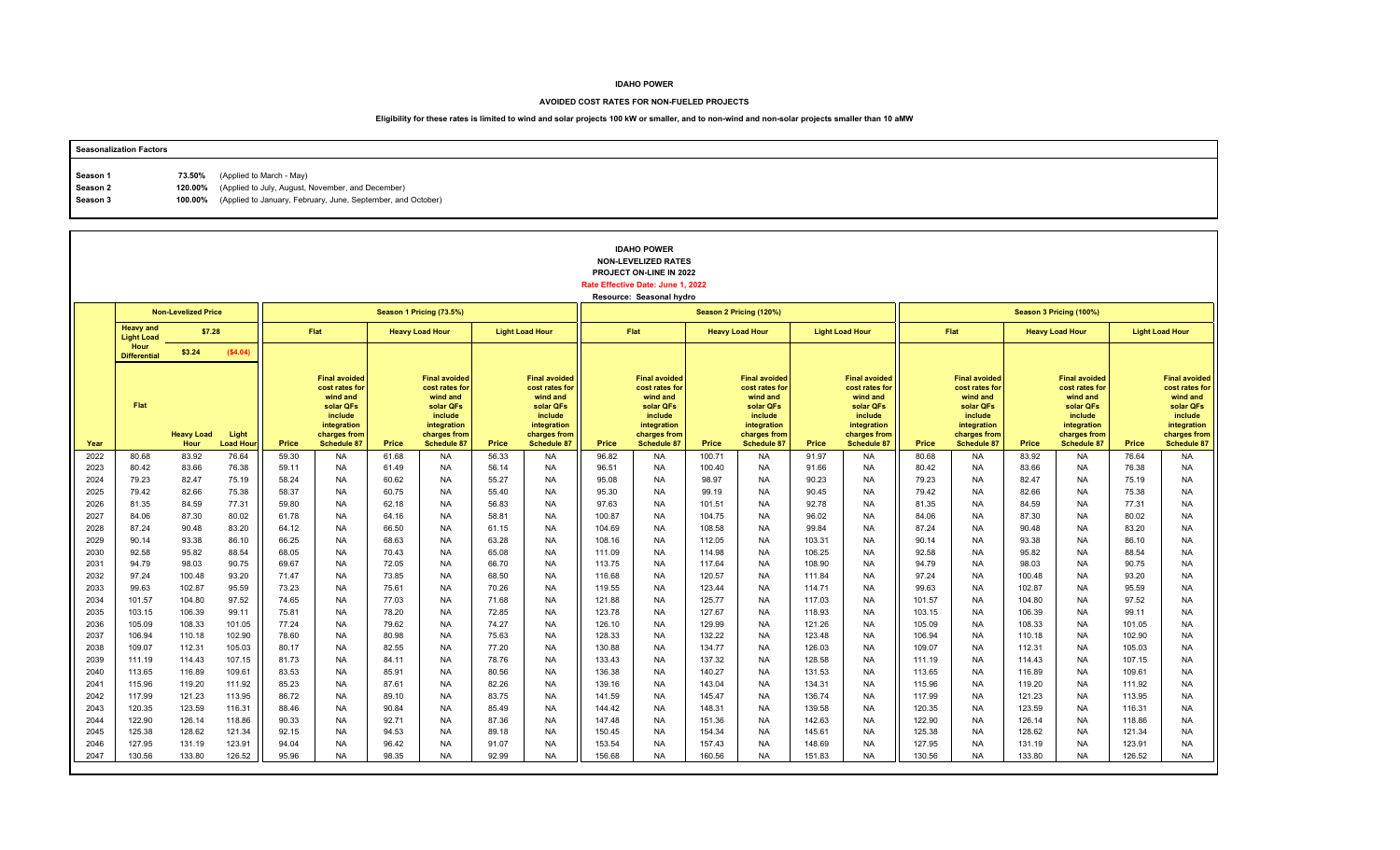### **AVOIDED COST RATES FOR NON-FUELED PROJECTS**

| <b>Seasonalization Factors</b> |        |                                                                      |
|--------------------------------|--------|----------------------------------------------------------------------|
|                                |        |                                                                      |
| Season 1                       | 73.50% | (Applied to March - May)                                             |
| Season 2                       |        | 120.00% (Applied to July, August, November, and December)            |
| Season 3                       |        | 100.00% (Applied to January, February, June, September, and October) |
|                                |        |                                                                      |

|              |                                       |                            | <b>IDAHO POWER</b><br><b>NON-LEVELIZED RATES</b><br>PROJECT ON-LINE IN 2022<br>Rate Effective Date: June 1, 2022<br>Resource: Seasonal hydro<br>Season 1 Pricing (73.5%)<br>Season 2 Pricing (120%) |                |                                                                                                                                 |                |                                                                                                                                 |                |                                                                                                                                 |                  |                                                                                                                                 |                  |                                                                                                                          |                  |                                                                                                                                 |                  |                                                                                                                                 |                  |                                                                                                                                 |                  |                                                                                                                                 |
|--------------|---------------------------------------|----------------------------|-----------------------------------------------------------------------------------------------------------------------------------------------------------------------------------------------------|----------------|---------------------------------------------------------------------------------------------------------------------------------|----------------|---------------------------------------------------------------------------------------------------------------------------------|----------------|---------------------------------------------------------------------------------------------------------------------------------|------------------|---------------------------------------------------------------------------------------------------------------------------------|------------------|--------------------------------------------------------------------------------------------------------------------------|------------------|---------------------------------------------------------------------------------------------------------------------------------|------------------|---------------------------------------------------------------------------------------------------------------------------------|------------------|---------------------------------------------------------------------------------------------------------------------------------|------------------|---------------------------------------------------------------------------------------------------------------------------------|
|              |                                       | <b>Non-Levelized Price</b> |                                                                                                                                                                                                     |                |                                                                                                                                 |                |                                                                                                                                 |                |                                                                                                                                 |                  |                                                                                                                                 |                  |                                                                                                                          |                  |                                                                                                                                 |                  |                                                                                                                                 |                  | Season 3 Pricing (100%)                                                                                                         |                  |                                                                                                                                 |
|              | <b>Heavy and</b><br><b>Light Load</b> | \$7.28                     |                                                                                                                                                                                                     |                | <b>Flat</b>                                                                                                                     |                | <b>Heavy Load Hour</b>                                                                                                          |                | <b>Light Load Hour</b>                                                                                                          |                  | Flat                                                                                                                            |                  | <b>Heavy Load Hour</b>                                                                                                   |                  | <b>Light Load Hour</b>                                                                                                          |                  | Flat                                                                                                                            |                  | <b>Heavy Load Hour</b>                                                                                                          |                  | <b>Light Load Hour</b>                                                                                                          |
|              | Hour<br><b>Differential</b>           | \$3.24                     | (\$4.04)                                                                                                                                                                                            |                |                                                                                                                                 |                |                                                                                                                                 |                |                                                                                                                                 |                  |                                                                                                                                 |                  |                                                                                                                          |                  |                                                                                                                                 |                  |                                                                                                                                 |                  |                                                                                                                                 |                  |                                                                                                                                 |
| Year         | Flat                                  | <b>Heavy Load</b><br>Hour  | Light<br><b>Load Hou</b>                                                                                                                                                                            | Price          | <b>Final avoided</b><br>cost rates for<br>wind and<br>solar QFs<br>include<br>integration<br>charges from<br><b>Schedule 87</b> | Price          | <b>Final avoided</b><br>cost rates for<br>wind and<br>solar QFs<br>include<br>integration<br>charges from<br><b>Schedule 87</b> | Price          | <b>Final avoided</b><br>cost rates for<br>wind and<br>solar QFs<br>include<br>integration<br>charges from<br><b>Schedule 87</b> | Price            | <b>Final avoided</b><br>cost rates for<br>wind and<br>solar QFs<br>include<br>integration<br>charges from<br><b>Schedule 87</b> | Price            | <b>Final avoided</b><br>cost rates for<br>wind and<br>solar QFs<br>include<br>integration<br>charges from<br>Schedule 87 | Price            | <b>Final avoided</b><br>cost rates for<br>wind and<br>solar QFs<br>include<br>integration<br>charges from<br><b>Schedule 87</b> | Price            | <b>Final avoided</b><br>cost rates for<br>wind and<br>solar QFs<br>include<br>integration<br>charges from<br><b>Schedule 87</b> | Price            | <b>Final avoided</b><br>cost rates for<br>wind and<br>solar QFs<br>include<br>integration<br>charges from<br><b>Schedule 87</b> | Price            | <b>Final avoided</b><br>cost rates for<br>wind and<br>solar QFs<br>include<br>integration<br>charges from<br><b>Schedule 87</b> |
| 2022         | 80.68                                 | 83.92                      | 76.64                                                                                                                                                                                               | 59.30          | <b>NA</b>                                                                                                                       | 61.68          | <b>NA</b>                                                                                                                       | 56.33          | <b>NA</b>                                                                                                                       | 96.82            | <b>NA</b>                                                                                                                       | 100.71           | <b>NA</b>                                                                                                                | 91.97            | <b>NA</b>                                                                                                                       | 80.68            | <b>NA</b>                                                                                                                       | 83.92            | <b>NA</b>                                                                                                                       | 76.64            | <b>NA</b>                                                                                                                       |
| 2023         | 80.42                                 | 83.66                      | 76.38                                                                                                                                                                                               | 59.11          | <b>NA</b>                                                                                                                       | 61.49          | <b>NA</b>                                                                                                                       | 56.14          | NA                                                                                                                              | 96.51            | NA                                                                                                                              | 100.40           | <b>NA</b>                                                                                                                | 91.66            | NA                                                                                                                              | 80.42            | <b>NA</b>                                                                                                                       | 83.66            | <b>NA</b>                                                                                                                       | 76.38            | <b>NA</b>                                                                                                                       |
| 2024         | 79.23                                 | 82.47                      | 75.19                                                                                                                                                                                               | 58.24          | <b>NA</b>                                                                                                                       | 60.62          | <b>NA</b>                                                                                                                       | 55.27          | <b>NA</b>                                                                                                                       | 95.08            | <b>NA</b>                                                                                                                       | 98.97            | <b>NA</b>                                                                                                                | 90.23            | <b>NA</b>                                                                                                                       | 79.23            | <b>NA</b>                                                                                                                       | 82.47            | <b>NA</b>                                                                                                                       | 75.19            | <b>NA</b>                                                                                                                       |
| 2025<br>2026 | 79.42<br>81.35                        | 82.66<br>84.59             | 75.38<br>77.31                                                                                                                                                                                      | 58.37<br>59.80 | <b>NA</b><br><b>NA</b>                                                                                                          | 60.75<br>62.18 | <b>NA</b><br><b>NA</b>                                                                                                          | 55.40<br>56.83 | <b>NA</b><br><b>NA</b>                                                                                                          | 95.30<br>97.63   | <b>NA</b><br><b>NA</b>                                                                                                          | 99.19<br>101.51  | <b>NA</b><br><b>NA</b>                                                                                                   | 90.45<br>92.78   | <b>NA</b><br><b>NA</b>                                                                                                          | 79.42<br>81.35   | <b>NA</b><br><b>NA</b>                                                                                                          | 82.66<br>84.59   | <b>NA</b><br><b>NA</b>                                                                                                          | 75.38<br>77.31   | <b>NA</b><br><b>NA</b>                                                                                                          |
| 2027         | 84.06                                 | 87.30                      | 80.02                                                                                                                                                                                               | 61.78          | <b>NA</b>                                                                                                                       | 64.16          | <b>NA</b>                                                                                                                       | 58.81          | <b>NA</b>                                                                                                                       | 100.87           | <b>NA</b>                                                                                                                       | 104.75           | <b>NA</b>                                                                                                                | 96.02            | <b>NA</b>                                                                                                                       | 84.06            | <b>NA</b>                                                                                                                       | 87.30            | <b>NA</b>                                                                                                                       | 80.02            | <b>NA</b>                                                                                                                       |
| 2028         | 87.24                                 | 90.48                      | 83.20                                                                                                                                                                                               | 64.12          | <b>NA</b>                                                                                                                       | 66.50          | <b>NA</b>                                                                                                                       | 61.15          | <b>NA</b>                                                                                                                       | 104.69           | <b>NA</b>                                                                                                                       | 108.58           | <b>NA</b>                                                                                                                | 99.84            | <b>NA</b>                                                                                                                       | 87.24            | <b>NA</b>                                                                                                                       | 90.48            | <b>NA</b>                                                                                                                       | 83.20            | <b>NA</b>                                                                                                                       |
| 2029         | 90.14                                 | 93.38                      | 86.10                                                                                                                                                                                               | 66.25          | <b>NA</b>                                                                                                                       | 68.63          | <b>NA</b>                                                                                                                       | 63.28          | <b>NA</b>                                                                                                                       | 108.16           | <b>NA</b>                                                                                                                       | 112.05           | <b>NA</b>                                                                                                                | 103.31           | <b>NA</b>                                                                                                                       | 90.14            | <b>NA</b>                                                                                                                       | 93.38            | <b>NA</b>                                                                                                                       | 86.10            | <b>NA</b>                                                                                                                       |
| 2030         | 92.58                                 | 95.82                      | 88.54                                                                                                                                                                                               | 68.05          | <b>NA</b>                                                                                                                       | 70.43          | <b>NA</b>                                                                                                                       | 65.08          | <b>NA</b>                                                                                                                       | 111.09           | <b>NA</b>                                                                                                                       | 114.98           | <b>NA</b>                                                                                                                | 106.25           | <b>NA</b>                                                                                                                       | 92.58            | <b>NA</b>                                                                                                                       | 95.82            | <b>NA</b>                                                                                                                       | 88.54            | <b>NA</b>                                                                                                                       |
| 2031         | 94.79                                 | 98.03                      | 90.75                                                                                                                                                                                               | 69.67          | <b>NA</b>                                                                                                                       | 72.05          | <b>NA</b>                                                                                                                       | 66.70          | <b>NA</b>                                                                                                                       | 113.75           | <b>NA</b>                                                                                                                       | 117.64           | <b>NA</b>                                                                                                                | 108.90           | <b>NA</b>                                                                                                                       | 94.79            | <b>NA</b>                                                                                                                       | 98.03            | <b>NA</b>                                                                                                                       | 90.75            | <b>NA</b>                                                                                                                       |
| 2032         | 97.24                                 | 100.48                     | 93.20                                                                                                                                                                                               | 71.47          | <b>NA</b>                                                                                                                       | 73.85          | <b>NA</b>                                                                                                                       | 68.50          | <b>NA</b>                                                                                                                       | 116.68           | <b>NA</b>                                                                                                                       | 120.57           | <b>NA</b>                                                                                                                | 111.84           | NA                                                                                                                              | 97.24            | <b>NA</b>                                                                                                                       | 100.48           | <b>NA</b>                                                                                                                       | 93.20            | <b>NA</b>                                                                                                                       |
| 2033         | 99.63                                 | 102.87                     | 95.59                                                                                                                                                                                               | 73.23          | <b>NA</b>                                                                                                                       | 75.61          | <b>NA</b>                                                                                                                       | 70.26          | <b>NA</b>                                                                                                                       | 119.55           | <b>NA</b>                                                                                                                       | 123.44           | <b>NA</b>                                                                                                                | 114.71           | <b>NA</b>                                                                                                                       | 99.63            | <b>NA</b>                                                                                                                       | 102.87           | <b>NA</b>                                                                                                                       | 95.59            | <b>NA</b>                                                                                                                       |
| 2034         | 101.57                                | 104.80                     | 97.52                                                                                                                                                                                               | 74.65          | <b>NA</b>                                                                                                                       | 77.03          | <b>NA</b>                                                                                                                       | 71.68          | <b>NA</b>                                                                                                                       | 121.88           | <b>NA</b>                                                                                                                       | 125.77           | <b>NA</b>                                                                                                                | 117.03           | <b>NA</b>                                                                                                                       | 101.57           | <b>NA</b>                                                                                                                       | 104.80           | <b>NA</b>                                                                                                                       | 97.52            | <b>NA</b>                                                                                                                       |
| 2035<br>2036 | 103.15                                | 106.39                     | 99.11                                                                                                                                                                                               | 75.81          | <b>NA</b><br><b>NA</b>                                                                                                          | 78.20          | <b>NA</b>                                                                                                                       | 72.85          | <b>NA</b>                                                                                                                       | 123.78           | <b>NA</b>                                                                                                                       | 127.67           | <b>NA</b><br><b>NA</b>                                                                                                   | 118.93           | <b>NA</b>                                                                                                                       | 103.15           | <b>NA</b><br><b>NA</b>                                                                                                          | 106.39           | <b>NA</b>                                                                                                                       | 99.11            | <b>NA</b><br><b>NA</b>                                                                                                          |
| 2037         | 105.09<br>106.94                      | 108.33<br>110.18           | 101.05<br>102.90                                                                                                                                                                                    | 77.24<br>78.60 | <b>NA</b>                                                                                                                       | 79.62<br>80.98 | <b>NA</b><br><b>NA</b>                                                                                                          | 74.27<br>75.63 | <b>NA</b><br><b>NA</b>                                                                                                          | 126.10<br>128.33 | <b>NA</b><br><b>NA</b>                                                                                                          | 129.99<br>132.22 | <b>NA</b>                                                                                                                | 121.26<br>123.48 | NA<br><b>NA</b>                                                                                                                 | 105.09<br>106.94 | <b>NA</b>                                                                                                                       | 108.33<br>110.18 | <b>NA</b><br><b>NA</b>                                                                                                          | 101.05<br>102.90 | <b>NA</b>                                                                                                                       |
| 2038         | 109.07                                | 112.31                     | 105.03                                                                                                                                                                                              | 80.17          | <b>NA</b>                                                                                                                       | 82.55          | <b>NA</b>                                                                                                                       | 77.20          | <b>NA</b>                                                                                                                       | 130.88           | <b>NA</b>                                                                                                                       | 134.77           | <b>NA</b>                                                                                                                | 126.03           | <b>NA</b>                                                                                                                       | 109.07           | <b>NA</b>                                                                                                                       | 112.31           | <b>NA</b>                                                                                                                       | 105.03           | <b>NA</b>                                                                                                                       |
| 2039         | 111.19                                | 114.43                     | 107.15                                                                                                                                                                                              | 81.73          | <b>NA</b>                                                                                                                       | 84.11          | <b>NA</b>                                                                                                                       | 78.76          | <b>NA</b>                                                                                                                       | 133.43           | <b>NA</b>                                                                                                                       | 137.32           | <b>NA</b>                                                                                                                | 128.58           | <b>NA</b>                                                                                                                       | 111.19           | <b>NA</b>                                                                                                                       | 114.43           | <b>NA</b>                                                                                                                       | 107.15           | <b>NA</b>                                                                                                                       |
| 2040         | 113.65                                | 116.89                     | 109.61                                                                                                                                                                                              | 83.53          | <b>NA</b>                                                                                                                       | 85.91          | <b>NA</b>                                                                                                                       | 80.56          | <b>NA</b>                                                                                                                       | 136.38           | <b>NA</b>                                                                                                                       | 140.27           | <b>NA</b>                                                                                                                | 131.53           | <b>NA</b>                                                                                                                       | 113.65           | <b>NA</b>                                                                                                                       | 116.89           | <b>NA</b>                                                                                                                       | 109.61           | <b>NA</b>                                                                                                                       |
| 2041         | 115.96                                | 119.20                     | 111.92                                                                                                                                                                                              | 85.23          | <b>NA</b>                                                                                                                       | 87.61          | <b>NA</b>                                                                                                                       | 82.26          | <b>NA</b>                                                                                                                       | 139.16           | <b>NA</b>                                                                                                                       | 143.04           | <b>NA</b>                                                                                                                | 134.31           | <b>NA</b>                                                                                                                       | 115.96           | <b>NA</b>                                                                                                                       | 119.20           | <b>NA</b>                                                                                                                       | 111.92           | <b>NA</b>                                                                                                                       |
| 2042         | 117.99                                | 121.23                     | 113.95                                                                                                                                                                                              | 86.72          | <b>NA</b>                                                                                                                       | 89.10          | <b>NA</b>                                                                                                                       | 83.75          | <b>NA</b>                                                                                                                       | 141.59           | <b>NA</b>                                                                                                                       | 145.47           | <b>NA</b>                                                                                                                | 136.74           | NA                                                                                                                              | 117.99           | <b>NA</b>                                                                                                                       | 121.23           | <b>NA</b>                                                                                                                       | 113.95           | <b>NA</b>                                                                                                                       |
| 2043         | 120.35                                | 123.59                     | 116.31                                                                                                                                                                                              | 88.46          | <b>NA</b>                                                                                                                       | 90.84          | <b>NA</b>                                                                                                                       | 85.49          | <b>NA</b>                                                                                                                       | 144.42           | <b>NA</b>                                                                                                                       | 148.31           | <b>NA</b>                                                                                                                | 139.58           | <b>NA</b>                                                                                                                       | 120.35           | <b>NA</b>                                                                                                                       | 123.59           | <b>NA</b>                                                                                                                       | 116.31           | <b>NA</b>                                                                                                                       |
| 2044         | 122.90                                | 126.14                     | 118.86                                                                                                                                                                                              | 90.33          | <b>NA</b>                                                                                                                       | 92.71          | <b>NA</b>                                                                                                                       | 87.36          | <b>NA</b>                                                                                                                       | 147.48           | <b>NA</b>                                                                                                                       | 151.36           | <b>NA</b>                                                                                                                | 142.63           | <b>NA</b>                                                                                                                       | 122.90           | <b>NA</b>                                                                                                                       | 126.14           | <b>NA</b>                                                                                                                       | 118.86           | <b>NA</b>                                                                                                                       |
| 2045         | 125.38                                | 128.62                     | 121.34                                                                                                                                                                                              | 92.15          | <b>NA</b>                                                                                                                       | 94.53          | <b>NA</b>                                                                                                                       | 89.18          | <b>NA</b>                                                                                                                       | 150.45           | <b>NA</b>                                                                                                                       | 154.34           | <b>NA</b>                                                                                                                | 145.61           | <b>NA</b>                                                                                                                       | 125.38           | <b>NA</b>                                                                                                                       | 128.62           | <b>NA</b>                                                                                                                       | 121.34           | <b>NA</b>                                                                                                                       |
| 2046         | 127.95                                | 131.19                     | 123.91                                                                                                                                                                                              | 94.04          | <b>NA</b>                                                                                                                       | 96.42          | <b>NA</b>                                                                                                                       | 91.07          | <b>NA</b>                                                                                                                       | 153.54           | <b>NA</b>                                                                                                                       | 157.43           | <b>NA</b>                                                                                                                | 148.69           | <b>NA</b>                                                                                                                       | 127.95           | <b>NA</b>                                                                                                                       | 131.19           | <b>NA</b>                                                                                                                       | 123.91           | <b>NA</b>                                                                                                                       |
| 2047         | 130.56                                | 133.80                     | 126.52                                                                                                                                                                                              | 95.96          | <b>NA</b>                                                                                                                       | 98.35          | <b>NA</b>                                                                                                                       | 92.99          | <b>NA</b>                                                                                                                       | 156.68           | <b>NA</b>                                                                                                                       | 160.56           | <b>NA</b>                                                                                                                | 151.83           | <b>NA</b>                                                                                                                       | 130.56           | <b>NA</b>                                                                                                                       | 133.80           | <b>NA</b>                                                                                                                       | 126.52           | <b>NA</b>                                                                                                                       |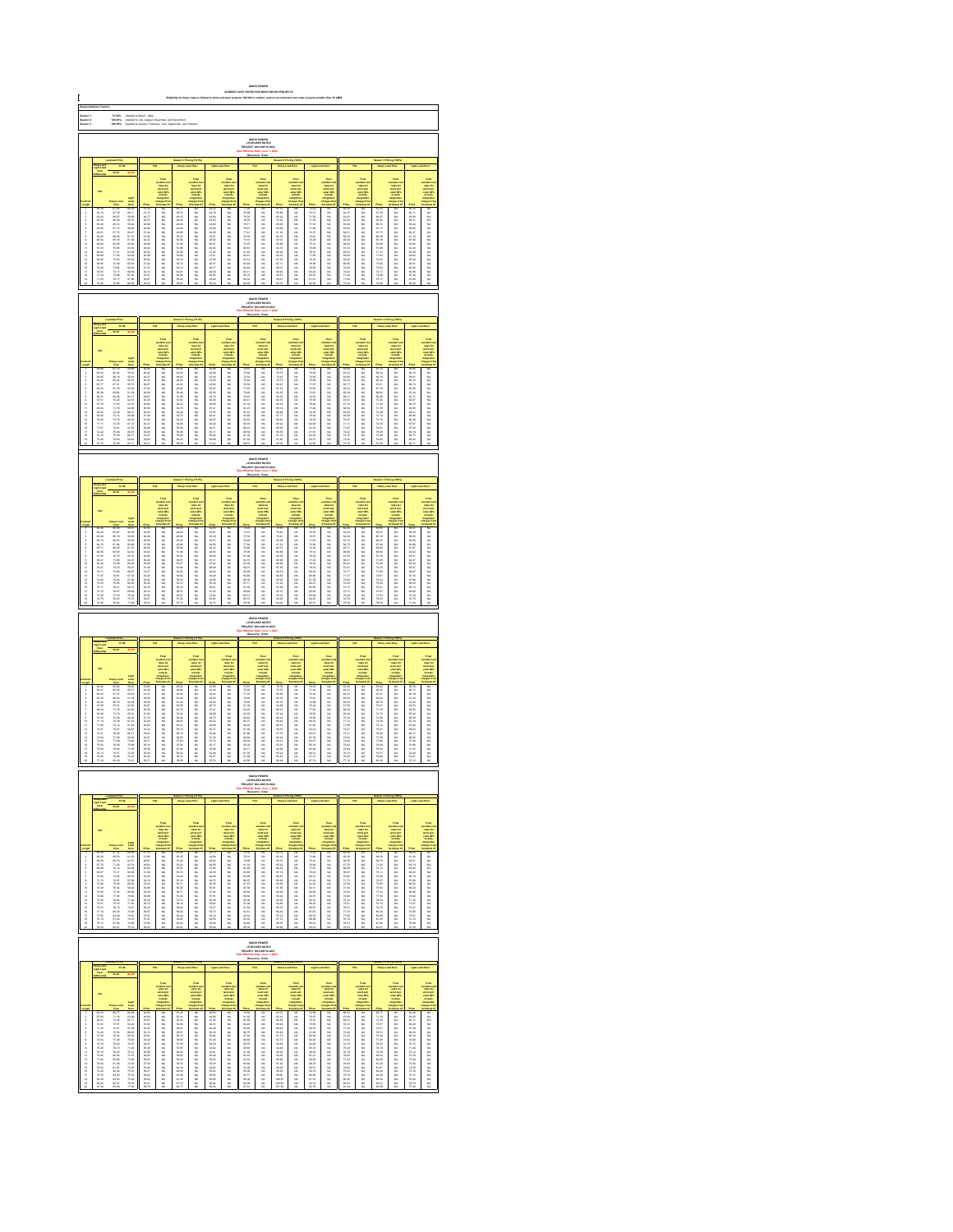|                                  | 73.60%<br>120.00%<br>100.00%<br> <br> Applied to March - May)<br> Applied to Jaly, August, No<br> Applied to Jaly, August, No<br>IDAHO POWER<br>LEVELIZED RATE:<br>JECT ON-LINE IN: |                                                                                                                                                                                                                                |                                                                                                                                                                                                                                    |                                                                                                                                                                                                                                |                                                                                     |                                           |                                                                                                 |                                                                                                 |                                                                                                                                                                                                                               |                                                                                                      |                                                                                    |                                                          |                                                                              |                                                                                                                                                                                                                                |                                                                                                   |                                                     |                                                                                        |                                             |                                                                                                  |                                                                                                      |                                                                                                                                                                                                                               |
|----------------------------------|-------------------------------------------------------------------------------------------------------------------------------------------------------------------------------------|--------------------------------------------------------------------------------------------------------------------------------------------------------------------------------------------------------------------------------|------------------------------------------------------------------------------------------------------------------------------------------------------------------------------------------------------------------------------------|--------------------------------------------------------------------------------------------------------------------------------------------------------------------------------------------------------------------------------|-------------------------------------------------------------------------------------|-------------------------------------------|-------------------------------------------------------------------------------------------------|-------------------------------------------------------------------------------------------------|-------------------------------------------------------------------------------------------------------------------------------------------------------------------------------------------------------------------------------|------------------------------------------------------------------------------------------------------|------------------------------------------------------------------------------------|----------------------------------------------------------|------------------------------------------------------------------------------|--------------------------------------------------------------------------------------------------------------------------------------------------------------------------------------------------------------------------------|---------------------------------------------------------------------------------------------------|-----------------------------------------------------|----------------------------------------------------------------------------------------|---------------------------------------------|--------------------------------------------------------------------------------------------------|------------------------------------------------------------------------------------------------------|-------------------------------------------------------------------------------------------------------------------------------------------------------------------------------------------------------------------------------|
| Saason 1<br>Saason 3<br>Saason 3 |                                                                                                                                                                                     |                                                                                                                                                                                                                                |                                                                                                                                                                                                                                    |                                                                                                                                                                                                                                |                                                                                     |                                           |                                                                                                 |                                                                                                 |                                                                                                                                                                                                                               |                                                                                                      |                                                                                    |                                                          |                                                                              |                                                                                                                                                                                                                                |                                                                                                   |                                                     |                                                                                        |                                             |                                                                                                  |                                                                                                      |                                                                                                                                                                                                                               |
|                                  |                                                                                                                                                                                     |                                                                                                                                                                                                                                |                                                                                                                                                                                                                                    |                                                                                                                                                                                                                                |                                                                                     |                                           |                                                                                                 |                                                                                                 |                                                                                                                                                                                                                               |                                                                                                      |                                                                                    |                                                          |                                                                              |                                                                                                                                                                                                                                |                                                                                                   |                                                     |                                                                                        |                                             |                                                                                                  |                                                                                                      |                                                                                                                                                                                                                               |
|                                  |                                                                                                                                                                                     | 87.38                                                                                                                                                                                                                          |                                                                                                                                                                                                                                    |                                                                                                                                                                                                                                |                                                                                     |                                           |                                                                                                 |                                                                                                 |                                                                                                                                                                                                                               |                                                                                                      |                                                                                    |                                                          |                                                                              |                                                                                                                                                                                                                                |                                                                                                   |                                                     |                                                                                        |                                             |                                                                                                  |                                                                                                      |                                                                                                                                                                                                                               |
|                                  |                                                                                                                                                                                     |                                                                                                                                                                                                                                |                                                                                                                                                                                                                                    |                                                                                                                                                                                                                                |                                                                                     |                                           | <b>THE</b>                                                                                      |                                                                                                 |                                                                                                                                                                                                                               |                                                                                                      | Final<br>unitarist<br>unitarist<br>unitari<br>unitarist                            |                                                          |                                                                              |                                                                                                                                                                                                                                |                                                                                                   |                                                     |                                                                                        |                                             | Final<br>voluntari<br>voluntari<br>voluntari<br>voluntari<br>voluntari<br>voluntari<br>voluntari |                                                                                                      |                                                                                                                                                                                                                               |
|                                  |                                                                                                                                                                                     |                                                                                                                                                                                                                                |                                                                                                                                                                                                                                    |                                                                                                                                                                                                                                |                                                                                     |                                           |                                                                                                 |                                                                                                 |                                                                                                                                                                                                                               |                                                                                                      |                                                                                    |                                                          |                                                                              |                                                                                                                                                                                                                                |                                                                                                   |                                                     |                                                                                        |                                             |                                                                                                  |                                                                                                      |                                                                                                                                                                                                                               |
| 显示失真原不显示协计经经转线继续排排               | 机自动 机自动机 的复数形式 化自动机 化自动机 化自动机 医阿尔伯氏试验检胆汁 医阿尔伯氏征                                                                                                                                     | 收收新报酬 化收收器 机硝酸 加力分配的 化加利比                                                                                                                                                                                                      | No.35 00:35 00:35 00:47 00:35 00:47 00:35 00:47 00:35 00:47 00:35 00:47 00:35 00:47 00:35 00:47 00:35 00:47 00:35 00:47 00:35 00:47 00:35 00:47 00:35 00:47 00:35 00:47 00:35 00:47 00:35                                          | 12.15万 46.26 46.26 48.42 48.50 50.00 50.00 50.50 50.50 50.50 50.50 50.50 50.50 50.50 50.50 50.50 50.50 50.50 50.50 50.50 50.50 50.50 50.50 50.50 50.50 50.50 50.50 50.50 50.50 50.50 50.50 50.50 50.50 50.50 50.50 50.50 50.50 | 3.以以以以以以以以以以以以以以以以以以以以                                                              | 一种有些有的复数形式 经经济的经济 化硫酸盐                    |                                                                                                 | 43.28.00 自动的结果 自动的复数形式 自动的复数形式 化自动式 医心包 计数字 计数字 计数字 计数字 医心包 计数字 医心包 计数字 计数字 医心包 计数字 医心包 计数字 医心包 | Former Section 2014年1月12日,1995年1月12日,1995年1月12日,1995年1月12日,1995年1月12日,1995年1月12日,1995年1月12日,1995年1月1 年,1995年1月11日,1995年1月11日,1995年1月12日,1995年1月11日,1995年1月11日,1995年1月11日,1995年1月11日,1995年1月11日,1995年1月11日,1995年1月11日,1995年1月1 | - 光光光光光光光光光光光照相 机磁机 机防火机 医三角状腺 医二角状腺 医二角状腺 医二角状腺                                                     |                                                                                    |                                                          | 以以以以以以以以以以以以以以以以以以以                                                          | 12月1日,2月22日,12月22日,12月22日,12月22日,12月22日,12月22日,12月23日,12月23日,12月23日,12月23日,12月23日,12月23日,12月23日,12月2                                                                                                                           |                                                                                                   | (机动动动机械成械机械机械的 网络阿拉伯                                |                                                                                        | 3.联机机械联联机构的为开开发发动机开展开展                      |                                                                                                  |                                                                                                      | take the first second the control of the first second the control of the control of the control of the control of the control of the control of the control of the control of the control of the control of the control of th |
|                                  |                                                                                                                                                                                     |                                                                                                                                                                                                                                |                                                                                                                                                                                                                                    |                                                                                                                                                                                                                                |                                                                                     |                                           |                                                                                                 |                                                                                                 |                                                                                                                                                                                                                               |                                                                                                      |                                                                                    |                                                          |                                                                              |                                                                                                                                                                                                                                |                                                                                                   |                                                     |                                                                                        |                                             |                                                                                                  |                                                                                                      |                                                                                                                                                                                                                               |
|                                  |                                                                                                                                                                                     |                                                                                                                                                                                                                                |                                                                                                                                                                                                                                    |                                                                                                                                                                                                                                |                                                                                     |                                           |                                                                                                 |                                                                                                 |                                                                                                                                                                                                                               |                                                                                                      |                                                                                    |                                                          |                                                                              |                                                                                                                                                                                                                                |                                                                                                   |                                                     |                                                                                        |                                             |                                                                                                  |                                                                                                      |                                                                                                                                                                                                                               |
|                                  |                                                                                                                                                                                     |                                                                                                                                                                                                                                |                                                                                                                                                                                                                                    |                                                                                                                                                                                                                                |                                                                                     |                                           |                                                                                                 |                                                                                                 |                                                                                                                                                                                                                               |                                                                                                      |                                                                                    |                                                          |                                                                              |                                                                                                                                                                                                                                |                                                                                                   |                                                     |                                                                                        |                                             |                                                                                                  |                                                                                                      |                                                                                                                                                                                                                               |
|                                  |                                                                                                                                                                                     |                                                                                                                                                                                                                                |                                                                                                                                                                                                                                    |                                                                                                                                                                                                                                |                                                                                     |                                           |                                                                                                 |                                                                                                 |                                                                                                                                                                                                                               |                                                                                                      | <b>EMHO POWER</b><br>LEVELIZED RATES                                               |                                                          |                                                                              |                                                                                                                                                                                                                                |                                                                                                   |                                                     |                                                                                        |                                             |                                                                                                  |                                                                                                      |                                                                                                                                                                                                                               |
|                                  |                                                                                                                                                                                     |                                                                                                                                                                                                                                |                                                                                                                                                                                                                                    |                                                                                                                                                                                                                                |                                                                                     |                                           |                                                                                                 |                                                                                                 |                                                                                                                                                                                                                               |                                                                                                      |                                                                                    |                                                          |                                                                              |                                                                                                                                                                                                                                |                                                                                                   |                                                     |                                                                                        |                                             |                                                                                                  |                                                                                                      |                                                                                                                                                                                                                               |
|                                  |                                                                                                                                                                                     |                                                                                                                                                                                                                                |                                                                                                                                                                                                                                    |                                                                                                                                                                                                                                |                                                                                     |                                           |                                                                                                 |                                                                                                 |                                                                                                                                                                                                                               |                                                                                                      |                                                                                    |                                                          |                                                                              |                                                                                                                                                                                                                                |                                                                                                   |                                                     |                                                                                        |                                             |                                                                                                  |                                                                                                      |                                                                                                                                                                                                                               |
|                                  |                                                                                                                                                                                     |                                                                                                                                                                                                                                |                                                                                                                                                                                                                                    |                                                                                                                                                                                                                                |                                                                                     |                                           | vented and<br>select and<br>select the select<br>industries                                     |                                                                                                 | Final<br>subject is<br>subject in<br>subject in<br>include                                                                                                                                                                    |                                                                                                      | vended a<br>select and<br>select and<br>matterial                                  |                                                          | vented on<br>reduction<br>solar different<br>social different<br>includes    |                                                                                                                                                                                                                                |                                                                                                   |                                                     | rains for<br>state and<br>state CP<br>instate                                          |                                             |                                                                                                  |                                                                                                      | taka 2016年1月11日,1月12日,1月12日,1月12日,1月12日,1月12日,1月12日,1月12日,1月12日,1月12日,1月12日,1月12日,1月12日,1月12日,1月12日,                                                                                                                          |
|                                  |                                                                                                                                                                                     | 机板板 新鲜灯 计数据数据 化加热机 医阴道性皮肤炎 医心包性 医心包性 医心包性 医心包                                                                                                                                                                                  | <b>Light Result Station Station Station Station Station Station Station Station Station Station Station Station Station Station Station Station Station Station Station Station Station Station Station Station Station Statio</b> |                                                                                                                                                                                                                                | 化脱机机机机 机机机机机机机机机机机机机                                                                |                                           |                                                                                                 |                                                                                                 |                                                                                                                                                                                                                               |                                                                                                      | 1. 化甲状腺杆菌素 医皮肤皮肤皮肤皮肤皮肤皮肤皮肤                                                         |                                                          | 以以以以以以以以以以以以以以以以以以以                                                          |                                                                                                                                                                                                                                | 2.以前是以后的人的人的人的人的人的人的人的人                                                                           |                                                     |                                                                                        |                                             | 加加加加加加加加加加加加加加加加加加                                                                               |                                                                                                      |                                                                                                                                                                                                                               |
|                                  |                                                                                                                                                                                     |                                                                                                                                                                                                                                |                                                                                                                                                                                                                                    |                                                                                                                                                                                                                                |                                                                                     |                                           |                                                                                                 |                                                                                                 |                                                                                                                                                                                                                               |                                                                                                      |                                                                                    |                                                          |                                                                              |                                                                                                                                                                                                                                |                                                                                                   |                                                     |                                                                                        |                                             |                                                                                                  |                                                                                                      |                                                                                                                                                                                                                               |
|                                  | 临时检验 机械制造机械 的复数形式 医单位性脑膜炎 医单位的 医单位的 医单位的                                                                                                                                            |                                                                                                                                                                                                                                |                                                                                                                                                                                                                                    | 新潟県 12月15日 12月15日 12月15日 12月15日 12月15日 12月15日 12月15日 12月15日 12月15日 12月15日 12月15日 12月15日 12月15日 12月15日 12月15日                                                                                                                   |                                                                                     | 自由自由自动的自动的复数形式 医斯特斯氏                      |                                                                                                 | 石林 石林石林 44 台湾 22 名称 44 名前 44 名前 22 名前 44 名前 44 名前 44 名前 44 名前 45 名前 55 公元 65 名前 55 公元           |                                                                                                                                                                                                                               | 残残残残残坏 化连接性 计自动标准 医精神性贫血病 化二乙基苯基 医二乙基苯基 医第二次 医阿尔伯氏征                                                  |                                                                                    | 2万万元的社会出版新版新的新闻的社会                                       |                                                                              | 77.000 70.00 71.07 72.00 74.00 75.00 76.00 76.00 76.00 76.00 76.00 76.00 76.00 76.00 76.00 76.00 76.00 76.00 76.00 76.00 76.00 76.00 76.00 76.00 76.00 76.00 76.00 76.00 76.00 76.00 76.00 76.00 76.00 76.00 76.00 76.00 76.00 |                                                                                                   | 网络哈哈哈哈哈哈哈哈哈哈 我为为我的人 化二乙基苯胺 医心包的 医心包的 医心包的           |                                                                                        | 矿硫酸硫矿 联联的加力开发发发光光光光光光光光光光光光光光光光光光光光光光光光光光光光 |                                                                                                  |                                                                                                      |                                                                                                                                                                                                                               |
| 卫生失去先不未未协计论论 网络神经细胞              |                                                                                                                                                                                     |                                                                                                                                                                                                                                |                                                                                                                                                                                                                                    |                                                                                                                                                                                                                                |                                                                                     |                                           |                                                                                                 |                                                                                                 |                                                                                                                                                                                                                               |                                                                                                      |                                                                                    |                                                          |                                                                              |                                                                                                                                                                                                                                |                                                                                                   |                                                     |                                                                                        |                                             |                                                                                                  |                                                                                                      |                                                                                                                                                                                                                               |
|                                  |                                                                                                                                                                                     |                                                                                                                                                                                                                                |                                                                                                                                                                                                                                    |                                                                                                                                                                                                                                |                                                                                     |                                           |                                                                                                 |                                                                                                 |                                                                                                                                                                                                                               |                                                                                                      | IDAHO POWER<br>LEVELIZED RATES<br>LIECT ON LINE IN 202                             |                                                          |                                                                              |                                                                                                                                                                                                                                |                                                                                                   |                                                     |                                                                                        |                                             |                                                                                                  |                                                                                                      |                                                                                                                                                                                                                               |
|                                  |                                                                                                                                                                                     | 87.3                                                                                                                                                                                                                           |                                                                                                                                                                                                                                    |                                                                                                                                                                                                                                |                                                                                     |                                           |                                                                                                 |                                                                                                 |                                                                                                                                                                                                                               |                                                                                                      |                                                                                    |                                                          |                                                                              |                                                                                                                                                                                                                                |                                                                                                   |                                                     |                                                                                        |                                             |                                                                                                  |                                                                                                      |                                                                                                                                                                                                                               |
|                                  | navy am<br>ghl Loa                                                                                                                                                                  |                                                                                                                                                                                                                                |                                                                                                                                                                                                                                    |                                                                                                                                                                                                                                |                                                                                     |                                           |                                                                                                 |                                                                                                 |                                                                                                                                                                                                                               |                                                                                                      |                                                                                    |                                                          |                                                                              |                                                                                                                                                                                                                                |                                                                                                   |                                                     |                                                                                        |                                             |                                                                                                  |                                                                                                      |                                                                                                                                                                                                                               |
|                                  |                                                                                                                                                                                     |                                                                                                                                                                                                                                |                                                                                                                                                                                                                                    |                                                                                                                                                                                                                                |                                                                                     |                                           | weathed and<br>colorador formulaes<br>colorador formulaes<br>integration<br>hargest for         |                                                                                                 | venture of<br>ratios for<br>salar City<br>salar City<br>include                                                                                                                                                               |                                                                                                      | wided on<br>subset for<br>wind and<br>suiter Cify<br>include                       |                                                          | volad<br>volas for<br>volad and<br>solar CP<br>include                       |                                                                                                                                                                                                                                | volded on<br>ratios for<br>militar del ante<br>solaritar del proposito<br>hangaritar<br>hangarita |                                                     |                                                                                        |                                             | ontine) a<br>radom Re<br>wired any<br>walter Cit                                                 |                                                                                                      | state and additional Property of Microsoft Property and Additional Property of Microsoft Property and Additional Property of Microsoft Property and Additional Property Property Property Property Property Property Property |
|                                  |                                                                                                                                                                                     | 2012 05:07:08 05:08 20:20 20:20 20:20 20:20 20:20 20:20 20:20 20:20 20:20 20:20 20:20 20:20 20:20 20:20 20:20 20:20 20:20 20:20 20:20 20:20 20:20 20:20 20:20 20:20 20:20 20:20 20:20 20:20 20:20 20:20 20:20 20:20 20:20 20:2 | Mart SE20 05:00:00 05:00:00 05:00:00 05:00 05:00 05:00 05:00 05:00 05:00 05:00 05:00 05:00 05:00 05:00 05:00 05:00 05:00 05:00 05:00 05:00 05:00 05:00 05:00 05:00 05:00 05:00 05:00 05:00 05:00 05:00 05:00 05:00 05:00 0         |                                                                                                                                                                                                                                |                                                                                     |                                           |                                                                                                 |                                                                                                 | ************************                                                                                                                                                                                                      |                                                                                                      | 2. 双肢肌肌肌肌肌肌肌肌肌肌肌肌肌肌肌肌肌                                                             |                                                          |                                                                              |                                                                                                                                                                                                                                | ***********************                                                                           |                                                     |                                                                                        |                                             |                                                                                                  |                                                                                                      |                                                                                                                                                                                                                               |
| - 中央失去者早年申担计论组组络组织组织             | 输出 经利用 机硫酸盐 化二氯化物 医三氯化物 医三氯化物 医三氯化物 医三氯化物 医三氯化物 医三氯化物 医三氯化物                                                                                                                         |                                                                                                                                                                                                                                |                                                                                                                                                                                                                                    |                                                                                                                                                                                                                                | 化脱机机脱机脱机机脱机脱机脱机脱机脱机                                                                 | 化硫酸盐 医皮肤的 计数字数据 医血管性 医血管性 医皮肤的 计分类的 计分类数据 |                                                                                                 |                                                                                                 |                                                                                                                                                                                                                               | - 光光光光光线的 化自动机 医后庭 计数据数据 网络拉丁 医阿拉伯氏试验检胆汁 化二乙基二乙基                                                     |                                                                                    | 7年的时期经济基础建设 2012年12月22日 2月22日 2月22日 2月22日 2月22日 2月22日    | 以以及以以以以以以以以以以以以以以以以                                                          | 70.8F 77.63 72.76 75.76 75.76 75.76 75.76 75.76 75.76 76.76 76.76 76.76 76.76 76.76 76.76 76.76 76.76 76.76 76.76 76.76 76.76 76.76 76.76 76.76 76.76 76.76 76.76 76.76 76.76 76.76 76.76 76.76 76.76 76.76 76.76 76.76 76.76  |                                                                                                   | 1.经验链帐帐税 机桶外发光 万万万万万万万万万万万万万万万万万万万万万万万万万万万万万万万万     |                                                                                        | (低低低价值的为外交方式与压力的分类)                         | 加加加加加加加加加加加加加加加加加加                                                                               |                                                                                                      |                                                                                                                                                                                                                               |
|                                  |                                                                                                                                                                                     |                                                                                                                                                                                                                                |                                                                                                                                                                                                                                    |                                                                                                                                                                                                                                |                                                                                     |                                           |                                                                                                 |                                                                                                 |                                                                                                                                                                                                                               |                                                                                                      |                                                                                    |                                                          |                                                                              |                                                                                                                                                                                                                                |                                                                                                   |                                                     |                                                                                        |                                             |                                                                                                  |                                                                                                      |                                                                                                                                                                                                                               |
|                                  |                                                                                                                                                                                     |                                                                                                                                                                                                                                |                                                                                                                                                                                                                                    |                                                                                                                                                                                                                                |                                                                                     |                                           |                                                                                                 |                                                                                                 |                                                                                                                                                                                                                               |                                                                                                      |                                                                                    |                                                          |                                                                              |                                                                                                                                                                                                                                |                                                                                                   |                                                     |                                                                                        |                                             |                                                                                                  |                                                                                                      |                                                                                                                                                                                                                               |
|                                  |                                                                                                                                                                                     |                                                                                                                                                                                                                                |                                                                                                                                                                                                                                    |                                                                                                                                                                                                                                |                                                                                     |                                           |                                                                                                 |                                                                                                 |                                                                                                                                                                                                                               |                                                                                                      |                                                                                    |                                                          |                                                                              |                                                                                                                                                                                                                                |                                                                                                   |                                                     |                                                                                        |                                             |                                                                                                  |                                                                                                      |                                                                                                                                                                                                                               |
|                                  |                                                                                                                                                                                     |                                                                                                                                                                                                                                |                                                                                                                                                                                                                                    |                                                                                                                                                                                                                                |                                                                                     |                                           |                                                                                                 |                                                                                                 |                                                                                                                                                                                                                               |                                                                                                      |                                                                                    |                                                          |                                                                              |                                                                                                                                                                                                                                |                                                                                                   |                                                     |                                                                                        |                                             |                                                                                                  |                                                                                                      |                                                                                                                                                                                                                               |
|                                  |                                                                                                                                                                                     |                                                                                                                                                                                                                                |                                                                                                                                                                                                                                    |                                                                                                                                                                                                                                |                                                                                     |                                           |                                                                                                 |                                                                                                 |                                                                                                                                                                                                                               |                                                                                                      | <b>IDAHO POWER</b><br>LEVELIZED RATES<br>LIECT ON-LINE IN 3<br>Factur Date: Jane 1 |                                                          |                                                                              |                                                                                                                                                                                                                                |                                                                                                   |                                                     |                                                                                        |                                             |                                                                                                  |                                                                                                      |                                                                                                                                                                                                                               |
|                                  |                                                                                                                                                                                     | 82                                                                                                                                                                                                                             |                                                                                                                                                                                                                                    |                                                                                                                                                                                                                                |                                                                                     |                                           |                                                                                                 |                                                                                                 |                                                                                                                                                                                                                               |                                                                                                      |                                                                                    |                                                          |                                                                              |                                                                                                                                                                                                                                |                                                                                                   |                                                     |                                                                                        |                                             |                                                                                                  |                                                                                                      |                                                                                                                                                                                                                               |
|                                  |                                                                                                                                                                                     |                                                                                                                                                                                                                                |                                                                                                                                                                                                                                    |                                                                                                                                                                                                                                | Final<br>Militar Separat<br>Militar Separat<br>Militar Separate<br>Militar Separate |                                           | Final<br>voltat ca<br>voltat for<br>voltat and<br>sales CPs<br>indicate<br>harpetics            |                                                                                                 | Final<br>coldinal of<br>coldinal and<br>solar GP<br>includes<br>integration                                                                                                                                                   |                                                                                                      | vended to<br>sales for<br>what are<br>salar CP<br>includes                         |                                                          | Final<br>colora for<br>colora for<br>wider City<br>toolse for<br>integration |                                                                                                                                                                                                                                | ander<br>Allen<br>Anders<br>Angel<br>Anne                                                         |                                                     | Final<br>selection<br>selection<br>selection<br>selection<br>computers<br>transfer     |                                             | volet &<br>sind at<br>sida G<br>technik<br>sinovit                                               |                                                                                                      |                                                                                                                                                                                                                               |
|                                  |                                                                                                                                                                                     |                                                                                                                                                                                                                                |                                                                                                                                                                                                                                    |                                                                                                                                                                                                                                |                                                                                     |                                           |                                                                                                 |                                                                                                 |                                                                                                                                                                                                                               |                                                                                                      |                                                                                    |                                                          |                                                                              |                                                                                                                                                                                                                                |                                                                                                   |                                                     |                                                                                        |                                             |                                                                                                  |                                                                                                      |                                                                                                                                                                                                                               |
|                                  |                                                                                                                                                                                     |                                                                                                                                                                                                                                |                                                                                                                                                                                                                                    |                                                                                                                                                                                                                                |                                                                                     |                                           |                                                                                                 |                                                                                                 |                                                                                                                                                                                                                               |                                                                                                      |                                                                                    |                                                          |                                                                              |                                                                                                                                                                                                                                |                                                                                                   |                                                     |                                                                                        |                                             |                                                                                                  |                                                                                                      |                                                                                                                                                                                                                               |
|                                  |                                                                                                                                                                                     |                                                                                                                                                                                                                                |                                                                                                                                                                                                                                    |                                                                                                                                                                                                                                |                                                                                     |                                           |                                                                                                 |                                                                                                 |                                                                                                                                                                                                                               |                                                                                                      |                                                                                    |                                                          |                                                                              |                                                                                                                                                                                                                                |                                                                                                   |                                                     |                                                                                        |                                             |                                                                                                  |                                                                                                      |                                                                                                                                                                                                                               |
| 不不失弃 医不显示动计说话 网络铁纤维              | 检验 新新闻 化硫酸氢 计数据分类 化二乙基苯基 医二乙基二氏试验检尿糖 医心包的 医心包的 医阿尔伯氏试验检尿糖                                                                                                                           | 1.4546 机截角 2.5 万元的 2.5 万元的 2.5 万元的 2.5 万元的 2.5 万元的 2.5 万元的 2.5 万元的 2.5 万元的 2.5 万元的 2.5 万元的 2.5 万元的 2.5 万元的 2.5 万元的 2.5 万元的                                                                                                     |                                                                                                                                                                                                                                    |                                                                                                                                                                                                                                | 化脱机机机机 机机机机机机机机机机机机机                                                                |                                           |                                                                                                 | 在自动运输 化醋酸酯 的复数形式计算机 医单位性脑炎 医单位性脑炎 医二乙二醇                                                         |                                                                                                                                                                                                                               | 光压分光光压移 经总线标准 经总额 化硫酸钠 化三氯化二氯化二氯化二氯化二氯化二氯化二氯化二氯化                                                     | 2. 机机 机机机机机机机机机机机机机机机机                                                             | 压力的 经收益 新闻经新闻的复数形式 经公司的投资 医心包性 计自动控制 医心包性 医心包性 医心包的 医心包的 | 以以以以以以以以以以以以以以以以以以以                                                          | 2月20日2月28日 2月20日 12月22日 12月22日 12月22日 12月22日 12月22日 12月22日 12月22日 12月22日 12月22日 12月22日 12月22日 12月22日                                                                                                                           |                                                                                                   |                                                     |                                                                                        | 临睡时就像为开发发光光光光光光光光光光线着双脑的光线发光照相地发生           | 加加加加加加加加加加加加加加加加加加加                                                                              | 38.17.18.34.45.50.42.30.30.30.42.30.42.30.42.30.42.30.42.30.42.30.42.30.42.30.42.30.42.30.42.30.42.3 |                                                                                                                                                                                                                               |
|                                  |                                                                                                                                                                                     |                                                                                                                                                                                                                                |                                                                                                                                                                                                                                    |                                                                                                                                                                                                                                |                                                                                     |                                           |                                                                                                 |                                                                                                 |                                                                                                                                                                                                                               |                                                                                                      |                                                                                    |                                                          |                                                                              |                                                                                                                                                                                                                                |                                                                                                   |                                                     |                                                                                        |                                             |                                                                                                  |                                                                                                      |                                                                                                                                                                                                                               |
|                                  |                                                                                                                                                                                     |                                                                                                                                                                                                                                |                                                                                                                                                                                                                                    |                                                                                                                                                                                                                                |                                                                                     |                                           |                                                                                                 |                                                                                                 |                                                                                                                                                                                                                               |                                                                                                      | DAHO POWER<br>LEVELIZED RATES<br>LIECT ON-LINE IN 21                               |                                                          |                                                                              |                                                                                                                                                                                                                                |                                                                                                   |                                                     |                                                                                        |                                             |                                                                                                  |                                                                                                      |                                                                                                                                                                                                                               |
|                                  |                                                                                                                                                                                     |                                                                                                                                                                                                                                |                                                                                                                                                                                                                                    |                                                                                                                                                                                                                                |                                                                                     |                                           |                                                                                                 |                                                                                                 |                                                                                                                                                                                                                               |                                                                                                      |                                                                                    |                                                          |                                                                              |                                                                                                                                                                                                                                |                                                                                                   |                                                     |                                                                                        |                                             |                                                                                                  |                                                                                                      |                                                                                                                                                                                                                               |
|                                  |                                                                                                                                                                                     |                                                                                                                                                                                                                                |                                                                                                                                                                                                                                    |                                                                                                                                                                                                                                |                                                                                     |                                           |                                                                                                 |                                                                                                 |                                                                                                                                                                                                                               |                                                                                                      |                                                                                    |                                                          |                                                                              |                                                                                                                                                                                                                                |                                                                                                   |                                                     |                                                                                        |                                             |                                                                                                  |                                                                                                      |                                                                                                                                                                                                                               |
|                                  |                                                                                                                                                                                     |                                                                                                                                                                                                                                |                                                                                                                                                                                                                                    |                                                                                                                                                                                                                                |                                                                                     |                                           | Final<br>seated ca<br>cales for<br>selected and<br>selected industry<br>industry<br>temperature |                                                                                                 | <b>THE</b>                                                                                                                                                                                                                    |                                                                                                      |                                                                                    |                                                          | vented and<br>selected and<br>selected and<br>helpedian<br>helpedian         |                                                                                                                                                                                                                                |                                                                                                   |                                                     | readed co<br>relate for<br>which and<br>sales CP<br>holes<br>respective<br>corporation |                                             |                                                                                                  |                                                                                                      |                                                                                                                                                                                                                               |
|                                  |                                                                                                                                                                                     |                                                                                                                                                                                                                                |                                                                                                                                                                                                                                    |                                                                                                                                                                                                                                |                                                                                     |                                           |                                                                                                 |                                                                                                 |                                                                                                                                                                                                                               |                                                                                                      |                                                                                    |                                                          |                                                                              |                                                                                                                                                                                                                                |                                                                                                   |                                                     |                                                                                        |                                             |                                                                                                  |                                                                                                      |                                                                                                                                                                                                                               |
|                                  |                                                                                                                                                                                     |                                                                                                                                                                                                                                |                                                                                                                                                                                                                                    |                                                                                                                                                                                                                                |                                                                                     |                                           |                                                                                                 |                                                                                                 |                                                                                                                                                                                                                               |                                                                                                      |                                                                                    |                                                          |                                                                              |                                                                                                                                                                                                                                |                                                                                                   |                                                     |                                                                                        |                                             |                                                                                                  |                                                                                                      |                                                                                                                                                                                                                               |
|                                  |                                                                                                                                                                                     |                                                                                                                                                                                                                                |                                                                                                                                                                                                                                    | --好林林和新经纪的新加利亚的新加利亚的新加利亚的新加利亚的新加利亚的新加利亚的新加利亚的                                                                                                                                                                                  |                                                                                     |                                           |                                                                                                 |                                                                                                 |                                                                                                                                                                                                                               | 7月28日 12月15日 12月28日 12月28日 12月28日 12月28日 12月28日 12月28日 12月28日 12月28日 12月28日 12月28日 12月28日 12月28日 12月 |                                                                                    | 经政策 新政部 网络阿拉拉城属 网络阿拉拉拉加拉拉 医阿拉伯氏试验检胆囊杆菌 医单位               |                                                                              |                                                                                                                                                                                                                                |                                                                                                   |                                                     |                                                                                        |                                             |                                                                                                  |                                                                                                      |                                                                                                                                                                                                                               |
|                                  | 低低的 经租赁利用 医单位 医单位 医单位 医单位 医单位 医单位 医单位 医单位                                                                                                                                           | 47.32.60万元 72.72.77.78.86 74.74.86 74.74.86 74.74 74.86 74.74 74.86 74.74 74.86 74.74 74.86 74.74 74.                                                                                                                          | 2005年12月14日 10月20日 10月20日 10月20日 10月20日 10月20日 10月20日 10月20日 10月20日 10月20日 10月20日 10月20日 10月20日 10月20日 10月20日                                                                                                                      |                                                                                                                                                                                                                                | 1.以以以以以以以以以以以以以以以以以以以                                                               | 金路路 金路站 法法律的 计分类 医单体 医单体 医单位 医单位 医单位 医单位  |                                                                                                 |                                                                                                 |                                                                                                                                                                                                                               |                                                                                                      |                                                                                    |                                                          |                                                                              |                                                                                                                                                                                                                                |                                                                                                   | 【新新校研究》九万万民民苏苏外分为我的一种的人 医心包的 医多种性脑炎 医阿尔伯氏试验检尿病      |                                                                                        | (机师加拿大开始) 计总标准 化反转性发光器                      |                                                                                                  | 45.22.51 44.64.83 44.84 44.95 44.95 44.95 44.95 44.95 44.95 44.95 44.95 44.95 44.95 44.95 44.95 44.9 | 2.双腿肌肌肌肌肌肌肌肌肌肌肌肌肌肌肌肌肌肌                                                                                                                                                                                                        |
|                                  |                                                                                                                                                                                     |                                                                                                                                                                                                                                |                                                                                                                                                                                                                                    |                                                                                                                                                                                                                                |                                                                                     |                                           |                                                                                                 |                                                                                                 |                                                                                                                                                                                                                               |                                                                                                      | IDAHO POWER<br>LEVELIZED RATES<br>LIECT ON-LINE IN 1                               |                                                          |                                                                              |                                                                                                                                                                                                                                |                                                                                                   |                                                     |                                                                                        |                                             |                                                                                                  |                                                                                                      |                                                                                                                                                                                                                               |
|                                  |                                                                                                                                                                                     |                                                                                                                                                                                                                                |                                                                                                                                                                                                                                    |                                                                                                                                                                                                                                |                                                                                     |                                           |                                                                                                 |                                                                                                 |                                                                                                                                                                                                                               |                                                                                                      |                                                                                    |                                                          |                                                                              |                                                                                                                                                                                                                                |                                                                                                   |                                                     |                                                                                        |                                             |                                                                                                  |                                                                                                      |                                                                                                                                                                                                                               |
|                                  |                                                                                                                                                                                     |                                                                                                                                                                                                                                |                                                                                                                                                                                                                                    |                                                                                                                                                                                                                                |                                                                                     |                                           |                                                                                                 |                                                                                                 |                                                                                                                                                                                                                               |                                                                                                      |                                                                                    |                                                          | raiss for<br>wind and<br>solar CP<br>include                                 |                                                                                                                                                                                                                                |                                                                                                   |                                                     |                                                                                        |                                             |                                                                                                  |                                                                                                      |                                                                                                                                                                                                                               |
|                                  |                                                                                                                                                                                     |                                                                                                                                                                                                                                |                                                                                                                                                                                                                                    |                                                                                                                                                                                                                                |                                                                                     |                                           | Final<br>selford on<br>selford and<br>selford below<br>indicate<br>harges fro                   |                                                                                                 |                                                                                                                                                                                                                               |                                                                                                      |                                                                                    |                                                          |                                                                              |                                                                                                                                                                                                                                | thill                                                                                             |                                                     | the                                                                                    |                                             |                                                                                                  |                                                                                                      |                                                                                                                                                                                                                               |
|                                  |                                                                                                                                                                                     |                                                                                                                                                                                                                                |                                                                                                                                                                                                                                    |                                                                                                                                                                                                                                |                                                                                     |                                           |                                                                                                 |                                                                                                 |                                                                                                                                                                                                                               |                                                                                                      |                                                                                    |                                                          |                                                                              |                                                                                                                                                                                                                                |                                                                                                   |                                                     |                                                                                        |                                             |                                                                                                  |                                                                                                      |                                                                                                                                                                                                                               |
|                                  |                                                                                                                                                                                     |                                                                                                                                                                                                                                |                                                                                                                                                                                                                                    |                                                                                                                                                                                                                                |                                                                                     |                                           |                                                                                                 |                                                                                                 |                                                                                                                                                                                                                               |                                                                                                      |                                                                                    |                                                          |                                                                              |                                                                                                                                                                                                                                |                                                                                                   |                                                     |                                                                                        |                                             |                                                                                                  |                                                                                                      |                                                                                                                                                                                                                               |
| 牙牙皮身身足目 医排针 经经帐帐经经帐帐             | 朝鮮朝鮮 万分的 医阿拉伯 地名美国阿拉伯 医阿拉伯氏试验检胆汁 医阿拉伯氏试验检胆汁 医阿拉伯氏试验检胆汁                                                                                                                              |                                                                                                                                                                                                                                |                                                                                                                                                                                                                                    | 林林的 10月22日 10月22日 10月23日 10月23日 10月23日 10月23日 10月23日 10月23日 10月23日 10月23日 10月23日 10月23日 10月23日 10月23日 10月2                                                                                                                     | 化脱脂 化脱脂酸医脱脂酸 化脱脂酸 化脱脂酸                                                              | (经额额利润) 地名美国格兰 计多处理 医阿尔伯氏试验检尿道氏征          |                                                                                                 |                                                                                                 |                                                                                                                                                                                                                               | 开放总体 核核分裂 网络阿拉伯 化乙基苯基苯基苯基苯基苯基苯基苯基苯基苯基苯基                                                              |                                                                                    | 反抗核 机均匀分 经公司债务 地名美国阿拉伯 计数据文件 化二乙基乙基乙基乙基乙基乙基乙基乙基          |                                                                              | 2018年2月18日 11月18日 12月18日 12月18日 12月18日 12月18日 12月18日 12月18日 12月18日 12月18日 12月18日 12月18日 12月18日 12月18日 12月18日                                                                                                                   |                                                                                                   | 机砂糖光 六万万元 化光光光 光光光光 化光光照相机 化自动力 医心包的 医心包的 医心包的 医发育的 | ,,,,,,,,,,,,,,,,,,,,,,,,,,,,,,,,                                                       | 3.几位为阿斯特拉德斯的哈特利亚联合会 化二乙基苯胺 医阿斯特氏试验检尿糖尿病     | 化加加加加加加加加加加加加加加加加加加                                                                              | 网络新闻 化硫酸钠 医耳状切开 医阴道性 医阴道性神经炎 医心包 医心包 医心包的 医心包的 医心包的                                                  |                                                                                                                                                                                                                               |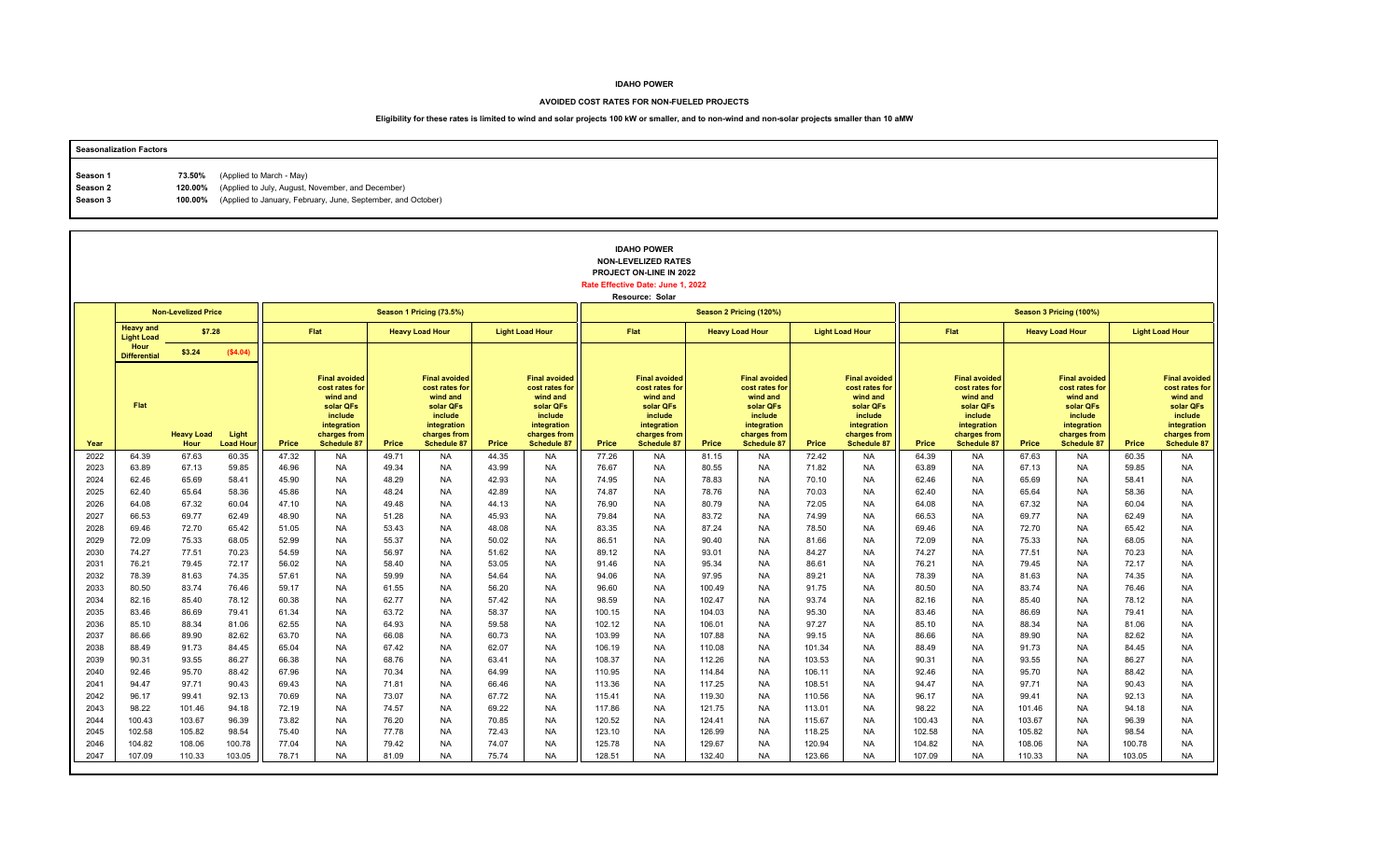### **AVOIDED COST RATES FOR NON-FUELED PROJECTS**

| <b>Seasonalization Factors</b> |        |                                                                      |
|--------------------------------|--------|----------------------------------------------------------------------|
|                                |        | (Applied to March - May)                                             |
| Season 1                       | 73.50% |                                                                      |
| Season 2                       |        | 120.00% (Applied to July, August, November, and December)            |
| Season 3                       |        | 100.00% (Applied to January, February, June, September, and October) |
|                                |        |                                                                      |

|              |                                       |                            |                           |                |                                                                                                                                 |                |                                                                                                                                 |                |                                                                                                                          |                  | <b>IDAHO POWER</b><br><b>NON-LEVELIZED RATES</b><br>PROJECT ON-LINE IN 2022<br>Rate Effective Date: June 1, 2022<br>Resource: Solar |                  |                                                                                                                                 |                |                                                                                                                                 |                |                                                                                                                                 |                |                                                                                                                                 |                |                                                                                                                          |
|--------------|---------------------------------------|----------------------------|---------------------------|----------------|---------------------------------------------------------------------------------------------------------------------------------|----------------|---------------------------------------------------------------------------------------------------------------------------------|----------------|--------------------------------------------------------------------------------------------------------------------------|------------------|-------------------------------------------------------------------------------------------------------------------------------------|------------------|---------------------------------------------------------------------------------------------------------------------------------|----------------|---------------------------------------------------------------------------------------------------------------------------------|----------------|---------------------------------------------------------------------------------------------------------------------------------|----------------|---------------------------------------------------------------------------------------------------------------------------------|----------------|--------------------------------------------------------------------------------------------------------------------------|
|              |                                       | <b>Non-Levelized Price</b> |                           |                |                                                                                                                                 |                | Season 1 Pricing (73.5%)                                                                                                        |                |                                                                                                                          |                  |                                                                                                                                     |                  | Season 2 Pricing (120%)                                                                                                         |                |                                                                                                                                 |                |                                                                                                                                 |                | Season 3 Pricing (100%)                                                                                                         |                |                                                                                                                          |
|              | <b>Heavy and</b><br><b>Light Load</b> | \$7.28                     |                           |                | Flat                                                                                                                            |                | <b>Heavy Load Hour</b>                                                                                                          |                | <b>Light Load Hour</b>                                                                                                   |                  | Flat                                                                                                                                |                  | <b>Heavy Load Hour</b>                                                                                                          |                | <b>Light Load Hour</b>                                                                                                          |                | Flat                                                                                                                            |                | <b>Heavy Load Hour</b>                                                                                                          |                | <b>Light Load Hour</b>                                                                                                   |
|              | Hour<br><b>Differential</b>           | \$3.24                     | (\$4.04)                  |                |                                                                                                                                 |                |                                                                                                                                 |                |                                                                                                                          |                  |                                                                                                                                     |                  |                                                                                                                                 |                |                                                                                                                                 |                |                                                                                                                                 |                |                                                                                                                                 |                |                                                                                                                          |
| Year         | Flat                                  | <b>Heavy Load</b><br>Hour  | Light<br><b>Load Hour</b> | Price          | <b>Final avoided</b><br>cost rates for<br>wind and<br>solar QFs<br>include<br>integration<br>charges from<br><b>Schedule 87</b> | Price          | <b>Final avoided</b><br>cost rates for<br>wind and<br>solar QFs<br>include<br>integration<br>charges from<br><b>Schedule 87</b> | Price          | <b>Final avoided</b><br>cost rates for<br>wind and<br>solar QFs<br>include<br>integration<br>charges from<br>Schedule 87 | Price            | <b>Final avoided</b><br>cost rates for<br>wind and<br>solar QFs<br>include<br>integration<br>charges from<br><b>Schedule 87</b>     | Price            | <b>Final avoided</b><br>cost rates for<br>wind and<br>solar QFs<br>include<br>integration<br>charges from<br><b>Schedule 87</b> | Price          | <b>Final avoided</b><br>cost rates for<br>wind and<br>solar QFs<br>include<br>integration<br>charges from<br><b>Schedule 87</b> | Price          | <b>Final avoided</b><br>cost rates for<br>wind and<br>solar QFs<br>include<br>integration<br>charges from<br><b>Schedule 87</b> | Price          | <b>Final avoided</b><br>cost rates for<br>wind and<br>solar QFs<br>include<br>integration<br>charges from<br><b>Schedule 87</b> | Price          | <b>Final avoided</b><br>cost rates for<br>wind and<br>solar QFs<br>include<br>integration<br>charges from<br>Schedule 87 |
| 2022         | 64.39                                 | 67.63                      | 60.35                     | 47.32          | <b>NA</b>                                                                                                                       | 49.71          | <b>NA</b>                                                                                                                       | 44.35          | <b>NA</b>                                                                                                                | 77.26            | NA                                                                                                                                  | 81.15            | <b>NA</b>                                                                                                                       | 72.42          | <b>NA</b>                                                                                                                       | 64.39          | <b>NA</b>                                                                                                                       | 67.63          | NA                                                                                                                              | 60.35          | <b>NA</b>                                                                                                                |
| 2023         | 63.89                                 | 67.13                      | 59.85                     | 46.96          | <b>NA</b>                                                                                                                       | 49.34          | <b>NA</b>                                                                                                                       | 43.99          | <b>NA</b>                                                                                                                | 76.67            | <b>NA</b>                                                                                                                           | 80.55            | <b>NA</b>                                                                                                                       | 71.82          | <b>NA</b>                                                                                                                       | 63.89          | <b>NA</b>                                                                                                                       | 67.13          | <b>NA</b>                                                                                                                       | 59.85          | <b>NA</b>                                                                                                                |
| 2024<br>2025 | 62.46<br>62.40                        | 65.69<br>65.64             | 58.41<br>58.36            | 45.90<br>45.86 | <b>NA</b><br><b>NA</b>                                                                                                          | 48.29<br>48.24 | <b>NA</b><br><b>NA</b>                                                                                                          | 42.93<br>42.89 | <b>NA</b><br><b>NA</b>                                                                                                   | 74.95<br>74.87   | <b>NA</b><br><b>NA</b>                                                                                                              | 78.83<br>78.76   | <b>NA</b><br><b>NA</b>                                                                                                          | 70.10<br>70.03 | <b>NA</b><br><b>NA</b>                                                                                                          | 62.46<br>62.40 | <b>NA</b><br><b>NA</b>                                                                                                          | 65.69<br>65.64 | <b>NA</b><br><b>NA</b>                                                                                                          | 58.41<br>58.36 | <b>NA</b><br><b>NA</b>                                                                                                   |
| 2026         | 64.08                                 | 67.32                      | 60.04                     | 47.10          | <b>NA</b>                                                                                                                       | 49.48          | <b>NA</b>                                                                                                                       | 44.13          | <b>NA</b>                                                                                                                | 76.90            | <b>NA</b>                                                                                                                           | 80.79            | <b>NA</b>                                                                                                                       | 72.05          | <b>NA</b>                                                                                                                       | 64.08          | <b>NA</b>                                                                                                                       | 67.32          | <b>NA</b>                                                                                                                       | 60.04          | <b>NA</b>                                                                                                                |
| 2027         | 66.53                                 | 69.77                      | 62.49                     | 48.90          | <b>NA</b>                                                                                                                       | 51.28          | <b>NA</b>                                                                                                                       | 45.93          | <b>NA</b>                                                                                                                | 79.84            | <b>NA</b>                                                                                                                           | 83.72            | <b>NA</b>                                                                                                                       | 74.99          | <b>NA</b>                                                                                                                       | 66.53          | <b>NA</b>                                                                                                                       | 69.77          | <b>NA</b>                                                                                                                       | 62.49          | <b>NA</b>                                                                                                                |
| 2028         | 69.46                                 | 72.70                      | 65.42                     | 51.05          | <b>NA</b>                                                                                                                       | 53.43          | <b>NA</b>                                                                                                                       | 48.08          | <b>NA</b>                                                                                                                | 83.35            | <b>NA</b>                                                                                                                           | 87.24            | <b>NA</b>                                                                                                                       | 78.50          | <b>NA</b>                                                                                                                       | 69.46          | <b>NA</b>                                                                                                                       | 72.70          | <b>NA</b>                                                                                                                       | 65.42          | <b>NA</b>                                                                                                                |
| 2029         | 72.09                                 | 75.33                      | 68.05                     | 52.99          | <b>NA</b>                                                                                                                       | 55.37          | <b>NA</b>                                                                                                                       | 50.02          | <b>NA</b>                                                                                                                | 86.51            | <b>NA</b>                                                                                                                           | 90.40            | <b>NA</b>                                                                                                                       | 81.66          | <b>NA</b>                                                                                                                       | 72.09          | <b>NA</b>                                                                                                                       | 75.33          | <b>NA</b>                                                                                                                       | 68.05          | <b>NA</b>                                                                                                                |
| 2030         | 74.27                                 | 77.51                      | 70.23                     | 54.59          | <b>NA</b>                                                                                                                       | 56.97          | <b>NA</b>                                                                                                                       | 51.62          | <b>NA</b>                                                                                                                | 89.12            | <b>NA</b>                                                                                                                           | 93.01            | <b>NA</b>                                                                                                                       | 84.27          | <b>NA</b>                                                                                                                       | 74.27          | <b>NA</b>                                                                                                                       | 77.51          | <b>NA</b>                                                                                                                       | 70.23          | <b>NA</b>                                                                                                                |
| 2031         | 76.21                                 | 79.45                      | 72.17                     | 56.02          | <b>NA</b>                                                                                                                       | 58.40          | <b>NA</b>                                                                                                                       | 53.05          | <b>NA</b>                                                                                                                | 91.46            | <b>NA</b>                                                                                                                           | 95.34            | <b>NA</b>                                                                                                                       | 86.61          | <b>NA</b>                                                                                                                       | 76.21          | <b>NA</b>                                                                                                                       | 79.45          | <b>NA</b>                                                                                                                       | 72.17          | <b>NA</b>                                                                                                                |
| 2032         | 78.39                                 | 81.63                      | 74.35                     | 57.61          | <b>NA</b>                                                                                                                       | 59.99          | <b>NA</b>                                                                                                                       | 54.64          | <b>NA</b>                                                                                                                | 94.06            | <b>NA</b>                                                                                                                           | 97.95            | <b>NA</b>                                                                                                                       | 89.21          | <b>NA</b>                                                                                                                       | 78.39          | <b>NA</b>                                                                                                                       | 81.63          | <b>NA</b>                                                                                                                       | 74.35          | <b>NA</b>                                                                                                                |
| 2033         | 80.50                                 | 83.74                      | 76.46                     | 59.17          | <b>NA</b>                                                                                                                       | 61.55          | <b>NA</b>                                                                                                                       | 56.20          | <b>NA</b>                                                                                                                | 96.60            | <b>NA</b>                                                                                                                           | 100.49           | <b>NA</b>                                                                                                                       | 91.75          | <b>NA</b>                                                                                                                       | 80.50          | <b>NA</b>                                                                                                                       | 83.74          | <b>NA</b>                                                                                                                       | 76.46          | <b>NA</b>                                                                                                                |
| 2034         | 82.16                                 | 85.40                      | 78.12                     | 60.38          | <b>NA</b>                                                                                                                       | 62.77          | <b>NA</b>                                                                                                                       | 57.42          | <b>NA</b>                                                                                                                | 98.59            | <b>NA</b>                                                                                                                           | 102.47           | <b>NA</b>                                                                                                                       | 93.74          | <b>NA</b>                                                                                                                       | 82.16          | <b>NA</b>                                                                                                                       | 85.40          | <b>NA</b>                                                                                                                       | 78.12          | <b>NA</b><br><b>NA</b>                                                                                                   |
| 2035<br>2036 | 83.46<br>85.10                        | 86.69<br>88.34             | 79.41<br>81.06            | 61.34<br>62.55 | <b>NA</b><br><b>NA</b>                                                                                                          | 63.72<br>64.93 | <b>NA</b><br><b>NA</b>                                                                                                          | 58.37<br>59.58 | <b>NA</b><br><b>NA</b>                                                                                                   | 100.15<br>102.12 | <b>NA</b><br><b>NA</b>                                                                                                              | 104.03<br>106.01 | <b>NA</b><br><b>NA</b>                                                                                                          | 95.30<br>97.27 | <b>NA</b><br><b>NA</b>                                                                                                          | 83.46<br>85.10 | <b>NA</b><br><b>NA</b>                                                                                                          | 86.69<br>88.34 | <b>NA</b><br><b>NA</b>                                                                                                          | 79.41<br>81.06 | <b>NA</b>                                                                                                                |
| 2037         | 86.66                                 | 89.90                      | 82.62                     | 63.70          | <b>NA</b>                                                                                                                       | 66.08          | <b>NA</b>                                                                                                                       | 60.73          | <b>NA</b>                                                                                                                | 103.99           | <b>NA</b>                                                                                                                           | 107.88           | <b>NA</b>                                                                                                                       | 99.15          | <b>NA</b>                                                                                                                       | 86.66          | <b>NA</b>                                                                                                                       | 89.90          | <b>NA</b>                                                                                                                       | 82.62          | <b>NA</b>                                                                                                                |
| 2038         | 88.49                                 | 91.73                      | 84.45                     | 65.04          | <b>NA</b>                                                                                                                       | 67.42          | <b>NA</b>                                                                                                                       | 62.07          | <b>NA</b>                                                                                                                | 106.19           | <b>NA</b>                                                                                                                           | 110.08           | <b>NA</b>                                                                                                                       | 101.34         | <b>NA</b>                                                                                                                       | 88.49          | <b>NA</b>                                                                                                                       | 91.73          | <b>NA</b>                                                                                                                       | 84.45          | <b>NA</b>                                                                                                                |
| 2039         | 90.31                                 | 93.55                      | 86.27                     | 66.38          | <b>NA</b>                                                                                                                       | 68.76          | <b>NA</b>                                                                                                                       | 63.41          | <b>NA</b>                                                                                                                | 108.37           | <b>NA</b>                                                                                                                           | 112.26           | <b>NA</b>                                                                                                                       | 103.53         | <b>NA</b>                                                                                                                       | 90.31          | <b>NA</b>                                                                                                                       | 93.55          | <b>NA</b>                                                                                                                       | 86.27          | <b>NA</b>                                                                                                                |
| 2040         | 92.46                                 | 95.70                      | 88.42                     | 67.96          | <b>NA</b>                                                                                                                       | 70.34          | <b>NA</b>                                                                                                                       | 64.99          | <b>NA</b>                                                                                                                | 110.95           | <b>NA</b>                                                                                                                           | 114.84           | <b>NA</b>                                                                                                                       | 106.11         | <b>NA</b>                                                                                                                       | 92.46          | <b>NA</b>                                                                                                                       | 95.70          | <b>NA</b>                                                                                                                       | 88.42          | <b>NA</b>                                                                                                                |
| 2041         | 94.47                                 | 97.71                      | 90.43                     | 69.43          | <b>NA</b>                                                                                                                       | 71.81          | <b>NA</b>                                                                                                                       | 66.46          | <b>NA</b>                                                                                                                | 113.36           | <b>NA</b>                                                                                                                           | 117.25           | <b>NA</b>                                                                                                                       | 108.51         | <b>NA</b>                                                                                                                       | 94.47          | <b>NA</b>                                                                                                                       | 97.71          | <b>NA</b>                                                                                                                       | 90.43          | <b>NA</b>                                                                                                                |
| 2042         | 96.17                                 | 99.41                      | 92.13                     | 70.69          | <b>NA</b>                                                                                                                       | 73.07          | <b>NA</b>                                                                                                                       | 67.72          | <b>NA</b>                                                                                                                | 115.41           | <b>NA</b>                                                                                                                           | 119.30           | <b>NA</b>                                                                                                                       | 110.56         | NA                                                                                                                              | 96.17          | <b>NA</b>                                                                                                                       | 99.41          | <b>NA</b>                                                                                                                       | 92.13          | NA                                                                                                                       |
| 2043         | 98.22                                 | 101.46                     | 94.18                     | 72.19          | <b>NA</b>                                                                                                                       | 74.57          | <b>NA</b>                                                                                                                       | 69.22          | <b>NA</b>                                                                                                                | 117.86           | <b>NA</b>                                                                                                                           | 121.75           | <b>NA</b>                                                                                                                       | 113.01         | <b>NA</b>                                                                                                                       | 98.22          | <b>NA</b>                                                                                                                       | 101.46         | <b>NA</b>                                                                                                                       | 94.18          | <b>NA</b>                                                                                                                |
| 2044         | 100.43                                | 103.67                     | 96.39                     | 73.82          | <b>NA</b>                                                                                                                       | 76.20          | <b>NA</b>                                                                                                                       | 70.85          | <b>NA</b>                                                                                                                | 120.52           | <b>NA</b>                                                                                                                           | 124.41           | <b>NA</b>                                                                                                                       | 115.67         | <b>NA</b>                                                                                                                       | 100.43         | <b>NA</b>                                                                                                                       | 103.67         | <b>NA</b>                                                                                                                       | 96.39          | <b>NA</b>                                                                                                                |
| 2045         | 102.58                                | 105.82                     | 98.54                     | 75.40          | <b>NA</b>                                                                                                                       | 77.78          | <b>NA</b>                                                                                                                       | 72.43          | <b>NA</b>                                                                                                                | 123.10           | <b>NA</b>                                                                                                                           | 126.99           | <b>NA</b>                                                                                                                       | 118.25         | <b>NA</b>                                                                                                                       | 102.58         | <b>NA</b>                                                                                                                       | 105.82         | <b>NA</b>                                                                                                                       | 98.54          | <b>NA</b>                                                                                                                |
| 2046         | 104.82                                | 108.06                     | 100.78                    | 77.04          | <b>NA</b>                                                                                                                       | 79.42          | <b>NA</b>                                                                                                                       | 74.07          | <b>NA</b>                                                                                                                | 125.78           | <b>NA</b>                                                                                                                           | 129.67           | <b>NA</b>                                                                                                                       | 120.94         | <b>NA</b>                                                                                                                       | 104.82         | <b>NA</b>                                                                                                                       | 108.06         | <b>NA</b>                                                                                                                       | 100.78         | <b>NA</b>                                                                                                                |
|              |                                       |                            |                           |                |                                                                                                                                 |                |                                                                                                                                 |                |                                                                                                                          |                  |                                                                                                                                     |                  |                                                                                                                                 |                |                                                                                                                                 |                |                                                                                                                                 |                |                                                                                                                                 |                | NA                                                                                                                       |
| 2047         | 107.09                                | 110.33                     | 103.05                    | 78.71          | <b>NA</b>                                                                                                                       | 81.09          | <b>NA</b>                                                                                                                       | 75.74          | NA                                                                                                                       | 128.51           | <b>NA</b>                                                                                                                           | 132.40           | NA                                                                                                                              | 123.66         | NA                                                                                                                              | 107.09         | <b>NA</b>                                                                                                                       | 110.33         | <b>NA</b>                                                                                                                       |                | 103.05                                                                                                                   |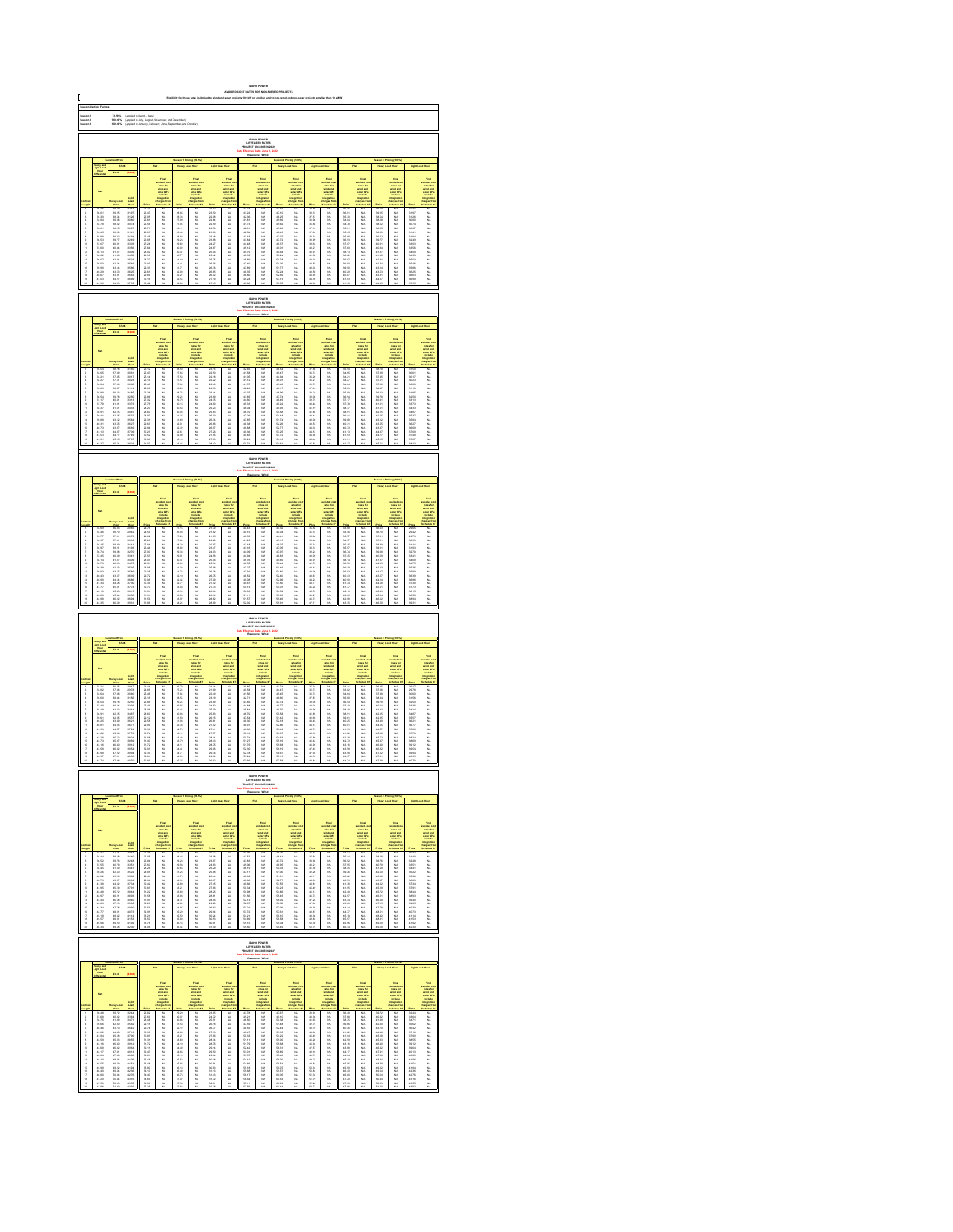| C                                                                                                                                                                 |                                                                                                            |                                                                                                                                                                                                                                      |                                                                                                                                                                                                                                      |                                                                                                            |                                                                                     |                                             |                                                                                                 |                                                                                                      |                                                                                                                                                                                                                               |                                                                                 |                                                                                        |                                                         |                                                                                |                                                                 |                                                                        |                                             |                                                                                    |                                               |                                                                                                         |                                                                                                                                                                                                                                |                                                                                                                                                                                                                               |
|-------------------------------------------------------------------------------------------------------------------------------------------------------------------|------------------------------------------------------------------------------------------------------------|--------------------------------------------------------------------------------------------------------------------------------------------------------------------------------------------------------------------------------------|--------------------------------------------------------------------------------------------------------------------------------------------------------------------------------------------------------------------------------------|------------------------------------------------------------------------------------------------------------|-------------------------------------------------------------------------------------|---------------------------------------------|-------------------------------------------------------------------------------------------------|------------------------------------------------------------------------------------------------------|-------------------------------------------------------------------------------------------------------------------------------------------------------------------------------------------------------------------------------|---------------------------------------------------------------------------------|----------------------------------------------------------------------------------------|---------------------------------------------------------|--------------------------------------------------------------------------------|-----------------------------------------------------------------|------------------------------------------------------------------------|---------------------------------------------|------------------------------------------------------------------------------------|-----------------------------------------------|---------------------------------------------------------------------------------------------------------|--------------------------------------------------------------------------------------------------------------------------------------------------------------------------------------------------------------------------------|-------------------------------------------------------------------------------------------------------------------------------------------------------------------------------------------------------------------------------|
| Saason 1<br>Saason 3<br>Saason 3<br>73.60%<br>120.00%<br>100.00%<br> <br> Applied to March - May)<br> Applied to Jaly, August, No<br> Applied to Jaly, August, No |                                                                                                            |                                                                                                                                                                                                                                      |                                                                                                                                                                                                                                      |                                                                                                            |                                                                                     |                                             |                                                                                                 |                                                                                                      |                                                                                                                                                                                                                               |                                                                                 |                                                                                        |                                                         |                                                                                |                                                                 |                                                                        |                                             |                                                                                    |                                               |                                                                                                         |                                                                                                                                                                                                                                |                                                                                                                                                                                                                               |
| IDAHO POWER<br>LEVELIZED RATE:<br>JECT ON-LINE IN:                                                                                                                |                                                                                                            |                                                                                                                                                                                                                                      |                                                                                                                                                                                                                                      |                                                                                                            |                                                                                     |                                             |                                                                                                 |                                                                                                      |                                                                                                                                                                                                                               |                                                                                 |                                                                                        |                                                         |                                                                                |                                                                 |                                                                        |                                             |                                                                                    |                                               |                                                                                                         |                                                                                                                                                                                                                                |                                                                                                                                                                                                                               |
| 87.38                                                                                                                                                             |                                                                                                            |                                                                                                                                                                                                                                      |                                                                                                                                                                                                                                      |                                                                                                            |                                                                                     |                                             |                                                                                                 |                                                                                                      |                                                                                                                                                                                                                               |                                                                                 |                                                                                        |                                                         |                                                                                |                                                                 |                                                                        |                                             |                                                                                    |                                               |                                                                                                         |                                                                                                                                                                                                                                |                                                                                                                                                                                                                               |
|                                                                                                                                                                   |                                                                                                            |                                                                                                                                                                                                                                      |                                                                                                                                                                                                                                      |                                                                                                            |                                                                                     |                                             |                                                                                                 |                                                                                                      |                                                                                                                                                                                                                               |                                                                                 |                                                                                        |                                                         |                                                                                |                                                                 |                                                                        |                                             |                                                                                    |                                               |                                                                                                         |                                                                                                                                                                                                                                |                                                                                                                                                                                                                               |
|                                                                                                                                                                   |                                                                                                            |                                                                                                                                                                                                                                      |                                                                                                                                                                                                                                      |                                                                                                            |                                                                                     |                                             | <b>THEFT</b>                                                                                    |                                                                                                      |                                                                                                                                                                                                                               |                                                                                 | Find<br>under de<br>under der der<br>under Officielle<br>under der                     |                                                         |                                                                                |                                                                 |                                                                        |                                             |                                                                                    |                                               | Final<br>voluntario<br>voluntario<br>voluntario<br>voluntario<br>voluntario<br>voluntario<br>voluntario |                                                                                                                                                                                                                                |                                                                                                                                                                                                                               |
|                                                                                                                                                                   |                                                                                                            |                                                                                                                                                                                                                                      |                                                                                                                                                                                                                                      |                                                                                                            |                                                                                     |                                             |                                                                                                 |                                                                                                      |                                                                                                                                                                                                                               |                                                                                 |                                                                                        |                                                         |                                                                                |                                                                 |                                                                        |                                             |                                                                                    |                                               |                                                                                                         |                                                                                                                                                                                                                                |                                                                                                                                                                                                                               |
|                                                                                                                                                                   |                                                                                                            |                                                                                                                                                                                                                                      |                                                                                                                                                                                                                                      |                                                                                                            |                                                                                     |                                             |                                                                                                 |                                                                                                      |                                                                                                                                                                                                                               |                                                                                 |                                                                                        |                                                         |                                                                                |                                                                 |                                                                        |                                             |                                                                                    |                                               |                                                                                                         |                                                                                                                                                                                                                                |                                                                                                                                                                                                                               |
|                                                                                                                                                                   |                                                                                                            |                                                                                                                                                                                                                                      |                                                                                                                                                                                                                                      |                                                                                                            |                                                                                     |                                             |                                                                                                 |                                                                                                      |                                                                                                                                                                                                                               |                                                                                 |                                                                                        |                                                         |                                                                                |                                                                 |                                                                        |                                             |                                                                                    |                                               |                                                                                                         |                                                                                                                                                                                                                                |                                                                                                                                                                                                                               |
| 显示失真原不显示协计经经转线继续排排                                                                                                                                                | 第52章  第52章  第62章  第62章  第62章  第62章  第62章  第62章                                                             | 2020年1月22日 1月22日 1月23日 1月24日 1月25日 1月25日 1月25日 1月25日 1月25日 1月25日 1月25日 1月25日 1月25日                                                                                                                                                   |                                                                                                                                                                                                                                      |                                                                                                            | 3.以以以以以以以以以以以以以以以以以以以以                                                              | 一体体的 化氯化物 医阿尔伯氏试验检尿道检查检尿道检查检查检查检查检查检查       |                                                                                                 |                                                                                                      | Former Section 2014年1月12日,1995年1月12日,1995年1月12日,1995年1月12日,1995年1月12日,1995年1月12日,1995年1月12日,1995年1月1 年,1995年1月11日,1995年1月11日,1995年1月12日,1995年1月11日,1995年1月11日,1995年1月11日,1995年1月11日,1995年1月11日,1995年1月11日,1995年1月11日,1995年1月1 | (红发) 红红色白色 红色 红发 化活动相 化相似的                                                      |                                                                                        | 计标志标记 医心包下的 计多项 化二氯化物 医多种性的 医心包的 医阿尔伯氏试验检尿病             | 以以以以以以以以以以以以以以以以以以以                                                            |                                                                 |                                                                        | 人名英加尔加尔 化混合 化分子反射 医外科性皮肤炎                   |                                                                                    | 计结构 机油酸铝 化自动性环形 计自动性                          |                                                                                                         |                                                                                                                                                                                                                                | take the first second the control of the first second the control of the control of the control of the control of the control of the control of the control of the control of the control of the control of the control of th |
|                                                                                                                                                                   |                                                                                                            |                                                                                                                                                                                                                                      |                                                                                                                                                                                                                                      |                                                                                                            |                                                                                     |                                             |                                                                                                 |                                                                                                      |                                                                                                                                                                                                                               |                                                                                 |                                                                                        |                                                         |                                                                                |                                                                 |                                                                        |                                             |                                                                                    |                                               |                                                                                                         |                                                                                                                                                                                                                                |                                                                                                                                                                                                                               |
| <b>EMHO POWER</b><br>LEVELIZED RATES                                                                                                                              |                                                                                                            |                                                                                                                                                                                                                                      |                                                                                                                                                                                                                                      |                                                                                                            |                                                                                     |                                             |                                                                                                 |                                                                                                      |                                                                                                                                                                                                                               |                                                                                 |                                                                                        |                                                         |                                                                                |                                                                 |                                                                        |                                             |                                                                                    |                                               |                                                                                                         |                                                                                                                                                                                                                                |                                                                                                                                                                                                                               |
|                                                                                                                                                                   |                                                                                                            |                                                                                                                                                                                                                                      |                                                                                                                                                                                                                                      |                                                                                                            |                                                                                     |                                             |                                                                                                 |                                                                                                      |                                                                                                                                                                                                                               |                                                                                 |                                                                                        |                                                         |                                                                                |                                                                 |                                                                        |                                             |                                                                                    |                                               |                                                                                                         |                                                                                                                                                                                                                                |                                                                                                                                                                                                                               |
|                                                                                                                                                                   |                                                                                                            |                                                                                                                                                                                                                                      |                                                                                                                                                                                                                                      |                                                                                                            |                                                                                     |                                             | vented and<br>select and<br>select the control<br>industries                                    |                                                                                                      | Final<br>subject is<br>subject in<br>subject in<br>include                                                                                                                                                                    |                                                                                 | vended a<br>select and<br>select and<br>matterial                                      |                                                         | vented on<br>reduction<br>solar different<br>social different<br>includes      |                                                                 |                                                                        |                                             | rains for<br>state and<br>state CP<br>instate                                      |                                               |                                                                                                         |                                                                                                                                                                                                                                |                                                                                                                                                                                                                               |
|                                                                                                                                                                   |                                                                                                            |                                                                                                                                                                                                                                      |                                                                                                                                                                                                                                      |                                                                                                            |                                                                                     |                                             |                                                                                                 |                                                                                                      |                                                                                                                                                                                                                               |                                                                                 |                                                                                        |                                                         |                                                                                |                                                                 |                                                                        |                                             |                                                                                    |                                               |                                                                                                         |                                                                                                                                                                                                                                | taka 2016年1月11日,1月12日,1月12日,1月12日,1月12日,1月12日,1月12日,1月12日,1月12日,1月12日,1月12日,1月12日,1月12日,1月12日,1月12日,                                                                                                                          |
| 运当年车先卫年全地计说话到话说 纤维细                                                                                                                                               |                                                                                                            | 38月前后会 38月18日 12月18日 12月18日 12月18日                                                                                                                                                                                                   | LNM 2016年 2010年 2月20日 2月23日 2月23日 2月23日 2月23日 2月23日 2月23日 2月23日 2月23日 2月23日 2月23日 2月23日 2月23日 2月23日 2月23日 2月23日 2月23日 2月23日 2月23日 2月23日 2月23日 2月23日 2月23日 2月23日 2月23日 2月23日 2月23日 2月23日 2月23日 2月23日 2月23日 2月23日 2月23日 2月23日 2        |                                                                                                            | 化脱机机机机 机机机机机机机机机机机机机                                                                | 网络动物植物植物 计编码 化二氯化二氯化二氯化二氯化二氯化二氯化二氯化二氯化二氯化二氯 |                                                                                                 | 2020年11月11日 11月11日 11月11日 11月21日 11月22日 11月22日 11月22日 11月22日 11月22日 11月22日 11月22日 11月22日 11月22日 11月2 |                                                                                                                                                                                                                               | 经已经已经经经已经经经经纪 化硫化铁铁铁铝                                                           | 1. 化甲状腺杆菌素 医皮肤皮肤皮肤皮肤皮肤皮肤皮肤                                                             | 强压材 威压病 精神性精神病的 计计算算符 计数据存储器 计编码 计数据数据 法法律的             | 以以以以以以以以以以以以以以以以以以以                                                            | 了第30岁的第三人称单数 化二氯化物 化二氯化物 化三氯化物 化三氯化物 化三氯化物 医阿尔伯氏试验检尿道检查         | 2.以前是以后的人的人的人的人的人的人的人的人                                                |                                             |                                                                                    |                                               | 加加加加加加加加加加加加加加加加加加                                                                                      | 2010 2020 2020 21:30 22:30 22:30 22:30 22:30 23:30 23:30 23:30 23:30 23:30 23:30 23:30 23:40 23:40 24:40 24:40 24:40 24:40 24:40 24:40 24:40 24:40 24:40 24:40 24:40 24:40 24:40 24:40 24:40 24:40 24:40 24:40 24:40 24:40 24: |                                                                                                                                                                                                                               |
|                                                                                                                                                                   |                                                                                                            |                                                                                                                                                                                                                                      |                                                                                                                                                                                                                                      |                                                                                                            |                                                                                     |                                             |                                                                                                 |                                                                                                      |                                                                                                                                                                                                                               |                                                                                 |                                                                                        |                                                         |                                                                                |                                                                 |                                                                        |                                             |                                                                                    |                                               |                                                                                                         |                                                                                                                                                                                                                                |                                                                                                                                                                                                                               |
|                                                                                                                                                                   |                                                                                                            |                                                                                                                                                                                                                                      |                                                                                                                                                                                                                                      |                                                                                                            |                                                                                     |                                             |                                                                                                 |                                                                                                      |                                                                                                                                                                                                                               |                                                                                 |                                                                                        |                                                         |                                                                                |                                                                 |                                                                        |                                             |                                                                                    |                                               |                                                                                                         |                                                                                                                                                                                                                                |                                                                                                                                                                                                                               |
|                                                                                                                                                                   |                                                                                                            |                                                                                                                                                                                                                                      |                                                                                                                                                                                                                                      |                                                                                                            |                                                                                     |                                             |                                                                                                 |                                                                                                      |                                                                                                                                                                                                                               |                                                                                 |                                                                                        |                                                         |                                                                                |                                                                 |                                                                        |                                             |                                                                                    |                                               |                                                                                                         |                                                                                                                                                                                                                                |                                                                                                                                                                                                                               |
|                                                                                                                                                                   |                                                                                                            |                                                                                                                                                                                                                                      |                                                                                                                                                                                                                                      |                                                                                                            |                                                                                     |                                             |                                                                                                 |                                                                                                      |                                                                                                                                                                                                                               |                                                                                 | IDAHO POWER<br>LEVELIZED RATES<br>LECT ON-LINE IN 202-                                 |                                                         |                                                                                |                                                                 |                                                                        |                                             |                                                                                    |                                               |                                                                                                         |                                                                                                                                                                                                                                |                                                                                                                                                                                                                               |
|                                                                                                                                                                   | navy am<br>ghl Loa<br>87.3                                                                                 |                                                                                                                                                                                                                                      |                                                                                                                                                                                                                                      |                                                                                                            |                                                                                     |                                             |                                                                                                 |                                                                                                      |                                                                                                                                                                                                                               |                                                                                 |                                                                                        |                                                         |                                                                                |                                                                 |                                                                        |                                             |                                                                                    |                                               |                                                                                                         |                                                                                                                                                                                                                                |                                                                                                                                                                                                                               |
|                                                                                                                                                                   |                                                                                                            |                                                                                                                                                                                                                                      |                                                                                                                                                                                                                                      |                                                                                                            |                                                                                     |                                             |                                                                                                 |                                                                                                      |                                                                                                                                                                                                                               |                                                                                 | wided on<br>subset for<br>wind and<br>suiter Cify<br>include                           |                                                         |                                                                                |                                                                 |                                                                        |                                             |                                                                                    |                                               |                                                                                                         |                                                                                                                                                                                                                                |                                                                                                                                                                                                                               |
|                                                                                                                                                                   |                                                                                                            |                                                                                                                                                                                                                                      |                                                                                                                                                                                                                                      |                                                                                                            |                                                                                     |                                             | weekel as<br>sales for<br>sales for<br>sales Civilians<br>independent                           |                                                                                                      | value of<br>raise for<br>sing and<br>sales QP<br>include                                                                                                                                                                      |                                                                                 |                                                                                        |                                                         | volad co<br>raise for<br>wind and<br>solar CPs<br>include                      |                                                                 |                                                                        |                                             | weathed and<br>material design<br>states (2014)<br>includes<br>integration         |                                               | ontine) a<br>radom Re<br>wired any<br>walter Cit                                                        |                                                                                                                                                                                                                                |                                                                                                                                                                                                                               |
|                                                                                                                                                                   |                                                                                                            |                                                                                                                                                                                                                                      |                                                                                                                                                                                                                                      |                                                                                                            |                                                                                     |                                             |                                                                                                 |                                                                                                      |                                                                                                                                                                                                                               |                                                                                 |                                                                                        |                                                         |                                                                                |                                                                 |                                                                        |                                             |                                                                                    |                                               |                                                                                                         |                                                                                                                                                                                                                                |                                                                                                                                                                                                                               |
|                                                                                                                                                                   |                                                                                                            |                                                                                                                                                                                                                                      |                                                                                                                                                                                                                                      |                                                                                                            |                                                                                     |                                             |                                                                                                 |                                                                                                      |                                                                                                                                                                                                                               |                                                                                 |                                                                                        |                                                         |                                                                                |                                                                 |                                                                        |                                             |                                                                                    |                                               |                                                                                                         |                                                                                                                                                                                                                                |                                                                                                                                                                                                                               |
|                                                                                                                                                                   |                                                                                                            |                                                                                                                                                                                                                                      |                                                                                                                                                                                                                                      |                                                                                                            |                                                                                     |                                             |                                                                                                 |                                                                                                      |                                                                                                                                                                                                                               |                                                                                 |                                                                                        |                                                         |                                                                                |                                                                 |                                                                        |                                             |                                                                                    |                                               |                                                                                                         |                                                                                                                                                                                                                                |                                                                                                                                                                                                                               |
| - 17 日月有月早早日给计时归归帐帐饮饮饮                                                                                                                                            | 路線  2015年1月14日    2015年1月12日    2015年1月1日    2015年1月1日    2015年1月1日    2016年1月1日    2016年1月1日    2016年1月1日 | 2010年1月11日 2月15日 2月15日 2月15日 2月15日 2月15日 2月15日 2月15日 2月15日 2月15日 2月15日 2月15日 2月15日 2月15日 2月15日 2月15日 2月15日 2月15日 2月15日 2月15日 2月15日 2月15日 2月15日 2月15日 2月15日 2月15日 2月15日 2月15日 2月15日 2月15日 2月15日 2月15日 2月15日 2月15日 2月15日 2月1           |                                                                                                                                                                                                                                      |                                                                                                            | 化脱机机脱机脱机机脱机脱机脱机脱机脱机                                                                 | 法分之法法决法 医法无性 医耳状动脉 计数字数据 医阿尔伯氏试验检尿糖         |                                                                                                 | (2) 2016年1月1日 2016年1月1日 2016年1月1日 2017年1月1日 2018年1月1日 2018年1月1日 2018年1月1日 2029年1月1日 2020年1月1日 2020年1 | ************************                                                                                                                                                                                                      |                                                                                 | 2.以后从此的时候的时候的时候的时候的时候的                                                                 |                                                         | 以以及以以以以以以以以以以以以以以以以                                                            | おおめかままおおかけ のほとり かんかんかん あんかん かんしょう かいかん かいかん かいかん かいかん かいかん かいかん | ***********************                                                | 一名的复数形式 化氯化物 医多种性的 医多种性脑炎 医阿尔特氏试验检胆汁 医阿尔特氏征 | ,,,,,,,,,,,,,,,,,,,,,,,,,,,,                                                       | 一名红红金 的复数的复数形式 计多处理 医心包性 计多元数据 医心包的 医多种性的     | 加加加加加加加加加加加加加加加加加加                                                                                      | 2022年12月22日 12月22日 12月22日 12月22日 12月22日 12月23日 12月23日 12月23日 12月23日 12月23日 12月23日 12月23日 12月23日 12月2                                                                                                                           | state and additional Property of Microsoft Property and Additional Property of Microsoft Property and Additional Property of Microsoft Property and Additional Property Property Property Property Property Property Property |
|                                                                                                                                                                   |                                                                                                            |                                                                                                                                                                                                                                      |                                                                                                                                                                                                                                      |                                                                                                            |                                                                                     |                                             |                                                                                                 |                                                                                                      |                                                                                                                                                                                                                               |                                                                                 |                                                                                        |                                                         |                                                                                |                                                                 |                                                                        |                                             |                                                                                    |                                               |                                                                                                         |                                                                                                                                                                                                                                |                                                                                                                                                                                                                               |
|                                                                                                                                                                   |                                                                                                            |                                                                                                                                                                                                                                      |                                                                                                                                                                                                                                      |                                                                                                            |                                                                                     |                                             |                                                                                                 |                                                                                                      |                                                                                                                                                                                                                               |                                                                                 |                                                                                        |                                                         |                                                                                |                                                                 |                                                                        |                                             |                                                                                    |                                               |                                                                                                         |                                                                                                                                                                                                                                |                                                                                                                                                                                                                               |
|                                                                                                                                                                   |                                                                                                            |                                                                                                                                                                                                                                      |                                                                                                                                                                                                                                      |                                                                                                            |                                                                                     |                                             |                                                                                                 |                                                                                                      |                                                                                                                                                                                                                               |                                                                                 | <b>IDAHO POWER<br/>LEVELIZED RATES<br/>JJECT ON-LINE IN 2</b><br>Rictive Date: Jane 1, |                                                         |                                                                                |                                                                 |                                                                        |                                             |                                                                                    |                                               |                                                                                                         |                                                                                                                                                                                                                                |                                                                                                                                                                                                                               |
|                                                                                                                                                                   |                                                                                                            | 17.31                                                                                                                                                                                                                                |                                                                                                                                                                                                                                      |                                                                                                            |                                                                                     |                                             |                                                                                                 |                                                                                                      |                                                                                                                                                                                                                               |                                                                                 |                                                                                        |                                                         |                                                                                |                                                                 |                                                                        |                                             |                                                                                    |                                               |                                                                                                         |                                                                                                                                                                                                                                |                                                                                                                                                                                                                               |
|                                                                                                                                                                   |                                                                                                            |                                                                                                                                                                                                                                      |                                                                                                                                                                                                                                      |                                                                                                            | Final<br>Militar Separat<br>Militar Separat<br>Militar Separate<br>Militar Separate |                                             | Final<br>voltat ca<br>voltat for<br>voltat and<br>salar CPs<br>indicate<br>harpetics            |                                                                                                      | Final<br>coldinal of<br>coldinal and<br>solar GP<br>includes<br>integration                                                                                                                                                   |                                                                                 | vended to<br>sales for<br>what are<br>salar CP<br>includes                             |                                                         | Final<br>colora for<br>colora for<br>website<br>techniqueline<br>colorageation |                                                                 | sandad<br>Alista and an<br>Alista and an<br>Alista and an<br>Alistan S |                                             | Final<br>voltat ca<br>voltat and<br>voltat and<br>solar CP<br>include<br>harged by |                                               | volet &<br>sind at<br>sida G<br>technik<br>sinovit                                                      |                                                                                                                                                                                                                                |                                                                                                                                                                                                                               |
|                                                                                                                                                                   |                                                                                                            |                                                                                                                                                                                                                                      |                                                                                                                                                                                                                                      |                                                                                                            |                                                                                     |                                             |                                                                                                 |                                                                                                      |                                                                                                                                                                                                                               |                                                                                 |                                                                                        |                                                         |                                                                                |                                                                 |                                                                        |                                             |                                                                                    |                                               |                                                                                                         |                                                                                                                                                                                                                                |                                                                                                                                                                                                                               |
|                                                                                                                                                                   |                                                                                                            |                                                                                                                                                                                                                                      |                                                                                                                                                                                                                                      |                                                                                                            |                                                                                     |                                             |                                                                                                 |                                                                                                      |                                                                                                                                                                                                                               |                                                                                 |                                                                                        |                                                         |                                                                                |                                                                 |                                                                        |                                             |                                                                                    |                                               |                                                                                                         |                                                                                                                                                                                                                                |                                                                                                                                                                                                                               |
|                                                                                                                                                                   |                                                                                                            |                                                                                                                                                                                                                                      |                                                                                                                                                                                                                                      |                                                                                                            |                                                                                     |                                             |                                                                                                 |                                                                                                      |                                                                                                                                                                                                                               |                                                                                 |                                                                                        |                                                         |                                                                                |                                                                 |                                                                        |                                             |                                                                                    |                                               |                                                                                                         |                                                                                                                                                                                                                                |                                                                                                                                                                                                                               |
|                                                                                                                                                                   |                                                                                                            |                                                                                                                                                                                                                                      |                                                                                                                                                                                                                                      |                                                                                                            |                                                                                     |                                             |                                                                                                 |                                                                                                      |                                                                                                                                                                                                                               |                                                                                 |                                                                                        |                                                         |                                                                                |                                                                 |                                                                        |                                             |                                                                                    |                                               |                                                                                                         |                                                                                                                                                                                                                                |                                                                                                                                                                                                                               |
|                                                                                                                                                                   | 22.22.24.00.54.00.54.00.25.00.25.00.25.00.25.00.25.00.25.00.25.00.25.00.25.00.25.00.25.00.25.00.25.0       | 3.分别 新新加坡 化合金质 经价格经营 化对称计算                                                                                                                                                                                                           | <b>LAN A ROLL AND A ROLL AND A ROLL AND A ROLL AND A ROLL AND A ROLL AND A ROLL AND A ROLL AND A ROLL AND A ROLL AND A ROLL AND A ROLL AND A ROLL AND A ROLL AND A ROLL AND A ROLL AND A ROLL AND A ROLL AND A ROLL AND A ROLL A</b> |                                                                                                            | 化脱机机放射机 机机机机机机机机机机机机                                                                | 机轮轮轮轮轮轮轮轮轮轮 机机打动机                           |                                                                                                 |                                                                                                      |                                                                                                                                                                                                                               | 准数据计数据 机砂板 化二乙基乙烯 医三角膜炎 计数据数据 计数据数据 计数据 计数据 计数据                                 | 2. 机机 机机机机机机机机机机机机机机机机                                                                 | 43.45 杨武林杨伯5.5 鼠鼠鼠属 5.5 鼠鼠鼠鼠鼠科 12.5 鼠鼠鼠鼠鼠鼠鼠鼠鼠鼠鼠鼠鼠鼠鼠鼠鼠鼠鼠 | 以以以以以以以以以以以以以以以以以以以                                                            | 路路 油汁油 哈哈特拉特林特特 计多数数据 计数据数据 医心包的 医单位性脑炎 计数据 医心脏病                | 2.以前是以后的人的人的人的人的人的人的人的人                                                | 医阿斯特氏试验检尿道检尿病检尿 医阿斯特氏反应                     |                                                                                    | 不分分流的 化自动自动机自动机 机分子                           | 加加加加加加加加加加加加加加加加加加加                                                                                     |                                                                                                                                                                                                                                |                                                                                                                                                                                                                               |
|                                                                                                                                                                   |                                                                                                            |                                                                                                                                                                                                                                      |                                                                                                                                                                                                                                      |                                                                                                            |                                                                                     |                                             |                                                                                                 |                                                                                                      |                                                                                                                                                                                                                               |                                                                                 | DAHO POWER<br>LEVELIZED RATES<br>LIECT ON-LINE IN 21                                   |                                                         |                                                                                |                                                                 |                                                                        |                                             |                                                                                    |                                               |                                                                                                         |                                                                                                                                                                                                                                |                                                                                                                                                                                                                               |
|                                                                                                                                                                   |                                                                                                            |                                                                                                                                                                                                                                      |                                                                                                                                                                                                                                      |                                                                                                            |                                                                                     |                                             |                                                                                                 |                                                                                                      |                                                                                                                                                                                                                               |                                                                                 |                                                                                        |                                                         |                                                                                |                                                                 |                                                                        |                                             |                                                                                    |                                               |                                                                                                         |                                                                                                                                                                                                                                |                                                                                                                                                                                                                               |
|                                                                                                                                                                   |                                                                                                            |                                                                                                                                                                                                                                      |                                                                                                                                                                                                                                      |                                                                                                            |                                                                                     |                                             |                                                                                                 |                                                                                                      |                                                                                                                                                                                                                               |                                                                                 |                                                                                        |                                                         |                                                                                |                                                                 |                                                                        |                                             |                                                                                    |                                               |                                                                                                         |                                                                                                                                                                                                                                |                                                                                                                                                                                                                               |
|                                                                                                                                                                   |                                                                                                            |                                                                                                                                                                                                                                      |                                                                                                                                                                                                                                      |                                                                                                            |                                                                                     |                                             | Final<br>seated ca<br>cales for<br>selected and<br>selected industry<br>industry<br>temperature |                                                                                                      | volded on<br>raise for<br>sales for<br>sales GP<br>include<br>raispation<br>harges for                                                                                                                                        |                                                                                 |                                                                                        |                                                         | vented and<br>selected and<br>selected and<br>helpedian<br>helpedian           |                                                                 |                                                                        |                                             | ented on<br>relative<br>selection<br>selection<br>respective                       |                                               |                                                                                                         |                                                                                                                                                                                                                                |                                                                                                                                                                                                                               |
|                                                                                                                                                                   |                                                                                                            |                                                                                                                                                                                                                                      |                                                                                                                                                                                                                                      |                                                                                                            |                                                                                     |                                             |                                                                                                 |                                                                                                      |                                                                                                                                                                                                                               |                                                                                 |                                                                                        |                                                         |                                                                                |                                                                 |                                                                        |                                             |                                                                                    |                                               |                                                                                                         |                                                                                                                                                                                                                                |                                                                                                                                                                                                                               |
|                                                                                                                                                                   |                                                                                                            |                                                                                                                                                                                                                                      |                                                                                                                                                                                                                                      |                                                                                                            |                                                                                     |                                             |                                                                                                 |                                                                                                      |                                                                                                                                                                                                                               |                                                                                 |                                                                                        |                                                         |                                                                                |                                                                 |                                                                        |                                             |                                                                                    |                                               |                                                                                                         |                                                                                                                                                                                                                                |                                                                                                                                                                                                                               |
|                                                                                                                                                                   |                                                                                                            |                                                                                                                                                                                                                                      |                                                                                                                                                                                                                                      |                                                                                                            |                                                                                     |                                             |                                                                                                 |                                                                                                      |                                                                                                                                                                                                                               |                                                                                 |                                                                                        |                                                         |                                                                                |                                                                 |                                                                        |                                             |                                                                                    |                                               |                                                                                                         |                                                                                                                                                                                                                                |                                                                                                                                                                                                                               |
|                                                                                                                                                                   | 活動記 けんきゅうしょう かいしょう かいこうしょう かいかん かいかん かいしょう かいしょう かいしょう かいかん かいしょう あいかん かんしゃ あいかん かんしゃ あいかん                 |                                                                                                                                                                                                                                      |                                                                                                                                                                                                                                      |                                                                                                            | 1.以以以以以以以以以以以以以以以以以以以                                                               | 机式机械机构 医抗性脑炎 化硫酸铁                           |                                                                                                 | 13日的 化活性分析 化二氯化物 化二氯化物 化三氯化物 化三氯化物 计分布机 计分布机 计分布机 计分布                                                |                                                                                                                                                                                                                               | 【经济报告】 经市场利用 医阴道 医阴道性 医阴道性 医阴道性 医阴道性 医阴道性 医阴道性骨折 医阴道性                           |                                                                                        | 核武器的计划 经经济利润的 医二氯化物                                     |                                                                                | 1分钟计划的过去式和过去分词 化二乙基苯基 化三乙基苯基 化二乙基苯基 化二乙基苯基苯基苯基苯基苯基              | 2. 地址地址地址地址地址地址地址地址地址地址                                                | 化硫酸钠 计最后存储 医假性脑膜炎 医皮肤性 医双角性                 |                                                                                    |                                               | 22. 加热地 化加热加热加热加热 化加热加热加热                                                                               |                                                                                                                                                                                                                                | 2.双腿肌肌肌肌肌肌肌肌肌肌肌肌肌肌肌肌肌肌                                                                                                                                                                                                        |
|                                                                                                                                                                   |                                                                                                            |                                                                                                                                                                                                                                      |                                                                                                                                                                                                                                      |                                                                                                            |                                                                                     |                                             |                                                                                                 |                                                                                                      |                                                                                                                                                                                                                               |                                                                                 |                                                                                        |                                                         |                                                                                |                                                                 |                                                                        |                                             |                                                                                    |                                               |                                                                                                         |                                                                                                                                                                                                                                |                                                                                                                                                                                                                               |
|                                                                                                                                                                   |                                                                                                            |                                                                                                                                                                                                                                      |                                                                                                                                                                                                                                      |                                                                                                            |                                                                                     |                                             |                                                                                                 |                                                                                                      |                                                                                                                                                                                                                               |                                                                                 | IDAHO POWER<br>LEVELIZED RATES<br>LIECT ON-LINE IN 1                                   |                                                         |                                                                                |                                                                 |                                                                        |                                             |                                                                                    |                                               |                                                                                                         |                                                                                                                                                                                                                                |                                                                                                                                                                                                                               |
|                                                                                                                                                                   |                                                                                                            |                                                                                                                                                                                                                                      |                                                                                                                                                                                                                                      |                                                                                                            |                                                                                     |                                             |                                                                                                 |                                                                                                      |                                                                                                                                                                                                                               |                                                                                 |                                                                                        |                                                         |                                                                                |                                                                 |                                                                        |                                             |                                                                                    |                                               |                                                                                                         |                                                                                                                                                                                                                                |                                                                                                                                                                                                                               |
|                                                                                                                                                                   |                                                                                                            |                                                                                                                                                                                                                                      |                                                                                                                                                                                                                                      |                                                                                                            |                                                                                     |                                             | Final<br>selford on<br>selford and<br>selford below<br>indicate<br>harges fro                   |                                                                                                      |                                                                                                                                                                                                                               |                                                                                 |                                                                                        |                                                         | raiss for<br>wind and<br>solar CP<br>include                                   |                                                                 | the                                                                    |                                             | tun                                                                                |                                               |                                                                                                         |                                                                                                                                                                                                                                |                                                                                                                                                                                                                               |
|                                                                                                                                                                   |                                                                                                            |                                                                                                                                                                                                                                      |                                                                                                                                                                                                                                      |                                                                                                            |                                                                                     |                                             |                                                                                                 |                                                                                                      |                                                                                                                                                                                                                               |                                                                                 |                                                                                        |                                                         |                                                                                |                                                                 |                                                                        |                                             |                                                                                    |                                               |                                                                                                         |                                                                                                                                                                                                                                |                                                                                                                                                                                                                               |
|                                                                                                                                                                   |                                                                                                            |                                                                                                                                                                                                                                      |                                                                                                                                                                                                                                      |                                                                                                            |                                                                                     |                                             |                                                                                                 |                                                                                                      |                                                                                                                                                                                                                               |                                                                                 |                                                                                        |                                                         |                                                                                |                                                                 |                                                                        |                                             |                                                                                    |                                               |                                                                                                         |                                                                                                                                                                                                                                |                                                                                                                                                                                                                               |
|                                                                                                                                                                   |                                                                                                            |                                                                                                                                                                                                                                      |                                                                                                                                                                                                                                      |                                                                                                            |                                                                                     |                                             |                                                                                                 |                                                                                                      |                                                                                                                                                                                                                               |                                                                                 |                                                                                        |                                                         |                                                                                |                                                                 |                                                                        |                                             |                                                                                    |                                               |                                                                                                         |                                                                                                                                                                                                                                |                                                                                                                                                                                                                               |
| 牙牙皮身身足目 医排针 经经帐帐经经帐帐                                                                                                                                              | 派战 分解 的复数人名英格兰人姓氏格尔德住所名称来源于古英语含义是 计自动存储器 计自动控制 计数据 计数据 计数据                                                 | <b>Name 2012 12:00:00 12:00:00 12:00:00 12:00:00 12:00:00 12:00:00 12:00:00 12:00:00 12:00:00 12:00:00 12:00:00 12:00:00 12:00:00 12:00:00 12:00:00 12:00:00 12:00:00 12:00:00 12:00:00 12:00:00 12:00:00 12:00:00 12:00:00 12:0</b> | <b>Light Mark 22:46 All 22:46 All 22:46 All 22:46 All 22:46 All 22:46 All 22:56 All 22:56 All 22:56 All 22:56 All 22:56 All 22:56 All 22:56 All 22:56 All 22:56 All 22:56 All 22:56 All 22:56 All 22:56 All 22:56 All 22:56 All </b> | 2020年1月22日 12月22日 12月22日 12月22日 12月22日 12月22日 12月22日 12月22日 12月22日 12月22日 12月22日 12月22日 12月22日 12月22日 12月2 | 化脱脂 化脱脂酸医脱脂酸 化脱脂酸 化脱脂酸                                                              | (5) 经经过公司 计数据数据 计结构计算机                      |                                                                                                 | 医抗抗原 化乙烯基乙烯基 计分类 医心包 医心包 医心包 医心包 医心包 医心包的 医心包的                                                       |                                                                                                                                                                                                                               | 43.名标准 48.名标准 58.名称 58.名称 58.名称 58.名称 58.名称 58.名称 58.名称 58.名称 58.名称 58.名称 58.名称 |                                                                                        | 一种国际 化过程 医精神病 医血管 计多项 医心包的 医二氏试验检尿道检尿病 医阿尔比尔氏征          |                                                                                | 准的准备 化石油 计数字 计数据 计数据 计数据数据 医心包性 计数据数据 计数字 计数字 计数字               |                                                                        | 海分油油 机式式自动自动机成成成 医横动动脉                      |                                                                                    | 发展的 医二氯化物 医二氯化物 医三氯化物 医三氯化物 医三氯化物 医三氯化物 医三氯化物 | 化加加加加加加加加加加加加加加加加加加                                                                                     | 2016年10月22日 1月22日 1月22日 1月23日 1月23日 1月23日 1月23日 1月23日 1月23日 1月23日 1月23日 1月23日 1月23日                                                                                                                                            |                                                                                                                                                                                                                               |